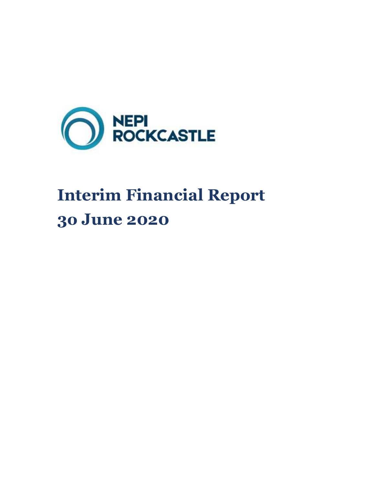

# **Interim Financial Report 3o June 2020**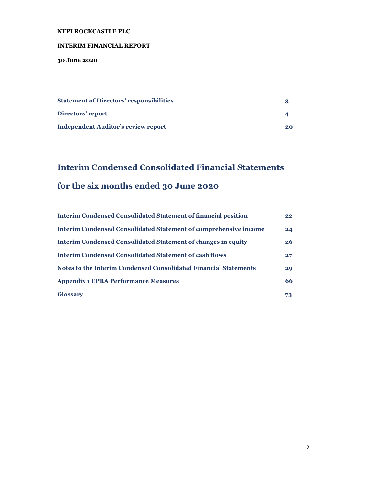#### **INTERIM FINANCIAL REPORT**

**30 June 2020** 

| <b>Statement of Directors' responsibilities</b> |    |
|-------------------------------------------------|----|
| Directors' report                               |    |
| <b>Independent Auditor's review report</b>      | 20 |

### **Interim Condensed Consolidated Financial Statements for the six months ended 30 June 2020**

| <b>Interim Condensed Consolidated Statement of financial position</b> | 22 <sub>2</sub> |
|-----------------------------------------------------------------------|-----------------|
| Interim Condensed Consolidated Statement of comprehensive income      | 24              |
| Interim Condensed Consolidated Statement of changes in equity         | 26 <sup>2</sup> |
| <b>Interim Condensed Consolidated Statement of cash flows</b>         | 27 <sub>2</sub> |
| Notes to the Interim Condensed Consolidated Financial Statements      | 29              |
| <b>Appendix 1 EPRA Performance Measures</b>                           | 66              |
| <b>Glossary</b>                                                       | 73              |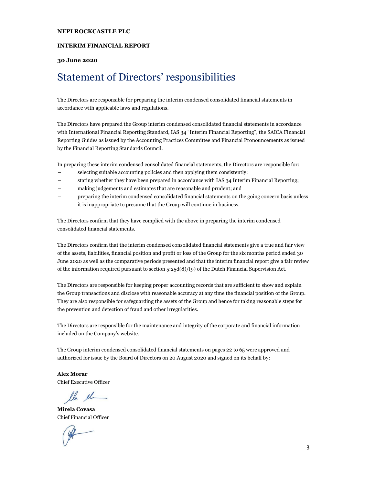#### **INTERIM FINANCIAL REPORT**

#### **30 June 2020**

### Statement of Directors' responsibilities

The Directors are responsible for preparing the interim condensed consolidated financial statements in accordance with applicable laws and regulations.

The Directors have prepared the Group interim condensed consolidated financial statements in accordance with International Financial Reporting Standard, IAS 34 "Interim Financial Reporting", the SAICA Financial Reporting Guides as issued by the Accounting Practices Committee and Financial Pronouncements as issued by the Financial Reporting Standards Council.

In preparing these interim condensed consolidated financial statements, the Directors are responsible for:

- − selecting suitable accounting policies and then applying them consistently;
- stating whether they have been prepared in accordance with IAS 34 Interim Financial Reporting;
- making judgements and estimates that are reasonable and prudent; and
- − preparing the interim condensed consolidated financial statements on the going concern basis unless it is inappropriate to presume that the Group will continue in business.

The Directors confirm that they have complied with the above in preparing the interim condensed consolidated financial statements.

The Directors confirm that the interim condensed consolidated financial statements give a true and fair view of the assets, liabilities, financial position and profit or loss of the Group for the six months period ended 30 June 2020 as well as the comparative periods presented and that the interim financial report give a fair review of the information required pursuant to section 5:25d(8)/(9) of the Dutch Financial Supervision Act.

The Directors are responsible for keeping proper accounting records that are sufficient to show and explain the Group transactions and disclose with reasonable accuracy at any time the financial position of the Group. They are also responsible for safeguarding the assets of the Group and hence for taking reasonable steps for the prevention and detection of fraud and other irregularities.

The Directors are responsible for the maintenance and integrity of the corporate and financial information included on the Company's website.

The Group interim condensed consolidated financial statements on pages 22 to 65 were approved and authorized for issue by the Board of Directors on 20 August 2020 and signed on its behalf by:

**Alex Morar** Chief Executive Officer

lle el

**Mirela Covasa**  Chief Financial Officer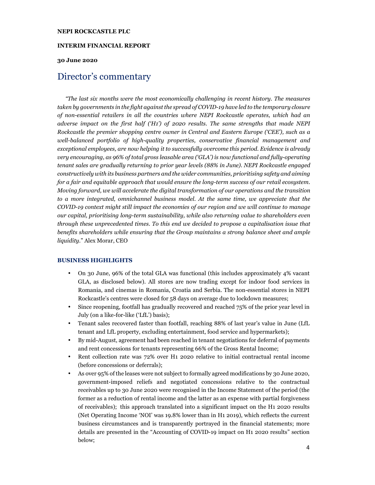#### **INTERIM FINANCIAL REPORT**

#### **30 June 2020**

### Director's commentary

*"The last six months were the most economically challenging in recent history. The measures taken by governments in the fight against the spread of COVID-19 have led to the temporary closure of non-essential retailers in all the countries where NEPI Rockcastle operates, which had an adverse impact on the first half ('H1') of 2020 results. The same strengths that made NEPI Rockcastle the premier shopping centre owner in Central and Eastern Europe ('CEE'), such as a well-balanced portfolio of high-quality properties, conservative financial management and exceptional employees, are now helping it to successfully overcome this period. Evidence is already very encouraging, as 96% of total gross leasable area ('GLA') is now functional and fully-operating tenant sales are gradually returning to prior year levels (88% in June). NEPI Rockcastle engaged constructively with its business partners and the wider communities, prioritising safety and aiming for a fair and equitable approach that would ensure the long-term success of our retail ecosystem. Moving forward, we will accelerate the digital transformation of our operations and the transition to a more integrated, omnichannel business model. At the same time, we appreciate that the COVID-19 context might still impact the economies of our region and we will continue to manage our capital, prioritising long-term sustainability, while also returning value to shareholders even through these unprecedented times. To this end we decided to propose a capitalisation issue that benefits shareholders while ensuring that the Group maintains a strong balance sheet and ample liquidity.*" Alex Morar, CEO

#### **BUSINESS HIGHLIGHTS**

- On 30 June, 96% of the total GLA was functional (this includes approximately 4% vacant GLA, as disclosed below). All stores are now trading except for indoor food services in Romania, and cinemas in Romania, Croatia and Serbia. The non-essential stores in NEPI Rockcastle's centres were closed for 58 days on average due to lockdown measures;
- Since reopening, footfall has gradually recovered and reached 75% of the prior year level in July (on a like-for-like ('LfL') basis);
- Tenant sales recovered faster than footfall, reaching 88% of last year's value in June (LfL tenant and LfL property, excluding entertainment, food service and hypermarkets);
- By mid-August, agreement had been reached in tenant negotiations for deferral of payments and rent concessions for tenants representing 66% of the Gross Rental Income;
- Rent collection rate was 72% over H1 2020 relative to initial contractual rental income (before concessions or deferrals);
- As over 95% of the leases were not subject to formally agreed modifications by 30 June 2020, government-imposed reliefs and negotiated concessions relative to the contractual receivables up to 30 June 2020 were recognised in the Income Statement of the period (the former as a reduction of rental income and the latter as an expense with partial forgiveness of receivables); this approach translated into a significant impact on the H1 2020 results (Net Operating Income 'NOI' was 19.8% lower than in H1 2019), which reflects the current business circumstances and is transparently portrayed in the financial statements; more details are presented in the "Accounting of COVID-19 impact on H1 2020 results" section below;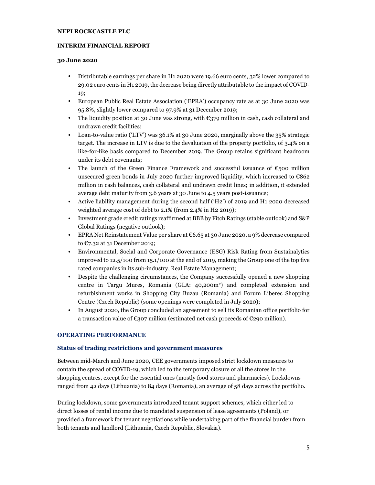#### **INTERIM FINANCIAL REPORT**

#### **30 June 2020**

- Distributable earnings per share in H1 2020 were 19.66 euro cents, 32% lower compared to 29.02 euro cents in H1 2019, the decrease being directly attributable to the impact of COVID-19;
- European Public Real Estate Association ('EPRA') occupancy rate as at 30 June 2020 was 95.8%, slightly lower compared to 97.9% at 31 December 2019;
- The liquidity position at 30 June was strong, with  $\epsilon$ 379 million in cash, cash collateral and undrawn credit facilities;
- Loan-to-value ratio ('LTV') was 36.1% at 30 June 2020, marginally above the 35% strategic target. The increase in LTV is due to the devaluation of the property portfolio, of 3.4% on a like-for-like basis compared to December 2019. The Group retains significant headroom under its debt covenants;
- The launch of the Green Finance Framework and successful issuance of  $\epsilon$ 500 million unsecured green bonds in July 2020 further improved liquidity, which increased to  $\epsilon$ 862 million in cash balances, cash collateral and undrawn credit lines; in addition, it extended average debt maturity from 3.6 years at 30 June to 4.5 years post-issuance;
- Active liability management during the second half ('H2') of 2019 and H1 2020 decreased weighted average cost of debt to 2.1% (from 2.4% in H2 2019);
- Investment grade credit ratings reaffirmed at BBB by Fitch Ratings (stable outlook) and S&P Global Ratings (negative outlook);
- EPRA Net Reinstatement Value per share at  $C$ 6.65 at 30 June 2020, a 9% decrease compared to €7.32 at 31 December 2019;
- Environmental, Social and Corporate Governance (ESG) Risk Rating from Sustainalytics improved to 12.5/100 from 15.1/100 at the end of 2019, making the Group one of the top five rated companies in its sub-industry, Real Estate Management;
- Despite the challenging circumstances, the Company successfully opened a new shopping centre in Targu Mures, Romania (GLA: 40,200m<sup>2</sup> ) and completed extension and refurbishment works in Shopping City Buzau (Romania) and Forum Liberec Shopping Centre (Czech Republic) (some openings were completed in July 2020);
- In August 2020, the Group concluded an agreement to sell its Romanian office portfolio for a transaction value of  $\epsilon$ 307 million (estimated net cash proceeds of  $\epsilon$ 290 million).

#### **OPERATING PERFORMANCE**

#### **Status of trading restrictions and government measures**

Between mid-March and June 2020, CEE governments imposed strict lockdown measures to contain the spread of COVID-19, which led to the temporary closure of all the stores in the shopping centres, except for the essential ones (mostly food stores and pharmacies). Lockdowns ranged from 42 days (Lithuania) to 84 days (Romania), an average of 58 days across the portfolio.

During lockdown, some governments introduced tenant support schemes, which either led to direct losses of rental income due to mandated suspension of lease agreements (Poland), or provided a framework for tenant negotiations while undertaking part of the financial burden from both tenants and landlord (Lithuania, Czech Republic, Slovakia).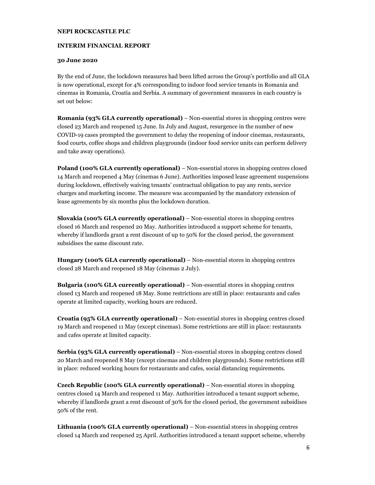#### **INTERIM FINANCIAL REPORT**

#### **30 June 2020**

By the end of June, the lockdown measures had been lifted across the Group's portfolio and all GLA is now operational, except for 4% corresponding to indoor food service tenants in Romania and cinemas in Romania, Croatia and Serbia. A summary of government measures in each country is set out below:

**Romania (93% GLA currently operational)** – Non-essential stores in shopping centres were closed 23 March and reopened 15 June. In July and August, resurgence in the number of new COVID-19 cases prompted the government to delay the reopening of indoor cinemas, restaurants, food courts, coffee shops and children playgrounds (indoor food service units can perform delivery and take away operations).

**Poland (100% GLA currently operational)** – Non-essential stores in shopping centres closed 14 March and reopened 4 May (cinemas 6 June). Authorities imposed lease agreement suspensions during lockdown, effectively waiving tenants' contractual obligation to pay any rents, service charges and marketing income. The measure was accompanied by the mandatory extension of lease agreements by six months plus the lockdown duration.

**Slovakia (100% GLA currently operational)** – Non-essential stores in shopping centres closed 16 March and reopened 20 May. Authorities introduced a support scheme for tenants, whereby if landlords grant a rent discount of up to 50% for the closed period, the government subsidises the same discount rate.

**Hungary (100% GLA currently operational)** – Non-essential stores in shopping centres closed 28 March and reopened 18 May (cinemas 2 July).

**Bulgaria (100% GLA currently operational)** – Non-essential stores in shopping centres closed 13 March and reopened 18 May. Some restrictions are still in place: restaurants and cafes operate at limited capacity, working hours are reduced.

**Croatia (95% GLA currently operational)** – Non-essential stores in shopping centres closed 19 March and reopened 11 May (except cinemas). Some restrictions are still in place: restaurants and cafes operate at limited capacity.

**Serbia (93% GLA currently operational)** – Non-essential stores in shopping centres closed 20 March and reopened 8 May (except cinemas and children playgrounds). Some restrictions still in place: reduced working hours for restaurants and cafes, social distancing requirements.

**Czech Republic (100% GLA currently operational)** – Non-essential stores in shopping centres closed 14 March and reopened 11 May. Authorities introduced a tenant support scheme, whereby if landlords grant a rent discount of 30% for the closed period, the government subsidises 50% of the rent.

**Lithuania (100% GLA currently operational)** – Non-essential stores in shopping centres closed 14 March and reopened 25 April. Authorities introduced a tenant support scheme, whereby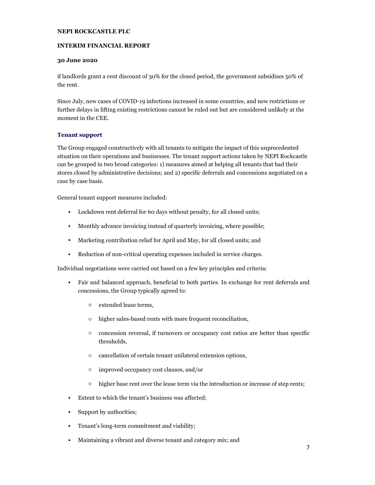#### **INTERIM FINANCIAL REPORT**

#### **30 June 2020**

if landlords grant a rent discount of 30% for the closed period, the government subsidises 50% of the rent.

Since July, new cases of COVID-19 infections increased in some countries, and new restrictions or further delays in lifting existing restrictions cannot be ruled out but are considered unlikely at the moment in the CEE.

#### **Tenant support**

The Group engaged constructively with all tenants to mitigate the impact of this unprecedented situation on their operations and businesses. The tenant support actions taken by NEPI Rockcastle can be grouped in two broad categories: 1) measures aimed at helping all tenants that had their stores closed by administrative decisions; and 2) specific deferrals and concessions negotiated on a case by case basis.

General tenant support measures included:

- Lockdown rent deferral for 60 days without penalty, for all closed units;
- Monthly advance invoicing instead of quarterly invoicing, where possible;
- Marketing contribution relief for April and May, for all closed units; and
- Reduction of non-critical operating expenses included in service charges.

Individual negotiations were carried out based on a few key principles and criteria:

- Fair and balanced approach, beneficial to both parties. In exchange for rent deferrals and concessions, the Group typically agreed to:
	- o extended lease terms,
	- o higher sales-based rents with more frequent reconciliation,
	- o concession reversal, if turnovers or occupancy cost ratios are better than specific thresholds,
	- o cancellation of certain tenant unilateral extension options,
	- o improved occupancy cost clauses, and/or
	- o higher base rent over the lease term via the introduction or increase of step rents;
- Extent to which the tenant's business was affected;
- Support by authorities;
- Tenant's long-term commitment and viability;
- Maintaining a vibrant and diverse tenant and category mix; and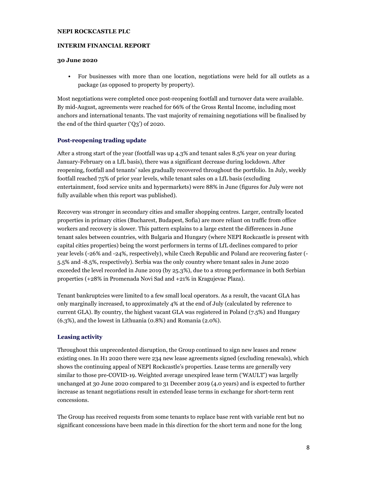#### **INTERIM FINANCIAL REPORT**

#### **30 June 2020**

• For businesses with more than one location, negotiations were held for all outlets as a package (as opposed to property by property).

Most negotiations were completed once post-reopening footfall and turnover data were available. By mid-August, agreements were reached for 66% of the Gross Rental Income, including most anchors and international tenants. The vast majority of remaining negotiations will be finalised by the end of the third quarter ('Q3') of 2020.

#### **Post-reopening trading update**

After a strong start of the year (footfall was up 4.3% and tenant sales 8.5% year on year during January-February on a LfL basis), there was a significant decrease during lockdown. After reopening, footfall and tenants' sales gradually recovered throughout the portfolio. In July, weekly footfall reached 75% of prior year levels, while tenant sales on a LfL basis (excluding entertainment, food service units and hypermarkets) were 88% in June (figures for July were not fully available when this report was published).

Recovery was stronger in secondary cities and smaller shopping centres. Larger, centrally located properties in primary cities (Bucharest, Budapest, Sofia) are more reliant on traffic from office workers and recovery is slower. This pattern explains to a large extent the differences in June tenant sales between countries, with Bulgaria and Hungary (where NEPI Rockcastle is present with capital cities properties) being the worst performers in terms of LfL declines compared to prior year levels (-26% and -24%, respectively), while Czech Republic and Poland are recovering faster (- 5.5% and -8.5%, respectively). Serbia was the only country where tenant sales in June 2020 exceeded the level recorded in June 2019 (by 25.3%), due to a strong performance in both Serbian properties (+28% in Promenada Novi Sad and +21% in Kragujevac Plaza).

Tenant bankruptcies were limited to a few small local operators. As a result, the vacant GLA has only marginally increased, to approximately 4% at the end of July (calculated by reference to current GLA). By country, the highest vacant GLA was registered in Poland (7.5%) and Hungary (6.3%), and the lowest in Lithuania (0.8%) and Romania (2.0%).

#### **Leasing activity**

Throughout this unprecedented disruption, the Group continued to sign new leases and renew existing ones. In H1 2020 there were 234 new lease agreements signed (excluding renewals), which shows the continuing appeal of NEPI Rockcastle's properties. Lease terms are generally very similar to those pre-COVID-19. Weighted average unexpired lease term ('WAULT') was largelly unchanged at 30 June 2020 compared to 31 December 2019 (4.0 years) and is expected to further increase as tenant negotiations result in extended lease terms in exchange for short-term rent concessions.

The Group has received requests from some tenants to replace base rent with variable rent but no significant concessions have been made in this direction for the short term and none for the long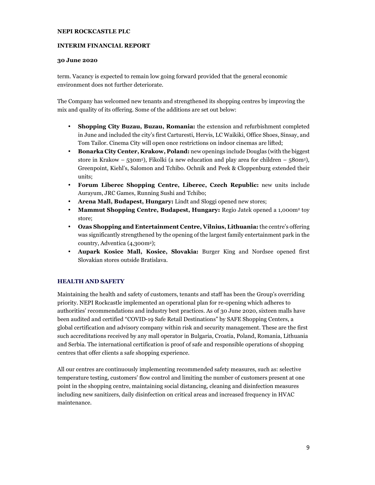#### **INTERIM FINANCIAL REPORT**

#### **30 June 2020**

term. Vacancy is expected to remain low going forward provided that the general economic environment does not further deteriorate.

The Company has welcomed new tenants and strengthened its shopping centres by improving the mix and quality of its offering. Some of the additions are set out below:

- **Shopping City Buzau, Buzau, Romania:** the extension and refurbishment completed in June and included the city's first Carturesti, Hervis, LC Waikiki, Office Shoes, Sinsay, and Tom Tailor. Cinema City will open once restrictions on indoor cinemas are lifted;
- **Bonarka City Center, Krakow, Poland:** new openings include Douglas (with the biggest store in Krakow – 530m<sup>2</sup>), Fikolki (a new education and play area for children – 580m<sup>2</sup>), Greenpoint, Kiehl's, Salomon and Tchibo. Ochnik and Peek & Cloppenburg extended their units;
- **Forum Liberec Shopping Centre, Liberec, Czech Republic:** new units include Aurayum, JRC Games, Running Sushi and Tchibo;
- **Arena Mall, Budapest, Hungary:** Lindt and Sloggi opened new stores;
- **Mammut Shopping Centre, Budapest, Hungary:** Regio Jatek opened a 1,000m2 toy store;
- **Ozas Shopping and Entertainment Centre, Vilnius, Lithuania:** the centre's offering was significantly strengthened by the opening of the largest family entertainment park in the country, Adventica (4,300m2);
- **Aupark Kosice Mall, Kosice, Slovakia:** Burger King and Nordsee opened first Slovakian stores outside Bratislava.

#### **HEALTH AND SAFETY**

Maintaining the health and safety of customers, tenants and staff has been the Group's overriding priority. NEPI Rockcastle implemented an operational plan for re-opening which adheres to authorities' recommendations and industry best practices. As of 30 June 2020, sixteen malls have been audited and certified "COVID-19 Safe Retail Destinations" by SAFE Shopping Centers, a global certification and advisory company within risk and security management. These are the first such accreditations received by any mall operator in Bulgaria, Croatia, Poland, Romania, Lithuania and Serbia. The international certification is proof of safe and responsible operations of shopping centres that offer clients a safe shopping experience.

All our centres are continuously implementing recommended safety measures, such as: selective temperature testing, customers' flow control and limiting the number of customers present at one point in the shopping centre, maintaining social distancing, cleaning and disinfection measures including new sanitizers, daily disinfection on critical areas and increased frequency in HVAC maintenance.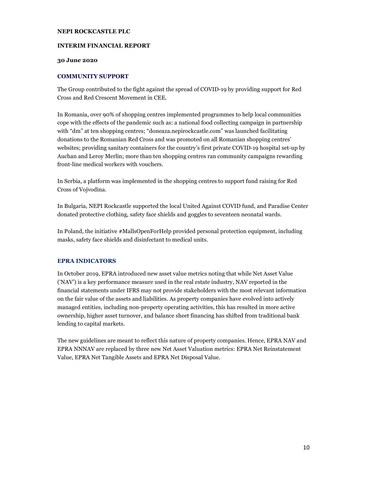#### **INTERIM FINANCIAL REPORT**

#### **30 June 2020**

#### **COMMUNITY SUPPORT**

The Group contributed to the fight against the spread of COVID-19 by providing support for Red Cross and Red Crescent Movement in CEE.

In Romania, over 90% of shopping centres implemented programmes to help local communities cope with the effects of the pandemic such as: a national food collecting campaign in partnership with "dm" at ten shopping centres; "doneaza.nepirockcastle.com" was launched facilitating donations to the Romanian Red Cross and was promoted on all Romanian shopping centres' websites; providing sanitary containers for the country's first private COVID-19 hospital set-up by Auchan and Leroy Merlin; more than ten shopping centres ran community campaigns rewarding front-line medical workers with vouchers.

In Serbia, a platform was implemented in the shopping centres to support fund raising for Red Cross of Vojvodina.

In Bulgaria, NEPI Rockcastle supported the local United Against COVID fund, and Paradise Center donated protective clothing, safety face shields and goggles to seventeen neonatal wards.

In Poland, the initiative #MallsOpenForHelp provided personal protection equipment, including masks, safety face shields and disinfectant to medical units.

#### **EPRA INDICATORS**

In October 2019, EPRA introduced new asset value metrics noting that while Net Asset Value ('NAV') is a key performance measure used in the real estate industry, NAV reported in the financial statements under IFRS may not provide stakeholders with the most relevant information on the fair value of the assets and liabilities. As property companies have evolved into actively managed entities, including non-property operating activities, this has resulted in more active ownership, higher asset turnover, and balance sheet financing has shifted from traditional bank lending to capital markets.

The new guidelines are meant to reflect this nature of property companies. Hence, EPRA NAV and EPRA NNNAV are replaced by three new Net Asset Valuation metrics: EPRA Net Reinstatement Value, EPRA Net Tangible Assets and EPRA Net Disposal Value.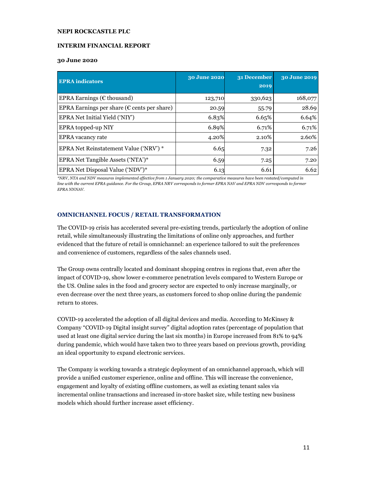#### **INTERIM FINANCIAL REPORT**

#### **30 June 2020**

| <b>EPRA</b> indicators                                | 30 June 2020 | 31 December<br>2019 | 30 June 2019 |
|-------------------------------------------------------|--------------|---------------------|--------------|
| EPRA Earnings ( $\epsilon$ thousand)                  | 123,710      | 330,623             | 168,077      |
| EPRA Earnings per share ( $\epsilon$ cents per share) | 20.59        | 55.79               | 28.69        |
| EPRA Net Initial Yield ('NIY')                        | 6.83%        | 6.65%               | 6.64%        |
| EPRA topped-up NIY                                    | 6.89%        | 6.71%               | 6.71%        |
| <b>EPRA</b> vacancy rate                              | 4.20%        | 2.10%               | 2.60%        |
| EPRA Net Reinstatement Value ('NRV') *                | 6.65         | 7.32                | 7.26         |
| EPRA Net Tangible Assets ('NTA')*                     | 6.59         | 7.25                | 7.20         |
| EPRA Net Disposal Value ('NDV')*                      | 6.13         | 6.61                | 6.62         |

*\*NRV, NTA and NDV measures implemented effective from 1 January 2020; the comparative measures have been restated/computed in line with the current EPRA guidance. For the Group, EPRA NRV corresponds to former EPRA NAV and EPRA NDV corresponds to former EPRA NNNAV.* 

#### **OMNICHANNEL FOCUS / RETAIL TRANSFORMATION**

The COVID-19 crisis has accelerated several pre-existing trends, particularly the adoption of online retail, while simultaneously illustrating the limitations of online only approaches, and further evidenced that the future of retail is omnichannel: an experience tailored to suit the preferences and convenience of customers, regardless of the sales channels used.

The Group owns centrally located and dominant shopping centres in regions that, even after the impact of COVID-19, show lower e-commerce penetration levels compared to Western Europe or the US. Online sales in the food and grocery sector are expected to only increase marginally, or even decrease over the next three years, as customers forced to shop online during the pandemic return to stores.

COVID-19 accelerated the adoption of all digital devices and media. According to McKinsey & Company "COVID-19 Digital insight survey" digital adoption rates (percentage of population that used at least one digital service during the last six months) in Europe increased from 81% to 94% during pandemic, which would have taken two to three years based on previous growth, providing an ideal opportunity to expand electronic services.

The Company is working towards a strategic deployment of an omnichannel approach, which will provide a unified customer experience, online and offline. This will increase the convenience, engagement and loyalty of existing offline customers, as well as existing tenant sales via incremental online transactions and increased in-store basket size, while testing new business models which should further increase asset efficiency.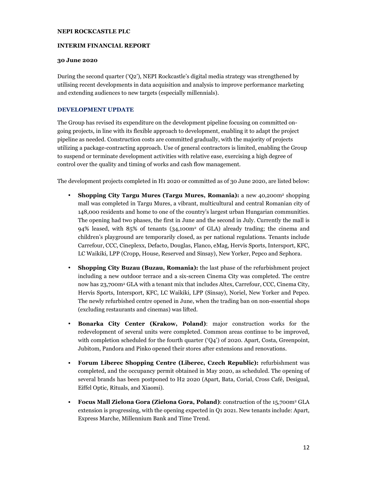#### **INTERIM FINANCIAL REPORT**

#### **30 June 2020**

During the second quarter ('Q2'), NEPI Rockcastle's digital media strategy was strengthened by utilising recent developments in data acquisition and analysis to improve performance marketing and extending audiences to new targets (especially millennials).

#### **DEVELOPMENT UPDATE**

The Group has revised its expenditure on the development pipeline focusing on committed ongoing projects, in line with its flexible approach to development, enabling it to adapt the project pipeline as needed. Construction costs are committed gradually, with the majority of projects utilizing a package-contracting approach. Use of general contractors is limited, enabling the Group to suspend or terminate development activities with relative ease, exercising a high degree of control over the quality and timing of works and cash flow management.

The development projects completed in H1 2020 or committed as of 30 June 2020, are listed below:

- **Shopping City Targu Mures (Targu Mures, Romania):** a new 40,200m2 shopping mall was completed in Targu Mures, a vibrant, multicultural and central Romanian city of 148,000 residents and home to one of the country's largest urban Hungarian communities. The opening had two phases, the first in June and the second in July. Currently the mall is 94% leased, with 85% of tenants (34,100m2 of GLA) already trading; the cinema and children's playground are temporarily closed, as per national regulations. Tenants include Carrefour, CCC, Cineplexx, Defacto, Douglas, Flanco, eMag, Hervis Sports, Intersport, KFC, LC Waikiki, LPP (Cropp, House, Reserved and Sinsay), New Yorker, Pepco and Sephora.
- **Shopping City Buzau (Buzau, Romania):** the last phase of the refurbishment project including a new outdoor terrace and a six-screen Cinema City was completed. The centre now has 23,700m2 GLA with a tenant mix that includes Altex, Carrefour, CCC, Cinema City, Hervis Sports, Intersport, KFC, LC Waikiki, LPP (Sinsay), Noriel, New Yorker and Pepco. The newly refurbished centre opened in June, when the trading ban on non-essential shops (excluding restaurants and cinemas) was lifted.
- **Bonarka City Center (Krakow, Poland)**: major construction works for the redevelopment of several units were completed. Common areas continue to be improved, with completion scheduled for the fourth quarter ('Q4') of 2020. Apart, Costa, Greenpoint, Jubitom, Pandora and Pinko opened their stores after extensions and renovations.
- **Forum Liberec Shopping Centre (Liberec, Czech Republic):** refurbishment was completed, and the occupancy permit obtained in May 2020, as scheduled. The opening of several brands has been postponed to H2 2020 (Apart, Bata, Corial, Cross Café, Desigual, Eiffel Optic, Rituals, and Xiaomi).
- **Focus Mall Zielona Gora (Zielona Gora, Poland)**: construction of the 15,700m2 GLA extension is progressing, with the opening expected in Q1 2021. New tenants include: Apart, Express Marche, Millennium Bank and Time Trend.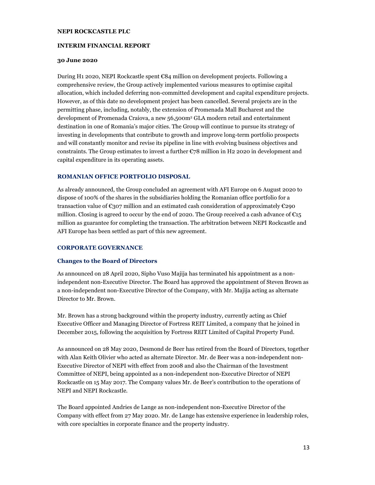#### **INTERIM FINANCIAL REPORT**

#### **30 June 2020**

During H1 2020, NEPI Rockcastle spent €84 million on development projects. Following a comprehensive review, the Group actively implemented various measures to optimise capital allocation, which included deferring non-committed development and capital expenditure projects. However, as of this date no development project has been cancelled. Several projects are in the permitting phase, including, notably, the extension of Promenada Mall Bucharest and the development of Promenada Craiova, a new 56,500m<sup>2</sup> GLA modern retail and entertainment destination in one of Romania's major cities. The Group will continue to pursue its strategy of investing in developments that contribute to growth and improve long-term portfolio prospects and will constantly monitor and revise its pipeline in line with evolving business objectives and constraints. The Group estimates to invest a further  $\mathbb{C}78$  million in H2 2020 in development and capital expenditure in its operating assets.

#### **ROMANIAN OFFICE PORTFOLIO DISPOSAL**

As already announced, the Group concluded an agreement with AFI Europe on 6 August 2020 to dispose of 100% of the shares in the subsidiaries holding the Romanian office portfolio for a transaction value of  $\epsilon_{307}$  million and an estimated cash consideration of approximately  $\epsilon_{290}$ million. Closing is agreed to occur by the end of 2020. The Group received a cash advance of  $\epsilon_{15}$ million as guarantee for completing the transaction. The arbitration between NEPI Rockcastle and AFI Europe has been settled as part of this new agreement.

#### **CORPORATE GOVERNANCE**

#### **Changes to the Board of Directors**

As announced on 28 April 2020, Sipho Vuso Majija has terminated his appointment as a nonindependent non-Executive Director. The Board has approved the appointment of Steven Brown as a non-independent non-Executive Director of the Company, with Mr. Majija acting as alternate Director to Mr. Brown.

Mr. Brown has a strong background within the property industry, currently acting as Chief Executive Officer and Managing Director of Fortress REIT Limited, a company that he joined in December 2015, following the acquisition by Fortress REIT Limited of Capital Property Fund.

As announced on 28 May 2020, Desmond de Beer has retired from the Board of Directors, together with Alan Keith Olivier who acted as alternate Director. Mr. de Beer was a non-independent non-Executive Director of NEPI with effect from 2008 and also the Chairman of the Investment Committee of NEPI, being appointed as a non-independent non-Executive Director of NEPI Rockcastle on 15 May 2017. The Company values Mr. de Beer's contribution to the operations of NEPI and NEPI Rockcastle.

The Board appointed Andries de Lange as non-independent non-Executive Director of the Company with effect from 27 May 2020. Mr. de Lange has extensive experience in leadership roles, with core specialties in corporate finance and the property industry.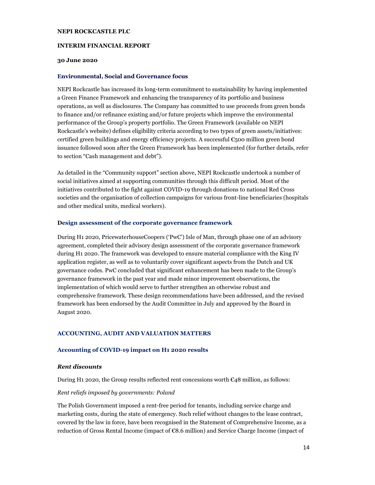#### **INTERIM FINANCIAL REPORT**

#### **30 June 2020**

#### **Environmental, Social and Governance focus**

NEPI Rockcastle has increased its long-term commitment to sustainability by having implemented a Green Finance Framework and enhancing the transparency of its portfolio and business operations, as well as disclosures. The Company has committed to use proceeds from green bonds to finance and/or refinance existing and/or future projects which improve the environmental performance of the Group's property portfolio. The Green Framework (available on NEPI Rockcastle's website) defines eligibility criteria according to two types of green assets/initiatives: certified green buildings and energy efficiency projects. A successful  $\epsilon$ 500 million green bond issuance followed soon after the Green Framework has been implemented (for further details, refer to section "Cash management and debt").

As detailed in the "Community support" section above, NEPI Rockcastle undertook a number of social initiatives aimed at supporting communities through this difficult period. Most of the initiatives contributed to the fight against COVID-19 through donations to national Red Cross societies and the organisation of collection campaigns for various front-line beneficiaries (hospitals and other medical units, medical workers).

#### **Design assessment of the corporate governance framework**

During H1 2020, PricewaterhouseCoopers ('PwC') Isle of Man, through phase one of an advisory agreement, completed their advisory design assessment of the corporate governance framework during H1 2020. The framework was developed to ensure material compliance with the King IV application register, as well as to voluntarily cover significant aspects from the Dutch and UK governance codes. PwC concluded that significant enhancement has been made to the Group's governance framework in the past year and made minor improvement observations, the implementation of which would serve to further strengthen an otherwise robust and comprehensive framework. These design recommendations have been addressed, and the revised framework has been endorsed by the Audit Committee in July and approved by the Board in August 2020.

#### **ACCOUNTING, AUDIT AND VALUATION MATTERS**

#### **Accounting of COVID-19 impact on H1 2020 results**

#### *Rent discounts*

During H1 2020, the Group results reflected rent concessions worth  $\epsilon$ 48 million, as follows:

#### *Rent reliefs imposed by governments: Poland*

The Polish Government imposed a rent-free period for tenants, including service charge and marketing costs, during the state of emergency. Such relief without changes to the lease contract, covered by the law in force, have been recognised in the Statement of Comprehensive Income, as a reduction of Gross Rental Income (impact of €8.6 million) and Service Charge Income (impact of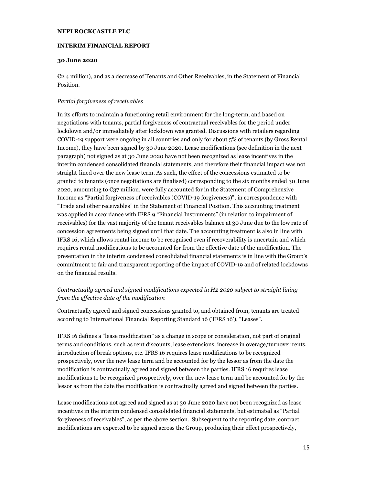#### **INTERIM FINANCIAL REPORT**

#### **30 June 2020**

€2.4 million), and as a decrease of Tenants and Other Receivables, in the Statement of Financial Position.

#### *Partial forgiveness of receivables*

In its efforts to maintain a functioning retail environment for the long-term, and based on negotiations with tenants, partial forgiveness of contractual receivables for the period under lockdown and/or immediately after lockdown was granted. Discussions with retailers regarding COVID-19 support were ongoing in all countries and only for about 5% of tenants (by Gross Rental Income), they have been signed by 30 June 2020. Lease modifications (see definition in the next paragraph) not signed as at 30 June 2020 have not been recognized as lease incentives in the interim condensed consolidated financial statements, and therefore their financial impact was not straight-lined over the new lease term. As such, the effect of the concessions estimated to be granted to tenants (once negotiations are finalised) corresponding to the six months ended 30 June 2020, amounting to  $\epsilon_{37}$  million, were fully accounted for in the Statement of Comprehensive Income as "Partial forgiveness of receivables (COVID-19 forgiveness)", in correspondence with "Trade and other receivables" in the Statement of Financial Position. This accounting treatment was applied in accordance with IFRS 9 "Financial Instruments" (in relation to impairment of receivables) for the vast majority of the tenant receivables balance at 30 June due to the low rate of concession agreements being signed until that date. The accounting treatment is also in line with IFRS 16, which allows rental income to be recognised even if recoverability is uncertain and which requires rental modifications to be accounted for from the effective date of the modification. The presentation in the interim condensed consolidated financial statements is in line with the Group's commitment to fair and transparent reporting of the impact of COVID-19 and of related lockdowns on the financial results.

#### *Contractually agreed and signed modifications expected in H2 2020 subject to straight lining from the effective date of the modification*

Contractually agreed and signed concessions granted to, and obtained from, tenants are treated according to International Financial Reporting Standard 16 ('IFRS 16'), "Leases".

IFRS 16 defines a "lease modification" as a change in scope or consideration, not part of original terms and conditions, such as rent discounts, lease extensions, increase in overage/turnover rents, introduction of break options, etc. IFRS 16 requires lease modifications to be recognized prospectively, over the new lease term and be accounted for by the lessor as from the date the modification is contractually agreed and signed between the parties. IFRS 16 requires lease modifications to be recognized prospectively, over the new lease term and be accounted for by the lessor as from the date the modification is contractually agreed and signed between the parties.

Lease modifications not agreed and signed as at 30 June 2020 have not been recognized as lease incentives in the interim condensed consolidated financial statements, but estimated as "Partial forgiveness of receivables", as per the above section. Subsequent to the reporting date, contract modifications are expected to be signed across the Group, producing their effect prospectively,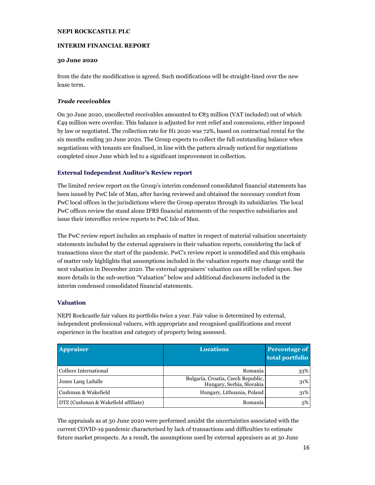#### **INTERIM FINANCIAL REPORT**

#### **30 June 2020**

from the date the modification is agreed. Such modifications will be straight-lined over the new lease term.

#### *Trade receivables*

On 30 June 2020, uncollected receivables amounted to €83 million (VAT included) out of which €49 million were overdue. This balance is adjusted for rent relief and concessions, either imposed by law or negotiated. The collection rate for H1 2020 was 72%, based on contractual rental for the six months ending 30 June 2020. The Group expects to collect the full outstanding balance when negotiations with tenants are finalised, in line with the pattern already noticed for negotiations completed since June which led to a significant improvement in collection.

#### **External Independent Auditor's Review report**

The limited review report on the Group's interim condensed consolidated financial statements has been issued by PwC Isle of Man, after having reviewed and obtained the necessary comfort from PwC local offices in the jurisdictions where the Group operates through its subsidiaries. The local PwC offices review the stand alone IFRS financial statements of the respective subsidiaries and issue their interoffice review reports to PwC Isle of Man.

The PwC review report includes an emphasis of matter in respect of material valuation uncertainty statements included by the external appraisers in their valuation reports, considering the lack of transactions since the start of the pandemic. PwC's review report is unmodified and this emphasis of matter only highlights that assumptions included in the valuation reports may change until the next valuation in December 2020. The external appraisers' valuation can still be relied upon. See more details in the sub-section "Valuation" below and additional disclosures included in the interim condensed consolidated financial statements.

#### **Valuation**

NEPI Rockcastle fair values its portfolio twice a year. Fair value is determined by external, independent professional valuers, with appropriate and recognised qualifications and recent experience in the location and category of property being assessed.

| <b>Appraiser</b>                    | <b>Locations</b>                                                | <b>Percentage of</b><br>total portfolio |
|-------------------------------------|-----------------------------------------------------------------|-----------------------------------------|
| Colliers International              | Romania                                                         | 33%                                     |
| Jones Lang LaSalle                  | Bulgaria, Croatia, Czech Republic,<br>Hungary, Serbia, Slovakia | 31%                                     |
| Cushman & Wakefield                 | Hungary, Lithuania, Poland                                      | 31%                                     |
| DTZ (Cushman & Wakefield affiliate) | Romania                                                         | 5%                                      |

The appraisals as at 30 June 2020 were performed amidst the uncertainties associated with the current COVID-19 pandemic characterised by lack of transactions and difficulties to estimate future market prospects. As a result, the assumptions used by external appraisers as at 30 June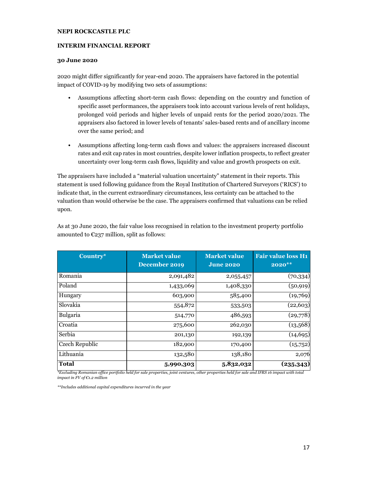#### **INTERIM FINANCIAL REPORT**

#### **30 June 2020**

2020 might differ significantly for year-end 2020. The appraisers have factored in the potential impact of COVID-19 by modifying two sets of assumptions:

- Assumptions affecting short-term cash flows: depending on the country and function of specific asset performances, the appraisers took into account various levels of rent holidays, prolonged void periods and higher levels of unpaid rents for the period 2020/2021. The appraisers also factored in lower levels of tenants' sales-based rents and of ancillary income over the same period; and
- Assumptions affecting long-term cash flows and values: the appraisers increased discount rates and exit cap rates in most countries, despite lower inflation prospects, to reflect greater uncertainty over long-term cash flows, liquidity and value and growth prospects on exit.

The appraisers have included a "material valuation uncertainty" statement in their reports. This statement is used following guidance from the Royal Institution of Chartered Surveyors ('RICS') to indicate that, in the current extraordinary circumstances, less certainty can be attached to the valuation than would otherwise be the case. The appraisers confirmed that valuations can be relied upon.

| Country*       | <b>Market value</b><br>December 2019 | <b>Market value</b><br><b>June 2020</b> | <b>Fair value loss H1</b><br>$2020**$ |
|----------------|--------------------------------------|-----------------------------------------|---------------------------------------|
| Romania        | 2,091,482                            | 2,055,457                               | (70, 334)                             |
| Poland         | 1,433,069                            | 1,408,330                               | (50, 919)                             |
| Hungary        | 603,900                              | 585,400                                 | (19,769)                              |
| Slovakia       | 554,872                              | 533,503                                 | (22, 603)                             |
| Bulgaria       | 514,770                              | 486,593                                 | (29,778)                              |
| Croatia        | 275,600                              | 262,030                                 | (13,568)                              |
| Serbia         | 201,130                              | 192,139                                 | (14, 695)                             |
| Czech Republic | 182,900                              | 170,400                                 | (15,752)                              |
| Lithuania      | 132,580                              | 138,180                                 | 2,076                                 |
| <b>Total</b>   | 5,990,303                            | 5,832,032                               | (235,343)                             |

As at 30 June 2020, the fair value loss recognised in relation to the investment property portfolio amounted to  $E237$  million, split as follows:

*\*Excluding Romanian office portfolio held for sale properties, joint ventures, other properties held for sale and IFRS 16 impact with total impact in FV of €1.2 million* 

*\*\*Includes additional capital expenditures incurred in the year*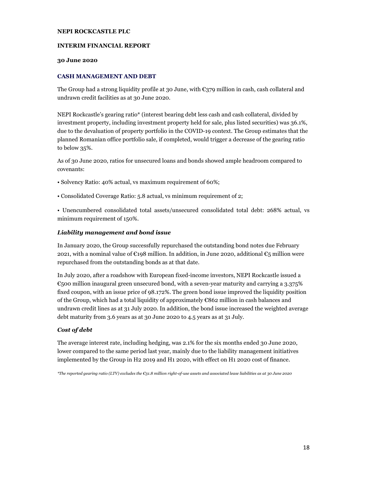#### **INTERIM FINANCIAL REPORT**

#### **30 June 2020**

#### **CASH MANAGEMENT AND DEBT**

The Group had a strong liquidity profile at 30 June, with €379 million in cash, cash collateral and undrawn credit facilities as at 30 June 2020.

NEPI Rockcastle's gearing ratio\* (interest bearing debt less cash and cash collateral, divided by investment property, including investment property held for sale, plus listed securities) was 36.1%, due to the devaluation of property portfolio in the COVID-19 context. The Group estimates that the planned Romanian office portfolio sale, if completed, would trigger a decrease of the gearing ratio to below 35%.

As of 30 June 2020, ratios for unsecured loans and bonds showed ample headroom compared to covenants:

- Solvency Ratio: 40% actual, vs maximum requirement of 60%;
- Consolidated Coverage Ratio: 5.8 actual, vs minimum requirement of 2;

• Unencumbered consolidated total assets/unsecured consolidated total debt: 268% actual, vs minimum requirement of 150%.

#### *Liability management and bond issue*

In January 2020, the Group successfully repurchased the outstanding bond notes due February 2021, with a nominal value of  $\epsilon$ 198 million. In addition, in June 2020, additional  $\epsilon$ 5 million were repurchased from the outstanding bonds as at that date.

In July 2020, after a roadshow with European fixed-income investors, NEPI Rockcastle issued a  $\epsilon$ <sub>500</sub> million inaugural green unsecured bond, with a seven-year maturity and carrying a 3.375% fixed coupon, with an issue price of 98.172%. The green bond issue improved the liquidity position of the Group, which had a total liquidity of approximately €862 million in cash balances and undrawn credit lines as at 31 July 2020. In addition, the bond issue increased the weighted average debt maturity from 3.6 years as at 30 June 2020 to 4.5 years as at 31 July.

#### *Cost of debt*

The average interest rate, including hedging, was 2.1% for the six months ended 30 June 2020, lower compared to the same period last year, mainly due to the liability management initiatives implemented by the Group in H2 2019 and H1 2020, with effect on H1 2020 cost of finance.

*\*The reported gearing ratio (LTV) excludes the €31.8 million right-of-use assets and associated lease liabilities as at 30 June 2020*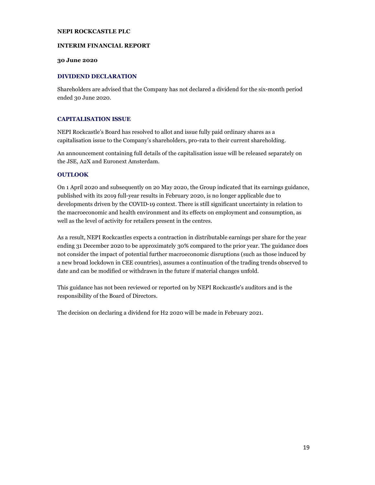#### **INTERIM FINANCIAL REPORT**

#### **30 June 2020**

#### **DIVIDEND DECLARATION**

Shareholders are advised that the Company has not declared a dividend for the six-month period ended 30 June 2020.

#### **CAPITALISATION ISSUE**

NEPI Rockcastle's Board has resolved to allot and issue fully paid ordinary shares as a capitalisation issue to the Company's shareholders, pro-rata to their current shareholding.

An announcement containing full details of the capitalisation issue will be released separately on the JSE, A2X and Euronext Amsterdam.

#### **OUTLOOK**

On 1 April 2020 and subsequently on 20 May 2020, the Group indicated that its earnings guidance, published with its 2019 full-year results in February 2020, is no longer applicable due to developments driven by the COVID-19 context. There is still significant uncertainty in relation to the macroeconomic and health environment and its effects on employment and consumption, as well as the level of activity for retailers present in the centres.

As a result, NEPI Rockcastles expects a contraction in distributable earnings per share for the year ending 31 December 2020 to be approximately 30% compared to the prior year. The guidance does not consider the impact of potential further macroeconomic disruptions (such as those induced by a new broad lockdown in CEE countries), assumes a continuation of the trading trends observed to date and can be modified or withdrawn in the future if material changes unfold.

This guidance has not been reviewed or reported on by NEPI Rockcastle's auditors and is the responsibility of the Board of Directors.

The decision on declaring a dividend for H2 2020 will be made in February 2021.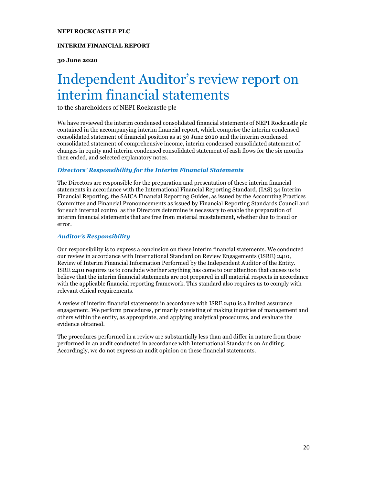#### **INTERIM FINANCIAL REPORT**

**30 June 2020** 

# Independent Auditor's review report on interim financial statements

to the shareholders of NEPI Rockcastle plc

We have reviewed the interim condensed consolidated financial statements of NEPI Rockcastle plc contained in the accompanying interim financial report, which comprise the interim condensed consolidated statement of financial position as at 30 June 2020 and the interim condensed consolidated statement of comprehensive income, interim condensed consolidated statement of changes in equity and interim condensed consolidated statement of cash flows for the six months then ended, and selected explanatory notes.

#### *Directors***'** *Responsibility for the Interim Financial Statements*

The Directors are responsible for the preparation and presentation of these interim financial statements in accordance with the International Financial Reporting Standard, (IAS) 34 Interim Financial Reporting, the SAICA Financial Reporting Guides, as issued by the Accounting Practices Committee and Financial Pronouncements as issued by Financial Reporting Standards Council and for such internal control as the Directors determine is necessary to enable the preparation of interim financial statements that are free from material misstatement, whether due to fraud or error.

#### *Auditor***'***s Responsibility*

Our responsibility is to express a conclusion on these interim financial statements. We conducted our review in accordance with International Standard on Review Engagements (ISRE) 2410, Review of Interim Financial Information Performed by the Independent Auditor of the Entity. ISRE 2410 requires us to conclude whether anything has come to our attention that causes us to believe that the interim financial statements are not prepared in all material respects in accordance with the applicable financial reporting framework. This standard also requires us to comply with relevant ethical requirements.

A review of interim financial statements in accordance with ISRE 2410 is a limited assurance engagement. We perform procedures, primarily consisting of making inquiries of management and others within the entity, as appropriate, and applying analytical procedures, and evaluate the evidence obtained.

The procedures performed in a review are substantially less than and differ in nature from those performed in an audit conducted in accordance with International Standards on Auditing. Accordingly, we do not express an audit opinion on these financial statements.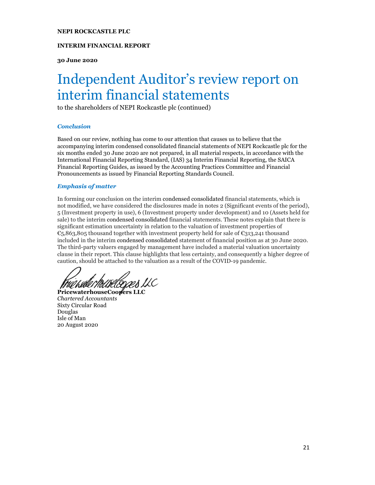#### **INTERIM FINANCIAL REPORT**

**30 June 2020** 

## Independent Auditor's review report on interim financial statements

to the shareholders of NEPI Rockcastle plc (continued)

#### *Conclusion*

Based on our review, nothing has come to our attention that causes us to believe that the accompanying interim condensed consolidated financial statements of NEPI Rockcastle plc for the six months ended 30 June 2020 are not prepared, in all material respects, in accordance with the International Financial Reporting Standard, (IAS) 34 Interim Financial Reporting, the SAICA Financial Reporting Guides, as issued by the Accounting Practices Committee and Financial Pronouncements as issued by Financial Reporting Standards Council.

#### *Emphasis of matter*

In forming our conclusion on the interim condensed consolidated financial statements, which is not modified, we have considered the disclosures made in notes 2 (Significant events of the period), 5 (Investment property in use), 6 (Investment property under development) and 10 (Assets held for sale) to the interim condensed consolidated financial statements. These notes explain that there is significant estimation uncertainty in relation to the valuation of investment properties of €5,863,805 thousand together with investment property held for sale of €313,241 thousand included in the interim condensed consolidated statement of financial position as at 30 June 2020. The third-party valuers engaged by management have included a material valuation uncertainty clause in their report. This clause highlights that less certainty, and consequently a higher degree of caution, should be attached to the valuation as a result of the COVID-19 pandemic.

Frið hate Houselogæs U.C

**PricewaterhouseCoopers LLC**  *Chartered Accountants*  Sixty Circular Road Douglas Isle of Man 20 August 2020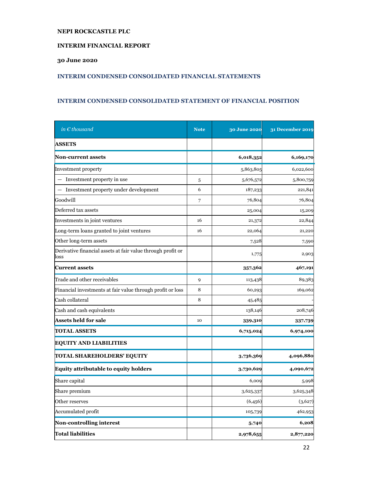#### **INTERIM FINANCIAL REPORT**

#### **30 June 2020**

#### **INTERIM CONDENSED CONSOLIDATED FINANCIAL STATEMENTS**

#### **INTERIM CONDENSED CONSOLIDATED STATEMENT OF FINANCIAL POSITION**

| in $\epsilon$ thousand                                              | <b>Note</b> | 30 June 2020 | <b>31 December 2019</b> |
|---------------------------------------------------------------------|-------------|--------------|-------------------------|
| <b>ASSETS</b>                                                       |             |              |                         |
| <b>Non-current assets</b>                                           |             | 6,018,352    | 6,169,170               |
| Investment property                                                 |             | 5,863,805    | 6,022,600               |
| Investment property in use                                          | 5           | 5,676,572    | 5,800,759               |
| Investment property under development<br>$\overline{\phantom{0}}$   | 6           | 187,233      | 221,841                 |
| Goodwill                                                            | 7           | 76,804       | 76,804                  |
| Deferred tax assets                                                 |             | 25,004       | 15,209                  |
| Investments in joint ventures                                       | 16          | 21,372       | 22,844                  |
| Long-term loans granted to joint ventures                           | 16          | 22,064       | 21,220                  |
| Other long-term assets                                              |             | 7,528        | 7,590                   |
| Derivative financial assets at fair value through profit or<br>loss |             | 1,775        | 2,903                   |
| <b>Current assets</b>                                               |             | 357,362      | 467,191                 |
| Trade and other receivables                                         | 9           | 113,438      | 89,383                  |
| Financial investments at fair value through profit or loss          | 8           | 60,293       | 169,062                 |
| Cash collateral                                                     | 8           | 45,485       |                         |
| Cash and cash equivalents                                           |             | 138,146      | 208,746                 |
| <b>Assets held for sale</b>                                         | 10          | 339,310      | 337,739                 |
| <b>TOTAL ASSETS</b>                                                 |             | 6,715,024    | 6,974,100               |
| <b>EQUITY AND LIABILITIES</b>                                       |             |              |                         |
| TOTAL SHAREHOLDERS' EQUITY                                          |             | 3,736,369    | 4,096,880               |
| <b>Equity attributable to equity holders</b>                        |             | 3,730,629    | 4,090,672               |
| Share capital                                                       |             | 6,009        | 5,998                   |
| Share premium                                                       |             | 3,625,337    | 3,625,348               |
| Other reserves                                                      |             | (6,456)      | (3,627)                 |
| Accumulated profit                                                  |             | 105,739      | 462,953                 |
| <b>Non-controlling interest</b>                                     |             | 5,740        | 6,208                   |
| <b>Total liabilities</b>                                            |             | 2,978,655    | 2,877,220               |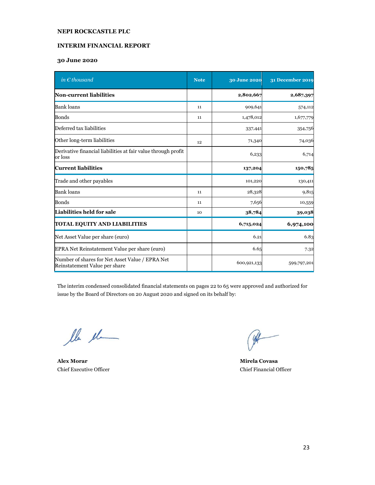#### **INTERIM FINANCIAL REPORT**

#### **30 June 2020**

| in $\epsilon$ thousand                                                           | <b>Note</b> | 30 June 2020 | 31 December 2019 |
|----------------------------------------------------------------------------------|-------------|--------------|------------------|
| Non-current liabilities                                                          |             | 2,802,667    | 2,687,397        |
| <b>Bank</b> loans                                                                | 11          | 909,641      | 574,112          |
| <b>Bonds</b>                                                                     | 11          | 1,478,012    | 1,677,779        |
| Deferred tax liabilities                                                         |             | 337,441      | 354,756          |
| Other long-term liabilities                                                      | 12          | 71,340       | 74,036           |
| Derivative financial liabilities at fair value through profit<br>or loss         |             | 6,233        | 6,714            |
| <b>Current liabilities</b>                                                       |             | 137,204      | 150,785          |
| Trade and other payables                                                         |             | 101,220      | 130,411          |
| <b>Bank</b> loans                                                                | 11          | 28,328       | 9,815            |
| <b>Bonds</b>                                                                     | 11          | 7,656        | 10,559           |
| Liabilities held for sale                                                        | 10          | 38,784       | 39,038           |
| <b>TOTAL EQUITY AND LIABILITIES</b>                                              |             | 6,715,024    | 6,974,100        |
| Net Asset Value per share (euro)                                                 |             | 6.21         | 6.83             |
| EPRA Net Reinstatement Value per share (euro)                                    |             | 6.65         | 7.32             |
| Number of shares for Net Asset Value / EPRA Net<br>Reinstatement Value per share |             | 600,921,133  | 599,797,201      |

The interim condensed consolidated financial statements on pages 22 to 65 were approved and authorized for issue by the Board of Directors on 20 August 2020 and signed on its behalf by:

lle el

**Alex Morar Mirela Covasa** Chief Executive Officer Chief Financial Officer

 $\mathscr{R}$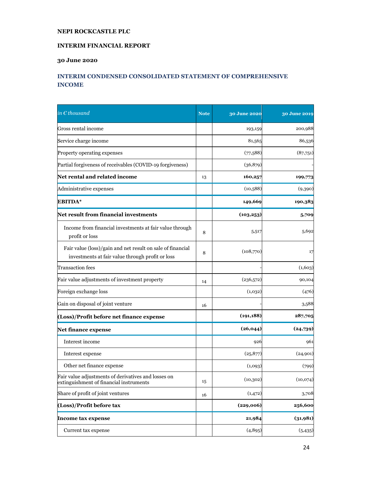#### **INTERIM FINANCIAL REPORT**

#### **30 June 2020**

#### **INTERIM CONDENSED CONSOLIDATED STATEMENT OF COMPREHENSIVE INCOME**

| in $\epsilon$ thousand                                                                                         | <b>Note</b> | 30 June 2020 | 30 June 2019 |
|----------------------------------------------------------------------------------------------------------------|-------------|--------------|--------------|
| Gross rental income                                                                                            |             | 193,159      | 200,988      |
| Service charge income                                                                                          |             | 81,565       | 86,536       |
| Property operating expenses                                                                                    |             | (77,588)     | (87,751)     |
| Partial forgiveness of receivables (COVID-19 forgiveness)                                                      |             | (36,879)     |              |
| Net rental and related income                                                                                  | 13          | 160,257      | 199,773      |
| Administrative expenses                                                                                        |             | (10,588)     | (9,390)      |
| EBITDA*                                                                                                        |             | 149,669      | 190,383      |
| Net result from financial investments                                                                          |             | (103, 253)   | 5,709        |
| Income from financial investments at fair value through<br>profit or loss                                      | 8           | 5,517        | 5,692        |
| Fair value (loss)/gain and net result on sale of financial<br>investments at fair value through profit or loss |             | (108,770)    | 17           |
| <b>Transaction</b> fees                                                                                        |             |              | (1,603)      |
| Fair value adjustments of investment property                                                                  | 14          | (236,572)    | 90,104       |
| Foreign exchange loss                                                                                          |             | (1,032)      | (476)        |
| Gain on disposal of joint venture                                                                              | 16          |              | 3,588        |
| (Loss)/Profit before net finance expense                                                                       |             | (191, 188)   | 287,705      |
| Net finance expense                                                                                            |             | (26, 044)    | (24,739)     |
| Interest income                                                                                                |             | 926          | 961          |
| Interest expense                                                                                               |             | (25, 877)    | (24,901)     |
| Other net finance expense                                                                                      |             | (1,093)      | (799)        |
| Fair value adjustments of derivatives and losses on<br>extinguishment of financial instruments                 | 15          | (10, 302)    | (10,074)     |
| Share of profit of joint ventures                                                                              | 16          | (1, 472)     | 3,708        |
| (Loss)/Profit before tax                                                                                       |             | (229,006)    | 256,600      |
| <b>Income tax expense</b>                                                                                      |             | 21,984       | (31,981)     |
| Current tax expense                                                                                            |             | (4, 895)     | (5, 435)     |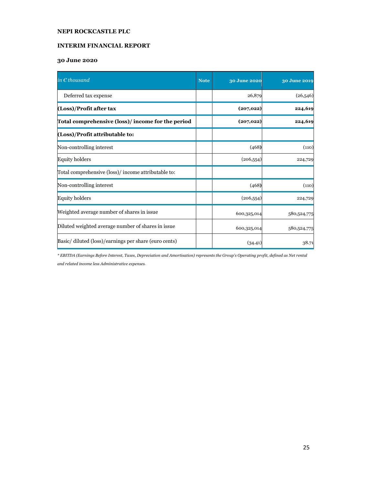#### **INTERIM FINANCIAL REPORT**

#### **30 June 2020**

| in $\epsilon$ thousand                               | <b>Note</b> | 30 June 2020 | 30 June 2019 |
|------------------------------------------------------|-------------|--------------|--------------|
| Deferred tax expense                                 |             | 26,879       | (26,546)     |
| (Loss)/Profit after tax                              |             | (207, 022)   | 224,619      |
| Total comprehensive (loss)/income for the period     |             | (207, 022)   | 224,619      |
| (Loss)/Profit attributable to:                       |             |              |              |
| Non-controlling interest                             |             | (468)        | (110)        |
| <b>Equity holders</b>                                |             | (206, 554)   | 224,729      |
| Total comprehensive (loss)/ income attributable to:  |             |              |              |
| Non-controlling interest                             |             | (468)        | (110)        |
| <b>Equity holders</b>                                |             | (206, 554)   | 224,729      |
| Weighted average number of shares in issue           |             | 600,325,014  | 580,524,775  |
| Diluted weighted average number of shares in issue   |             | 600,325,014  | 580,524,775  |
| Basic/diluted (loss)/earnings per share (euro cents) |             | (34.41)      | 38.71        |

*\* EBITDA (Earnings Before Interest, Taxes, Depreciation and Amortisation) represents the Group's Operating profit, defined as Net rental and related income less Administrative expenses.*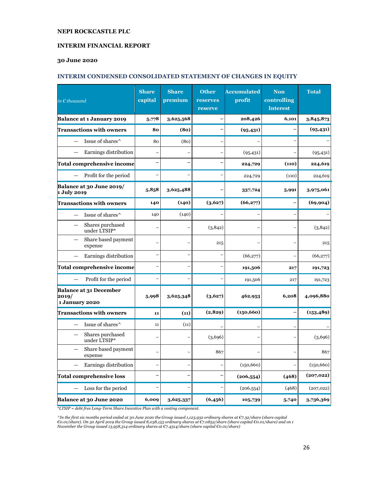#### **INTERIM FINANCIAL REPORT**

#### **30 June 2020**

#### **INTERIM CONDENSED CONSOLIDATED STATEMENT OF CHANGES IN EQUITY**

| in $\epsilon$ thousand                                   | <b>Share</b><br>capital | <b>Share</b><br>premium | <b>Other</b><br>reserves<br>reserve | <b>Accumulated</b><br>profit | <b>Non</b><br>controlling<br><b>Interest</b> | <b>Total</b> |
|----------------------------------------------------------|-------------------------|-------------------------|-------------------------------------|------------------------------|----------------------------------------------|--------------|
| Balance at 1 January 2019                                | 5,778                   | 3,625,568               |                                     | 208,426                      | 6,101                                        | 3,845,873    |
| <b>Transactions with owners</b>                          | 80                      | (80)                    |                                     | (95, 431)                    |                                              | (95, 431)    |
| Issue of shares^                                         | 80                      | (80)                    |                                     |                              |                                              |              |
| Earnings distribution                                    |                         |                         |                                     | (95, 431)                    |                                              | (95, 431)    |
| <b>Total comprehensive income</b>                        |                         |                         |                                     | 224,729                      | (110)                                        | 224,619      |
| Profit for the period                                    |                         |                         |                                     | 224,729                      | (110)                                        | 224,619      |
| Balance at 30 June 2019/<br>1 July 2019                  | 5,858                   | 3,625,488               |                                     | 337,724                      | 5,991                                        | 3,975,061    |
| <b>Transactions with owners</b>                          | 140                     | (140)                   | (3,627)                             | (66,277)                     |                                              | (69, 904)    |
| Issue of shares^                                         | 140                     | (140)                   |                                     |                              |                                              |              |
| Shares purchased<br>under LTSIP*                         |                         |                         | (3,842)                             |                              |                                              | (3,842)      |
| Share based payment<br>expense                           |                         |                         | 215                                 |                              |                                              | 215          |
| Earnings distribution                                    |                         |                         |                                     | (66,277)                     |                                              | (66,277)     |
| <b>Total comprehensive income</b>                        |                         |                         |                                     | 191,506                      | 217                                          | 191,723      |
| Profit for the period                                    |                         |                         |                                     | 191,506                      | 217                                          | 191,723      |
| <b>Balance at 31 December</b><br>2019/<br>1 January 2020 | 5,998                   | 3,625,348               | (3,627)                             | 462,953                      | 6,208                                        | 4,096,880    |
| <b>Transactions with owners</b>                          | 11                      | (11)                    | (2, 829)                            | (150, 660)                   |                                              | (153, 489)   |
| Issue of shares <sup>^</sup>                             | 11                      | (11)                    |                                     |                              |                                              |              |
| Shares purchased<br>under LTSIP*                         |                         |                         | (3,696)                             |                              |                                              | (3,696)      |
| Share based payment<br>expense                           |                         |                         | 867                                 |                              |                                              | 867          |
| Earnings distribution                                    |                         |                         |                                     | (150, 660)                   |                                              | (150, 660)   |
| <b>Total comprehensive loss</b>                          |                         |                         |                                     | (206, 554)                   | (468)                                        | (207, 022)   |
| Loss for the period                                      |                         |                         |                                     | (206, 554)                   | (468)                                        | (207, 022)   |
| Balance at 30 June 2020                                  | 6,009                   | 3,625,337               | (6,456)                             | 105,739                      | 5,740                                        | 3,736,369    |

\**LTSIP = debt free Long-Term Share Incentive Plan with a vesting component.* 

^In the first six months period ended at 30 June 2020 the Group issued 1,123,932 ordinary shares at €7.32/share (share capital<br>€0.01/share). On 30 April 2019 the Group issued 8,038,153 ordinary shares at €7.0852/share (sh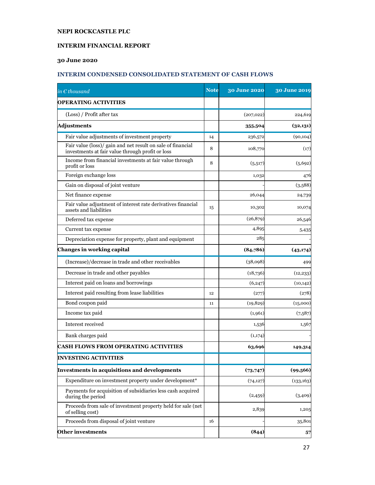#### **INTERIM FINANCIAL REPORT**

#### **30 June 2020**

#### **INTERIM CONDENSED CONSOLIDATED STATEMENT OF CASH FLOWS**

| in $\epsilon$ thousand                                                                                          | <b>Note</b> | 30 June 2020 | 30 June 2019 |
|-----------------------------------------------------------------------------------------------------------------|-------------|--------------|--------------|
| <b>OPERATING ACTIVITIES</b>                                                                                     |             |              |              |
| (Loss) / Profit after tax                                                                                       |             | (207, 022)   | 224,619      |
| <b>Adjustments</b>                                                                                              |             | 355,504      | (32, 131)    |
| Fair value adjustments of investment property                                                                   | 14          | 236,572      | (90, 104)    |
| Fair value (loss)/ gain and net result on sale of financial<br>investments at fair value through profit or loss | 8           | 108,770      | (17)         |
| Income from financial investments at fair value through<br>profit or loss                                       | 8           | (5,517)      | (5,692)      |
| Foreign exchange loss                                                                                           |             | 1,032        | 476          |
| Gain on disposal of joint venture                                                                               |             |              | (3,588)      |
| Net finance expense                                                                                             |             | 26,044       | 24,739       |
| Fair value adjustment of interest rate derivatives financial<br>assets and liabilities                          | 15          | 10,302       | 10,074       |
| Deferred tax expense                                                                                            |             | (26, 879)    | 26,546       |
| Current tax expense                                                                                             |             | 4,895        | 5,435        |
| Depreciation expense for property, plant and equipment                                                          |             | 285          |              |
| Changes in working capital                                                                                      |             | (84,786)     | (43, 174)    |
| (Increase)/decrease in trade and other receivables                                                              |             | (38,098)     | 499          |
| Decrease in trade and other payables                                                                            |             | (18,736)     | (12, 233)    |
| Interest paid on loans and borrowings                                                                           |             | (6,247)      | (10, 142)    |
| Interest paid resulting from lease liabilities                                                                  | 12          | (277)        | (278)        |
| Bond coupon paid                                                                                                | 11          | (19, 829)    | (15,000)     |
| Income tax paid                                                                                                 |             | (1,961)      | (7,587)      |
| Interest received                                                                                               |             | 1,536        | 1,567        |
| Bank charges paid                                                                                               |             | (1,174)      |              |
| <b>CASH FLOWS FROM OPERATING ACTIVITIES</b>                                                                     |             | 63,696       | 149,314      |
| <b>INVESTING ACTIVITIES</b>                                                                                     |             |              |              |
| Investments in acquisitions and developments                                                                    |             | (73, 747)    | (99, 566)    |
| Expenditure on investment property under development*                                                           |             | (74, 127)    | (133, 163)   |
| Payments for acquisition of subsidiaries less cash acquired<br>during the period                                |             | (2,459)      | (3,409)      |
| Proceeds from sale of investment property held for sale (net<br>of selling cost)                                |             | 2,839        | 1,205        |
| Proceeds from disposal of joint venture                                                                         | 16          |              | 35,801       |
| Other investments                                                                                               |             | (844)        | 57           |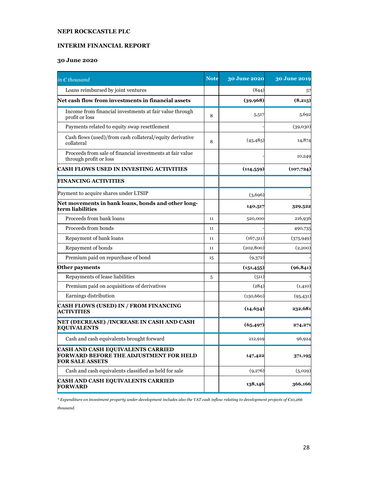#### **INTERIM FINANCIAL REPORT**

#### **30 June 2020**

| in $\epsilon$ thousand                                                                                       | <b>Note</b> | <b>30 June 2020</b> | 30 June 2019 |
|--------------------------------------------------------------------------------------------------------------|-------------|---------------------|--------------|
| Loans reimbursed by joint ventures                                                                           |             | (844)               | 57           |
| Net cash flow from investments in financial assets                                                           |             | (39,968)            | (8,215)      |
| Income from financial investments at fair value through<br>profit or loss                                    | 8           | 5,517               | 5,692        |
| Payments related to equity swap resettlement                                                                 |             |                     | (39,030)     |
| Cash flows (used)/from cash collateral/equity derivative<br>collateral                                       | 8           | (45, 485)           | 14,874       |
| Proceeds from sale of financial investments at fair value<br>through profit or loss                          |             |                     | 10,249       |
| CASH FLOWS USED IN INVESTING ACTIVITIES                                                                      |             | (114, 559)          | (107, 724)   |
| <b>FINANCING ACTIVITIES</b>                                                                                  |             |                     |              |
| Payment to acquire shares under LTSIP                                                                        |             | (3,696)             |              |
| Net movements in bank loans, bonds and other long-<br>term liabilities                                       |             | 140,517             | 329,522      |
| Proceeds from bank loans                                                                                     | 11          | 520,000             | 216,936      |
| Proceeds from bonds                                                                                          | 11          |                     | 490,735      |
| Repayment of bank loans                                                                                      | 11          | (167,311)           | (375, 949)   |
| Repayment of bonds                                                                                           | 11          | (202, 800)          | (2,200)      |
| Premium paid on repurchase of bond                                                                           | 15          | (9,372)             |              |
| Other payments                                                                                               |             | (151, 455)          | (96, 841)    |
| Repayments of lease liabilities                                                                              | 5           | (511)               |              |
| Premium paid on acquisitions of derivatives                                                                  |             | (284)               | (1,410)      |
| Earnings distribution                                                                                        |             | (150, 660)          | (95, 431)    |
| <b>CASH FLOWS (USED) IN / FROM FINANCING</b><br><b>ACTIVITIES</b>                                            |             | (14, 634)           | 232,681      |
| NET (DECREASE) /INCREASE IN CASH AND CASH<br><b>EQUIVALENTS</b>                                              |             | (65, 497)           | 274,271      |
| Cash and cash equivalents brought forward                                                                    |             | 212,919             | 96,924       |
| CASH AND CASH EQUIVALENTS CARRIED<br><b>FORWARD BEFORE THE ADJUSTMENT FOR HELD</b><br><b>FOR SALE ASSETS</b> |             | 147,422             | 371,195      |
| Cash and cash equivalents classified as held for sale                                                        |             | (9,276)             | (5,029)      |
| <b>CASH AND CASH EQUIVALENTS CARRIED</b><br><b>FORWARD</b>                                                   |             | 138,146             | 366,166      |

*\* Expenditure on investment property under development includes also the VAT cash inflow relating to development projects of €10,266* 

*thousand.*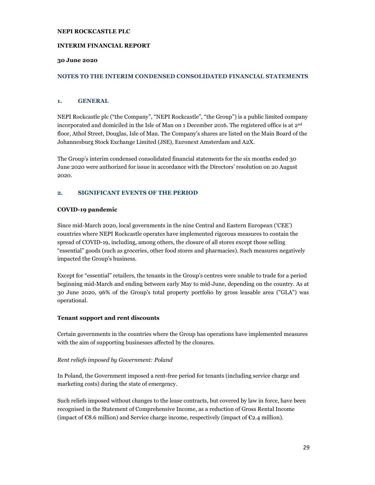#### **INTERIM FINANCIAL REPORT**

#### **30 June 2020**

#### **NOTES TO THE INTERIM CONDENSED CONSOLIDATED FINANCIAL STATEMENTS**

#### **1. GENERAL**

NEPI Rockcastle plc ("the Company", "NEPI Rockcastle", "the Group") is a public limited company incorporated and domiciled in the Isle of Man on 1 December 2016. The registered office is at 2nd floor, Athol Street, Douglas, Isle of Man. The Company's shares are listed on the Main Board of the Johannesburg Stock Exchange Limited (JSE), Euronext Amsterdam and A2X.

The Group's interim condensed consolidated financial statements for the six months ended 30 June 2020 were authorized for issue in accordance with the Directors' resolution on 20 August 2020.

#### **2. SIGNIFICANT EVENTS OF THE PERIOD**

#### **COVID-19 pandemic**

Since mid-March 2020, local governments in the nine Central and Eastern European ('CEE') countries where NEPI Rockcastle operates have implemented rigorous measures to contain the spread of COVID-19, including, among others, the closure of all stores except those selling "essential" goods (such as groceries, other food stores and pharmacies). Such measures negatively impacted the Group's business.

Except for "essential" retailers, the tenants in the Group's centres were unable to trade for a period beginning mid-March and ending between early May to mid-June, depending on the country. As at 30 June 2020, 96% of the Group's total property portfolio by gross leasable area ("GLA") was operational.

#### **Tenant support and rent discounts**

Certain governments in the countries where the Group has operations have implemented measures with the aim of supporting businesses affected by the closures.

#### *Rent reliefs imposed by Government: Poland*

In Poland, the Government imposed a rent-free period for tenants (including service charge and marketing costs) during the state of emergency.

Such reliefs imposed without changes to the lease contracts, but covered by law in force, have been recognised in the Statement of Comprehensive Income, as a reduction of Gross Rental Income (impact of  $\epsilon$ 8.6 million) and Service charge income, respectively (impact of  $\epsilon$ 2.4 million).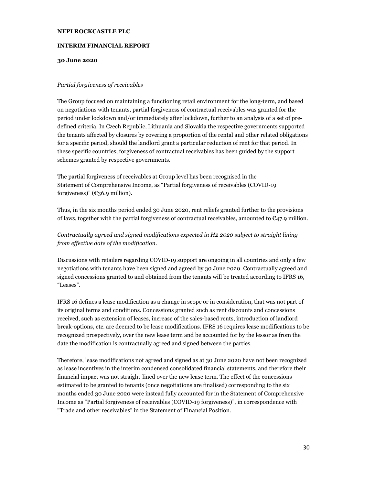#### **INTERIM FINANCIAL REPORT**

#### **30 June 2020**

#### *Partial forgiveness of receivables*

The Group focused on maintaining a functioning retail environment for the long-term, and based on negotiations with tenants, partial forgiveness of contractual receivables was granted for the period under lockdown and/or immediately after lockdown, further to an analysis of a set of predefined criteria. In Czech Republic, Lithuania and Slovakia the respective governments supported the tenants affected by closures by covering a proportion of the rental and other related obligations for a specific period, should the landlord grant a particular reduction of rent for that period. In these specific countries, forgiveness of contractual receivables has been guided by the support schemes granted by respective governments.

The partial forgiveness of receivables at Group level has been recognised in the Statement of Comprehensive Income, as "Partial forgiveness of receivables (COVID-19 forgiveness)" ( $\epsilon$ 36.9 million).

Thus, in the six months period ended 30 June 2020, rent reliefs granted further to the provisions of laws, together with the partial forgiveness of contractual receivables, amounted to  $\epsilon$ 47.9 million.

#### *Contractually agreed and signed modifications expected in H2 2020 subject to straight lining from effective date of the modification.*

Discussions with retailers regarding COVID-19 support are ongoing in all countries and only a few negotiations with tenants have been signed and agreed by 30 June 2020. Contractually agreed and signed concessions granted to and obtained from the tenants will be treated according to IFRS 16, "Leases".

IFRS 16 defines a lease modification as a change in scope or in consideration, that was not part of its original terms and conditions. Concessions granted such as rent discounts and concessions received, such as extension of leases, increase of the sales-based rents, introduction of landlord break-options, etc. are deemed to be lease modifications. IFRS 16 requires lease modifications to be recognized prospectively, over the new lease term and be accounted for by the lessor as from the date the modification is contractually agreed and signed between the parties.

Therefore, lease modifications not agreed and signed as at 30 June 2020 have not been recognized as lease incentives in the interim condensed consolidated financial statements, and therefore their financial impact was not straight-lined over the new lease term. The effect of the concessions estimated to be granted to tenants (once negotiations are finalised) corresponding to the six months ended 30 June 2020 were instead fully accounted for in the Statement of Comprehensive Income as "Partial forgiveness of receivables (COVID-19 forgiveness)", in correspondence with "Trade and other receivables" in the Statement of Financial Position.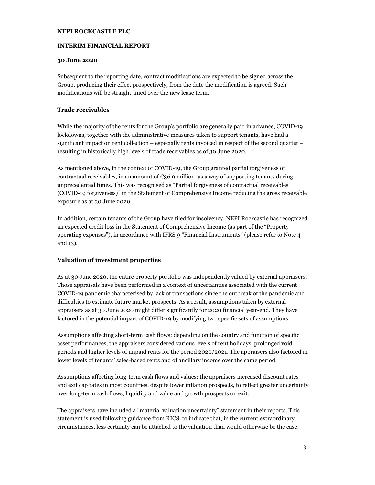#### **INTERIM FINANCIAL REPORT**

#### **30 June 2020**

Subsequent to the reporting date, contract modifications are expected to be signed across the Group, producing their effect prospectively, from the date the modification is agreed. Such modifications will be straight-lined over the new lease term.

#### **Trade receivables**

While the majority of the rents for the Group's portfolio are generally paid in advance, COVID-19 lockdowns, together with the administrative measures taken to support tenants, have had a significant impact on rent collection – especially rents invoiced in respect of the second quarter – resulting in historically high levels of trade receivables as of 30 June 2020.

As mentioned above, in the context of COVID-19, the Group granted partial forgiveness of contractual receivables, in an amount of  $\epsilon$ 36.9 million, as a way of supporting tenants during unprecedented times. This was recognised as "Partial forgiveness of contractual receivables (COVID-19 forgiveness)" in the Statement of Comprehensive Income reducing the gross receivable exposure as at 30 June 2020.

In addition, certain tenants of the Group have filed for insolvency. NEPI Rockcastle has recognized an expected credit loss in the Statement of Comprehensive Income (as part of the "Property operating expenses"), in accordance with IFRS 9 "Financial Instruments" (please refer to Note 4 and 13).

#### **Valuation of investment properties**

As at 30 June 2020, the entire property portfolio was independently valued by external appraisers. Those appraisals have been performed in a context of uncertainties associated with the current COVID-19 pandemic characterised by lack of transactions since the outbreak of the pandemic and difficulties to estimate future market prospects. As a result, assumptions taken by external appraisers as at 30 June 2020 might differ significantly for 2020 financial year-end. They have factored in the potential impact of COVID-19 by modifying two specific sets of assumptions.

Assumptions affecting short-term cash flows: depending on the country and function of specific asset performances, the appraisers considered various levels of rent holidays, prolonged void periods and higher levels of unpaid rents for the period 2020/2021. The appraisers also factored in lower levels of tenants' sales-based rents and of ancillary income over the same period.

Assumptions affecting long-term cash flows and values: the appraisers increased discount rates and exit cap rates in most countries, despite lower inflation prospects, to reflect greater uncertainty over long-term cash flows, liquidity and value and growth prospects on exit.

The appraisers have included a "material valuation uncertainty" statement in their reports. This statement is used following guidance from RICS, to indicate that, in the current extraordinary circumstances, less certainty can be attached to the valuation than would otherwise be the case.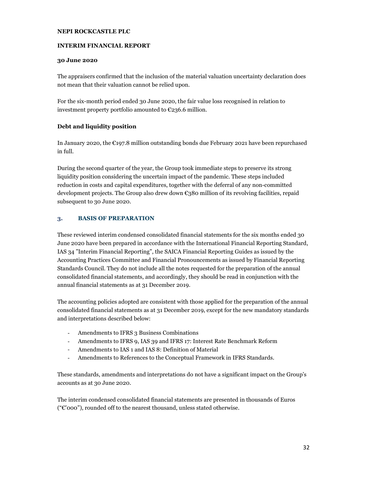#### **INTERIM FINANCIAL REPORT**

#### **30 June 2020**

The appraisers confirmed that the inclusion of the material valuation uncertainty declaration does not mean that their valuation cannot be relied upon.

For the six-month period ended 30 June 2020, the fair value loss recognised in relation to investment property portfolio amounted to €236.6 million.

#### **Debt and liquidity position**

In January 2020, the  $\epsilon$ 197.8 million outstanding bonds due February 2021 have been repurchased in full.

During the second quarter of the year, the Group took immediate steps to preserve its strong liquidity position considering the uncertain impact of the pandemic. These steps included reduction in costs and capital expenditures, together with the deferral of any non-committed development projects. The Group also drew down  $\epsilon_3$ 80 million of its revolving facilities, repaid subsequent to 30 June 2020.

#### **3. BASIS OF PREPARATION**

These reviewed interim condensed consolidated financial statements for the six months ended 30 June 2020 have been prepared in accordance with the International Financial Reporting Standard, IAS 34 "Interim Financial Reporting", the SAICA Financial Reporting Guides as issued by the Accounting Practices Committee and Financial Pronouncements as issued by Financial Reporting Standards Council. They do not include all the notes requested for the preparation of the annual consolidated financial statements, and accordingly, they should be read in conjunction with the annual financial statements as at 31 December 2019.

The accounting policies adopted are consistent with those applied for the preparation of the annual consolidated financial statements as at 31 December 2019, except for the new mandatory standards and interpretations described below:

- Amendments to IFRS 3 Business Combinations
- Amendments to IFRS 9, IAS 39 and IFRS 17: Interest Rate Benchmark Reform
- Amendments to IAS 1 and IAS 8: Definition of Material
- Amendments to References to the Conceptual Framework in IFRS Standards.

These standards, amendments and interpretations do not have a significant impact on the Group's accounts as at 30 June 2020.

The interim condensed consolidated financial statements are presented in thousands of Euros (" $e$ "000"), rounded off to the nearest thousand, unless stated otherwise.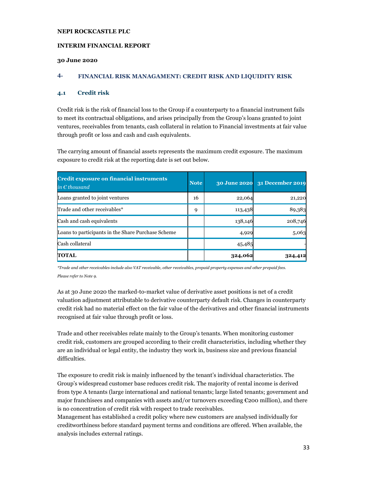#### **INTERIM FINANCIAL REPORT**

#### **30 June 2020**

#### **4. FINANCIAL RISK MANAGAMENT: CREDIT RISK AND LIQUIDITY RISK**

#### **4.1 Credit risk**

Credit risk is the risk of financial loss to the Group if a counterparty to a financial instrument fails to meet its contractual obligations, and arises principally from the Group's loans granted to joint ventures, receivables from tenants, cash collateral in relation to Financial investments at fair value through profit or loss and cash and cash equivalents.

The carrying amount of financial assets represents the maximum credit exposure. The maximum exposure to credit risk at the reporting date is set out below.

| <b>Credit exposure on financial instruments</b><br>in $\epsilon$ thousand | <b>Note</b> | <b>30 June 2020</b> | 31 December 2019 |
|---------------------------------------------------------------------------|-------------|---------------------|------------------|
| Loans granted to joint ventures                                           | 16          | 22,064              | 21,220           |
| Trade and other receivables*                                              | 9           | 113,438             | 89,383           |
| Cash and cash equivalents                                                 |             | 138,146             | 208,746          |
| Loans to participants in the Share Purchase Scheme                        |             | 4,929               | 5,063            |
| Cash collateral                                                           |             | 45,485              |                  |
| <b>TOTAL</b>                                                              |             | 324,062             |                  |

*\*Trade and other receivables include also VAT receivable, other receivables, prepaid property expenses and other prepaid fees. Please refer to Note 9.* 

As at 30 June 2020 the marked-to-market value of derivative asset positions is net of a credit valuation adjustment attributable to derivative counterparty default risk. Changes in counterparty credit risk had no material effect on the fair value of the derivatives and other financial instruments recognised at fair value through profit or loss.

Trade and other receivables relate mainly to the Group's tenants. When monitoring customer credit risk, customers are grouped according to their credit characteristics, including whether they are an individual or legal entity, the industry they work in, business size and previous financial difficulties.

The exposure to credit risk is mainly influenced by the tenant's individual characteristics. The Group's widespread customer base reduces credit risk. The majority of rental income is derived from type A tenants (large international and national tenants; large listed tenants; government and major franchisees and companies with assets and/or turnovers exceeding €200 million), and there is no concentration of credit risk with respect to trade receivables.

Management has established a credit policy where new customers are analysed individually for creditworthiness before standard payment terms and conditions are offered. When available, the analysis includes external ratings.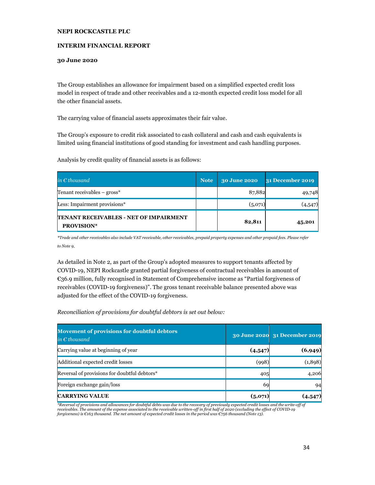#### **INTERIM FINANCIAL REPORT**

#### **30 June 2020**

The Group establishes an allowance for impairment based on a simplified expected credit loss model in respect of trade and other receivables and a 12-month expected credit loss model for all the other financial assets.

The carrying value of financial assets approximates their fair value.

The Group's exposure to credit risk associated to cash collateral and cash and cash equivalents is limited using financial institutions of good standing for investment and cash handling purposes.

Analysis by credit quality of financial assets is as follows:

| in $\epsilon$ thousand                                              | <b>Note</b> | 30 June 2020 | 31 December 2019 |
|---------------------------------------------------------------------|-------------|--------------|------------------|
| Tenant receivables – gross*                                         |             | 87,882       | 49,748           |
| Less: Impairment provisions*                                        |             | (5,071)      | (4,547)          |
| <b>ITENANT RECEIVABLES - NET OF IMPAIRMENT</b><br><b>PROVISION*</b> |             | 82,811       | 45,201           |

*\*Trade and other receivables also include VAT receivable, other receivables, prepaid property expenses and other prepaid fees. Please refer to Note 9.*

As detailed in Note 2, as part of the Group's adopted measures to support tenants affected by COVID-19, NEPI Rockcastle granted partial forgiveness of contractual receivables in amount of €36.9 million, fully recognised in Statement of Comprehensive income as "Partial forgiveness of receivables (COVID-19 forgiveness)". The gross tenant receivable balance presented above was adjusted for the effect of the COVID-19 forgiveness.

*Reconciliation of provisions for doubtful debtors is set out below:* 

| <b>Movement of provisions for doubtful debtors</b><br>in $\epsilon$ thousand |         | 30 June 2020 31 December 2019 |
|------------------------------------------------------------------------------|---------|-------------------------------|
| Carrying value at beginning of year                                          | (4,547) | (6,949)                       |
| Additional expected credit losses                                            | (998)   | (1,898)                       |
| Reversal of provisions for doubtful debtors*                                 | 405     | 4,206                         |
| Foreign exchange gain/loss                                                   | 69      | 94                            |
| <b>CARRYING VALUE</b>                                                        | (5,071) | (4.547)                       |

*\*Reversal of provisions and allowances for doubtful debts was due to the recovery of previously expected credit losses and the write-off of*  receivables. The amount of the expense associated to the receivable written-off in first half of 2020 (excluding the effect of COVID-19<br>forgiveness) is €163 thousand. The net amount of expected credit losses in the period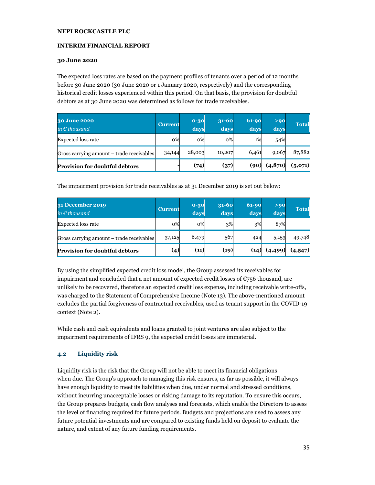#### **INTERIM FINANCIAL REPORT**

#### **30 June 2020**

The expected loss rates are based on the payment profiles of tenants over a period of 12 months before 30 June 2020 (30 June 2020 or 1 January 2020, respectively) and the corresponding historical credit losses experienced within this period. On that basis, the provision for doubtful debtors as at 30 June 2020 was determined as follows for trade receivables.

| 30 June 2020<br>in $\epsilon$ thousand    | <b>Current</b> | $0 - 30$<br>days. | $31 - 60$<br>days | 61-90<br>days | >90<br>days | <b>Total</b> |
|-------------------------------------------|----------------|-------------------|-------------------|---------------|-------------|--------------|
| <b>Expected loss rate</b>                 | 0%             | 0%                | $0\%$             | $1\%$         | 54%         |              |
| Gross carrying amount – trade receivables | 34,144         | 28,003            | 10,207            | 6,461         | 9,067       | 87,882       |
| <b>Provision for doubtful debtors</b>     |                | (74)              | (37)              | (90           | (4,870)     | (5,071)      |

The impairment provision for trade receivables as at 31 December 2019 is set out below:

| 31 December 2019<br>in $\epsilon$ thousand | <b>Current</b> | $0 - 30$<br>days | $31 - 60$<br>days | $61-90$<br>days | >90<br>days | <b>Total</b> |
|--------------------------------------------|----------------|------------------|-------------------|-----------------|-------------|--------------|
| <b>Expected loss rate</b>                  | $0\%$          | $0\%$            | 3%                | 3%              | 87%         |              |
| Gross carrying amount – trade receivables  | 37,125         | 6,479            | 567               | 424             | 5,153       | 49,748       |
| <b>Provision for doubtful debtors</b>      | (4)            | (11)             | (19)              | (14)            | (4,499)     | (4,547)      |

By using the simplified expected credit loss model, the Group assessed its receivables for impairment and concluded that a net amount of expected credit losses of  $\epsilon$ 756 thousand, are unlikely to be recovered, therefore an expected credit loss expense, including receivable write-offs, was charged to the Statement of Comprehensive Income (Note 13). The above-mentioned amount excludes the partial forgiveness of contractual receivables, used as tenant support in the COVID-19 context (Note 2).

While cash and cash equivalents and loans granted to joint ventures are also subject to the impairment requirements of IFRS 9, the expected credit losses are immaterial.

#### **4.2 Liquidity risk**

Liquidity risk is the risk that the Group will not be able to meet its financial obligations when due. The Group's approach to managing this risk ensures, as far as possible, it will always have enough liquidity to meet its liabilities when due, under normal and stressed conditions, without incurring unacceptable losses or risking damage to its reputation. To ensure this occurs, the Group prepares budgets, cash flow analyses and forecasts, which enable the Directors to assess the level of financing required for future periods. Budgets and projections are used to assess any future potential investments and are compared to existing funds held on deposit to evaluate the nature, and extent of any future funding requirements.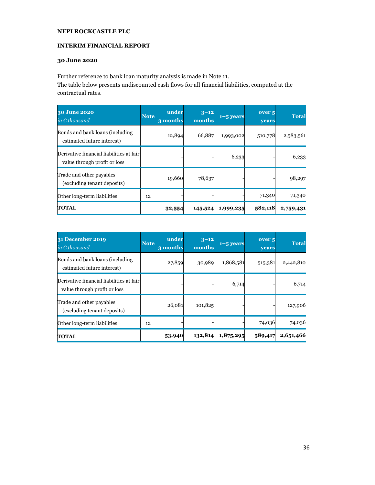#### **INTERIM FINANCIAL REPORT**

#### **30 June 2020**

Further reference to bank loan maturity analysis is made in Note 11.

The table below presents undiscounted cash flows for all financial liabilities, computed at the contractual rates.

| 30 June 2020<br>in $\epsilon$ thousand                                   | <b>Note</b> | under<br>3 months | $3 - 12$<br>months | $1 - 5$ years | over <sub>5</sub><br>years | <b>Total</b> |
|--------------------------------------------------------------------------|-------------|-------------------|--------------------|---------------|----------------------------|--------------|
| Bonds and bank loans (including<br>estimated future interest)            |             | 12,894            | 66,887             | 1,993,002     | 510,778                    | 2,583,561    |
| Derivative financial liabilities at fair<br>value through profit or loss |             |                   |                    | 6,233         |                            | 6,233        |
| Trade and other payables<br>(excluding tenant deposits)                  |             | 19,660            | 78,637             |               |                            | 98,297       |
| Other long-term liabilities                                              | 12          |                   |                    |               | 71,340                     | 71,340       |
| <b>TOTAL</b>                                                             |             | 32,554            | 145,524            | 1,999,235     | 582,118                    | 2,759,431    |

| 31 December 2019<br>in $\epsilon$ thousand                               | <b>Note</b> | under<br>3 months | $3 - 12$<br>months | $1 - 5$ years | over <sub>5</sub><br>vears | <b>Total</b> |
|--------------------------------------------------------------------------|-------------|-------------------|--------------------|---------------|----------------------------|--------------|
| Bonds and bank loans (including<br>estimated future interest)            |             | 27,859            | 30,989             | 1,868,581     | 515,381                    | 2,442,810    |
| Derivative financial liabilities at fair<br>value through profit or loss |             |                   |                    | 6,714         |                            | 6,714        |
| Trade and other payables<br>(excluding tenant deposits)                  |             | 26,081            | 101,825            |               |                            | 127,906      |
| Other long-term liabilities                                              | 12          |                   |                    |               | 74,036                     | 74,036       |
| <b>TOTAL</b>                                                             |             | 53,940            | 132,814            | 1,875,295     | 589,417                    | 2,651,466    |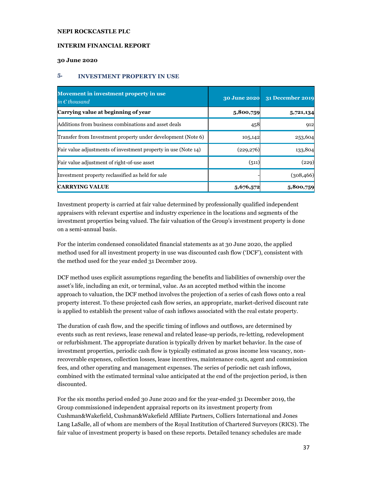### **INTERIM FINANCIAL REPORT**

#### **30 June 2020**

### **5. INVESTMENT PROPERTY IN USE**

| Movement in investment property in use<br>in $\epsilon$ thousand | <b>30 June 2020</b> | 31 December 2019 |
|------------------------------------------------------------------|---------------------|------------------|
| Carrying value at beginning of year                              | 5,800,759           | 5,721,134        |
| Additions from business combinations and asset deals             | 458                 | 912              |
| Transfer from Investment property under development (Note 6)     | 105,142             | 253,604          |
| Fair value adjustments of investment property in use (Note 14)   | (229, 276)          | 133,804          |
| Fair value adjustment of right-of-use asset                      | (511)               | (229)            |
| Investment property reclassified as held for sale                |                     | (308, 466)       |
| <b>CARRYING VALUE</b>                                            | 5,676,572           | 5,800,759        |

Investment property is carried at fair value determined by professionally qualified independent appraisers with relevant expertise and industry experience in the locations and segments of the investment properties being valued. The fair valuation of the Group's investment property is done on a semi-annual basis.

For the interim condensed consolidated financial statements as at 30 June 2020, the applied method used for all investment property in use was discounted cash flow ('DCF'), consistent with the method used for the year ended 31 December 2019.

DCF method uses explicit assumptions regarding the benefits and liabilities of ownership over the asset's life, including an exit, or terminal, value. As an accepted method within the income approach to valuation, the DCF method involves the projection of a series of cash flows onto a real property interest. To these projected cash flow series, an appropriate, market-derived discount rate is applied to establish the present value of cash inflows associated with the real estate property.

The duration of cash flow, and the specific timing of inflows and outflows, are determined by events such as rent reviews, lease renewal and related lease-up periods, re-letting, redevelopment or refurbishment. The appropriate duration is typically driven by market behavior. In the case of investment properties, periodic cash flow is typically estimated as gross income less vacancy, nonrecoverable expenses, collection losses, lease incentives, maintenance costs, agent and commission fees, and other operating and management expenses. The series of periodic net cash inflows, combined with the estimated terminal value anticipated at the end of the projection period, is then discounted.

For the six months period ended 30 June 2020 and for the year-ended 31 December 2019, the Group commissioned independent appraisal reports on its investment property from Cushman&Wakefield, Cushman&Wakefield Affiliate Partners, Colliers International and Jones Lang LaSalle, all of whom are members of the Royal Institution of Chartered Surveyors (RICS). The fair value of investment property is based on these reports. Detailed tenancy schedules are made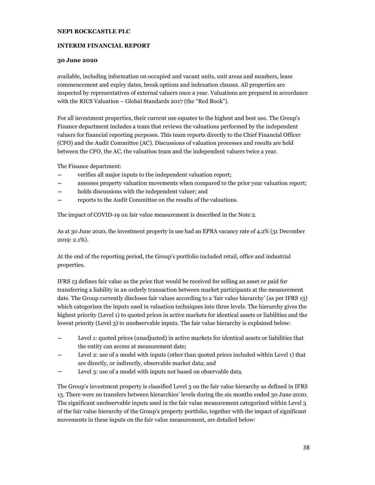### **INTERIM FINANCIAL REPORT**

#### **30 June 2020**

available, including information on occupied and vacant units, unit areas and numbers, lease commencement and expiry dates, break options and indexation clauses. All properties are inspected by representatives of external valuers once a year. Valuations are prepared in accordance with the RICS Valuation – Global Standards 2017 (the "Red Book").

For all investment properties, their current use equates to the highest and best use. The Group's Finance department includes a team that reviews the valuations performed by the independent valuers for financial reporting purposes. This team reports directly to the Chief Financial Officer (CFO) and the Audit Committee (AC). Discussions of valuation processes and results are held between the CFO, the AC, the valuation team and the independent valuers twice a year.

The Finance department:

- verifies all major inputs to the independent valuation report;
- − assesses property valuation movements when compared to the prior year valuation report;
- − holds discussions with the independent valuer; and
- − reports to the Audit Committee on the results of the valuations.

The impact of COVID-19 on fair value measurement is described in the Note 2.

As at 30 June 2020, the investment property in use had an EPRA vacancy rate of 4.2% (31 December 2019: 2.1%).

At the end of the reporting period, the Group's portfolio included retail, office and industrial properties.

IFRS 13 defines fair value as the price that would be received for selling an asset or paid for transferring a liability in an orderly transaction between market participants at the measurement date. The Group currently discloses fair values according to a 'fair value hierarchy' (as per IFRS 13) which categorizes the inputs used in valuation techniques into three levels. The hierarchy gives the highest priority (Level 1) to quoted prices in active markets for identical assets or liabilities and the lowest priority (Level 3) to unobservable inputs. The fair value hierarchy is explained below:

- Level 1: quoted prices (unadjusted) in active markets for identical assets or liabilities that the entity can access at measurement date;
- Level 2: use of a model with inputs (other than quoted prices included within Level 1) that are directly, or indirectly, observable market data; and
- Level 3: use of a model with inputs not based on observable data.

The Group's investment property is classified Level 3 on the fair value hierarchy as defined in IFRS 13. There were no transfers between hierarchies' levels during the six months ended 30 June 2020. The significant unobservable inputs used in the fair value measurement categorized within Level 3 of the fair value hierarchy of the Group's property portfolio, together with the impact of significant movements in these inputs on the fair value measurement, are detailed below: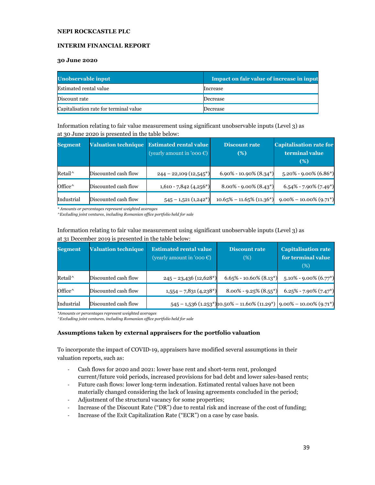### **INTERIM FINANCIAL REPORT**

#### **30 June 2020**

| Unobservable input                     | <b>Impact on fair value of increase in input</b> |
|----------------------------------------|--------------------------------------------------|
| Estimated rental value                 | Increase                                         |
| Discount rate                          | Decrease                                         |
| Capitalisation rate for terminal value | Decrease                                         |

Information relating to fair value measurement using significant unobservable inputs (Level 3) as at 30 June 2020 is presented in the table below:

| <b>Segment</b>  | <b>Valuation technique</b> | <b>Estimated rental value</b><br>(yearly amount in '000 $\epsilon$ ) | <b>Discount rate</b><br>(%)  | <b>Capitalisation rate for</b><br>terminal value<br>(%) |
|-----------------|----------------------------|----------------------------------------------------------------------|------------------------------|---------------------------------------------------------|
| Retail^         | Discounted cash flow       | $244 - 22,109$ $(12,545*)$                                           | $6.90\% - 10.90\%$ $(8.34*)$ | $5.20\%$ - 9.00% (6.86*)                                |
| Office $\wedge$ | Discounted cash flow       | $1,610 - 7,842$ (4,256*)                                             | $8.00\% - 9.00\% (8.43^*)$   | $6.54\%$ - 7.90% (7.49 <sup>*</sup> )                   |
| Industrial      | Discounted cash flow       | $545 - 1,521(1,242*)$                                                | $10.65\% - 11.65\% (11.36*)$ | $9.00\% - 10.00\% (9.71*)$                              |

*\* Amounts or percentages represent weighted averages*

*^Excluding joint ventures, including Romanian office portfolio held for sale*

| <b>Segment</b>  | <b>Valuation technique</b> | <b>Estimated rental value</b><br>(yearly amount in '000 $\epsilon$ ) | <b>Discount rate</b><br>(%)                                                     | <b>Capitalisation rate</b><br>for terminal value<br>(%) |
|-----------------|----------------------------|----------------------------------------------------------------------|---------------------------------------------------------------------------------|---------------------------------------------------------|
| Retail^         | Discounted cash flow       | $245 - 23,436(12,628*)$                                              | $6.65\% - 10.60\%$ (8.13 <sup>*</sup> )                                         | $5.10\% - 9.00\% (6.77*)$                               |
| Office $\wedge$ | Discounted cash flow       | $1,554 - 7,831(4,238*)$                                              | $8.00\%$ - 9.25% $(8.55^*)$                                                     | $6.25\%$ - 7.90% (7.47 <sup>*</sup> )                   |
| Industrial      | Discounted cash flow       |                                                                      | $545 - 1,536$ $(1.253^*)$ 10.50% – 11.60% $(11.29^*)$ 9.00% – 10.00% $(9.71^*)$ |                                                         |

### Information relating to fair value measurement using significant unobservable inputs (Level 3) as at 31 December 2019 is presented in the table below:

*\*Amounts or percentages represent weighted averages*

*^Excluding joint ventures, including Romanian office portfolio held for sale* 

### **Assumptions taken by external appraisers for the portfolio valuation**

To incorporate the impact of COVID-19, appraisers have modified several assumptions in their valuation reports, such as:

- Cash flows for 2020 and 2021: lower base rent and short-term rent, prolonged current/future void periods, increased provisions for bad debt and lower sales-based rents;
- Future cash flows: lower long-term indexation. Estimated rental values have not been materially changed considering the lack of leasing agreements concluded in the period;
- Adjustment of the structural vacancy for some properties;
- Increase of the Discount Rate ("DR") due to rental risk and increase of the cost of funding;
- Increase of the Exit Capitalization Rate ("ECR") on a case by case basis.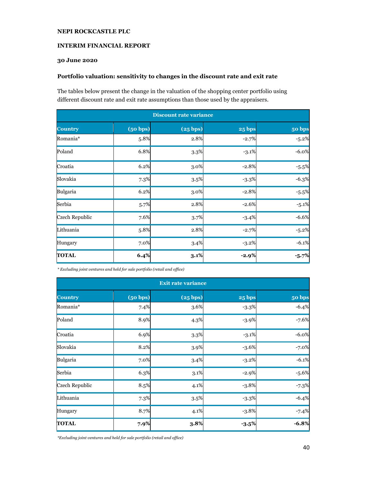### **INTERIM FINANCIAL REPORT**

# **30 June 2020**

#### **Portfolio valuation: sensitivity to changes in the discount rate and exit rate**

The tables below present the change in the valuation of the shopping center portfolio using different discount rate and exit rate assumptions than those used by the appraisers.

| <b>Discount rate variance</b> |          |          |          |          |  |
|-------------------------------|----------|----------|----------|----------|--|
| <b>Country</b>                | (50 bps) | (25 bps) | 25 bps   | 50 bps   |  |
| Romania*                      | 5.8%     | 2.8%     | $-2.7%$  | $-5.2%$  |  |
| Poland                        | 6.8%     | 3.3%     | $-3.1\%$ | $-6.0\%$ |  |
| Croatia                       | 6.2%     | 3.0%     | $-2.8%$  | $-5.5%$  |  |
| Slovakia                      | 7.3%     | 3.5%     | $-3.3%$  | $-6.3%$  |  |
| Bulgaria                      | 6.2%     | 3.0%     | $-2.8%$  | $-5.5%$  |  |
| Serbia                        | 5.7%     | 2.8%     | $-2.6%$  | $-5.1%$  |  |
| Czech Republic                | 7.6%     | 3.7%     | $-3.4%$  | $-6.6%$  |  |
| Lithuania                     | 5.8%     | 2.8%     | $-2.7%$  | $-5.2%$  |  |
| Hungary                       | 7.0%     | 3.4%     | $-3.2%$  | $-6.1%$  |  |
| <b>TOTAL</b>                  | 6.4%     | 3.1%     | $-2.9%$  | $-5.7%$  |  |

*\* Excluding joint ventures and held for sale portfolio (retail and office)* 

| <b>Exit rate variance</b> |          |          |               |          |  |
|---------------------------|----------|----------|---------------|----------|--|
| <b>Country</b>            | (50 bps) | (25 bps) | <b>25 bps</b> | 50 bps   |  |
| Romania*                  | 7.4%     | 3.6%     | $-3.3%$       | $-6.4%$  |  |
| Poland                    | 8.9%     | 4.3%     | $-3.9%$       | $-7.6%$  |  |
| Croatia                   | 6.9%     | 3.3%     | $-3.1%$       | $-6.0\%$ |  |
| Slovakia                  | 8.2%     | 3.9%     | $-3.6%$       | $-7.0%$  |  |
| Bulgaria                  | 7.0%     | 3.4%     | $-3.2%$       | $-6.1%$  |  |
| Serbia                    | 6.3%     | 3.1%     | $-2.9%$       | $-5.6%$  |  |
| Czech Republic            | 8.5%     | 4.1%     | $-3.8%$       | $-7.3%$  |  |
| Lithuania                 | 7.3%     | 3.5%     | $-3.3%$       | $-6.4%$  |  |
| Hungary                   | 8.7%     | 4.1%     | $-3.8%$       | $-7.4%$  |  |
| <b>TOTAL</b>              | 7.9%     | 3.8%     | $-3.5%$       | $-6.8%$  |  |

*\*Excluding joint ventures and held for sale portfolio (retail and office)*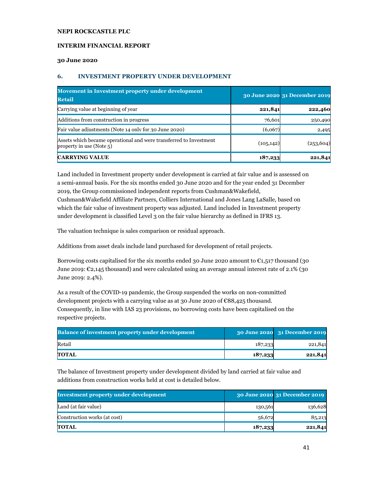### **INTERIM FINANCIAL REPORT**

#### **30 June 2020**

### **6. INVESTMENT PROPERTY UNDER DEVELOPMENT**

| Movement in Investment property under development<br><b>Retail</b>                             |            | 30 June 2020 31 December 2019 |
|------------------------------------------------------------------------------------------------|------------|-------------------------------|
| Carrying value at beginning of year                                                            | 221,841    | 222,460                       |
| Additions from construction in progress                                                        | 76,601     | 250,490                       |
| Fair value adjustments (Note 14 only for 30 June 2020)                                         | (6,067)    | 2,495                         |
| Assets which became operational and were transferred to Investment<br>property in use (Note 5) | (105, 142) | (253, 604)                    |
| <b>CARRYING VALUE</b>                                                                          | 187,233    | 221,841                       |

Land included in Investment property under development is carried at fair value and is assessed on a semi-annual basis. For the six months ended 30 June 2020 and for the year ended 31 December 2019, the Group commissioned independent reports from Cushman&Wakefield,

Cushman&Wakefield Affiliate Partners, Colliers International and Jones Lang LaSalle, based on which the fair value of investment property was adjusted. Land included in Investment property under development is classified Level 3 on the fair value hierarchy as defined in IFRS 13.

The valuation technique is sales comparison or residual approach.

Additions from asset deals include land purchased for development of retail projects.

Borrowing costs capitalised for the six months ended 30 June 2020 amount to  $\epsilon_{1,517}$  thousand (30 June 2019:  $\mathcal{L}_{2,145}$  thousand) and were calculated using an average annual interest rate of 2.1% (30 June 2019: 2.4%).

As a result of the COVID-19 pandemic, the Group suspended the works on non-committed development projects with a carrying value as at 30 June 2020 of  $\epsilon$ 88,425 thousand. Consequently, in line with IAS 23 provisions, no borrowing costs have been capitalised on the respective projects.

| <b>Balance of investment property under development</b> |         | 30 June 2020 31 December 2019 |
|---------------------------------------------------------|---------|-------------------------------|
| Retail                                                  | 187,233 | 221,841                       |
| TOTAL                                                   | 187,233 | 221,841                       |

The balance of Investment property under development divided by land carried at fair value and additions from construction works held at cost is detailed below.

| <b>Investment property under development</b> |         | 30 June 2020 31 December 2019 |
|----------------------------------------------|---------|-------------------------------|
| Land (at fair value)                         | 130,561 | 136,628                       |
| Construction works (at cost)                 | 56,672  | 85,213                        |
| TOTAL                                        | 187,233 | 221,841                       |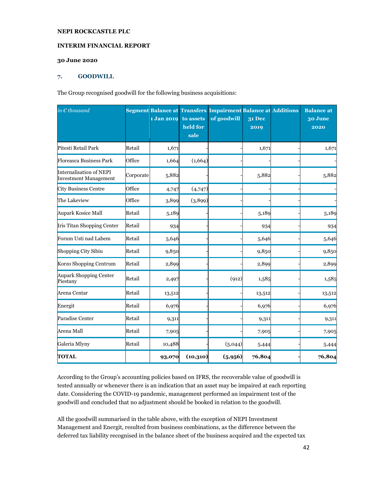#### **INTERIM FINANCIAL REPORT**

### **30 June 2020**

#### **7. GOODWILL**

The Group recognised goodwill for the following business acquisitions:

| in $\epsilon$ thousand                                         |           | 1 Jan 2019 | to assets<br>held for<br>sale | Segment Balance at Transfers Impairment Balance at Additions<br>of goodwill | <b>31 Dec</b><br>2019 | <b>Balance</b> at<br>30 June<br>2020 |
|----------------------------------------------------------------|-----------|------------|-------------------------------|-----------------------------------------------------------------------------|-----------------------|--------------------------------------|
| Pitesti Retail Park                                            | Retail    | 1,671      |                               |                                                                             | 1,671                 | 1,671                                |
| <b>Floreasca Business Park</b>                                 | Office    | 1,664      | (1,664)                       |                                                                             |                       |                                      |
| <b>Internalisation of NEPI</b><br><b>Investment Management</b> | Corporate | 5,882      |                               |                                                                             | 5,882                 | 5,882                                |
| <b>City Business Centre</b>                                    | Office    | 4,747      | (4,747)                       |                                                                             |                       |                                      |
| The Lakeview                                                   | Office    | 3,899      | (3,899)                       |                                                                             |                       |                                      |
| <b>Aupark Kosice Mall</b>                                      | Retail    | 5,189      |                               |                                                                             | 5,189                 | 5,189                                |
| Iris Titan Shopping Center                                     | Retail    | 934        |                               |                                                                             | 934                   | 934                                  |
| Forum Usti nad Labem                                           | Retail    | 5,646      |                               |                                                                             | 5,646                 | 5,646                                |
| Shopping City Sibiu                                            | Retail    | 9,850      |                               |                                                                             | 9,850                 | 9,850                                |
| Korzo Shopping Centrum                                         | Retail    | 2,899      |                               |                                                                             | 2,899                 | 2,899                                |
| <b>Aupark Shopping Center</b><br>Piestany                      | Retail    | 2,497      |                               | (912)                                                                       | 1,585                 | 1,585                                |
| Arena Centar                                                   | Retail    | 13,512     |                               |                                                                             | 13,512                | 13,512                               |
| Energit                                                        | Retail    | 6,976      |                               |                                                                             | 6,976                 | 6,976                                |
| Paradise Center                                                | Retail    | 9,311      |                               |                                                                             | 9,311                 | 9,311                                |
| Arena Mall                                                     | Retail    | 7,905      |                               |                                                                             | 7,905                 | 7,905                                |
| Galeria Mlyny                                                  | Retail    | 10,488     |                               | (5,044)                                                                     | 5,444                 | 5,444                                |
| <b>TOTAL</b>                                                   |           | 93,070     | (10,310)                      | (5, 956)                                                                    | 76,804                | 76,804                               |

According to the Group's accounting policies based on IFRS, the recoverable value of goodwill is tested annually or whenever there is an indication that an asset may be impaired at each reporting date. Considering the COVID-19 pandemic, management performed an impairment test of the goodwill and concluded that no adjustment should be booked in relation to the goodwill.

All the goodwill summarised in the table above, with the exception of NEPI Investment Management and Energit, resulted from business combinations, as the difference between the deferred tax liability recognised in the balance sheet of the business acquired and the expected tax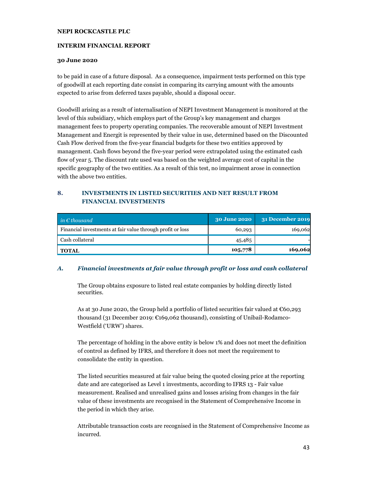### **INTERIM FINANCIAL REPORT**

#### **30 June 2020**

to be paid in case of a future disposal. As a consequence, impairment tests performed on this type of goodwill at each reporting date consist in comparing its carrying amount with the amounts expected to arise from deferred taxes payable, should a disposal occur.

Goodwill arising as a result of internalisation of NEPI Investment Management is monitored at the level of this subsidiary, which employs part of the Group's key management and charges management fees to property operating companies. The recoverable amount of NEPI Investment Management and Energit is represented by their value in use, determined based on the Discounted Cash Flow derived from the five-year financial budgets for these two entities approved by management. Cash flows beyond the five-year period were extrapolated using the estimated cash flow of year 5. The discount rate used was based on the weighted average cost of capital in the specific geography of the two entities. As a result of this test, no impairment arose in connection with the above two entities.

### **8. INVESTMENTS IN LISTED SECURITIES AND NET RESULT FROM FINANCIAL INVESTMENTS**

| $\quad$ in $\epsilon$ thousand                             | <b>30 June 2020</b> | 31 December 2019 |
|------------------------------------------------------------|---------------------|------------------|
| Financial investments at fair value through profit or loss | 60,293              | 169,062          |
| Cash collateral                                            | 45,485              |                  |
| <b>TOTAL</b>                                               | 105,778             | 169,062          |

### *A. Financial investments at fair value through profit or loss and cash collateral*

The Group obtains exposure to listed real estate companies by holding directly listed securities.

As at 30 June 2020, the Group held a portfolio of listed securities fair valued at €60,293 thousand (31 December 2019: €169,062 thousand), consisting of Unibail-Rodamco-Westfield ('URW') shares.

The percentage of holding in the above entity is below 1% and does not meet the definition of control as defined by IFRS, and therefore it does not meet the requirement to consolidate the entity in question.

The listed securities measured at fair value being the quoted closing price at the reporting date and are categorised as Level 1 investments, according to IFRS 13 - Fair value measurement. Realised and unrealised gains and losses arising from changes in the fair value of these investments are recognised in the Statement of Comprehensive Income in the period in which they arise.

Attributable transaction costs are recognised in the Statement of Comprehensive Income as incurred.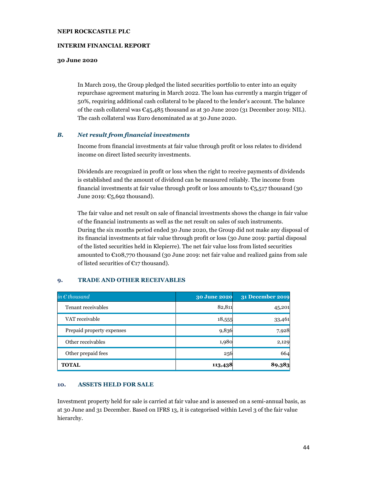### **INTERIM FINANCIAL REPORT**

#### **30 June 2020**

In March 2019, the Group pledged the listed securities portfolio to enter into an equity repurchase agreement maturing in March 2022. The loan has currently a margin trigger of 50%, requiring additional cash collateral to be placed to the lender's account. The balance of the cash collateral was  $\epsilon_{45,485}$  thousand as at 30 June 2020 (31 December 2019: NIL). The cash collateral was Euro denominated as at 30 June 2020.

#### *B. Net result from financial investments*

Income from financial investments at fair value through profit or loss relates to dividend income on direct listed security investments.

Dividends are recognized in profit or loss when the right to receive payments of dividends is established and the amount of dividend can be measured reliably. The income from financial investments at fair value through profit or loss amounts to  $\epsilon_{5,517}$  thousand (30 June 2019:  $\mathbb{C}_5$ , 692 thousand).

The fair value and net result on sale of financial investments shows the change in fair value of the financial instruments as well as the net result on sales of such instruments. During the six months period ended 30 June 2020, the Group did not make any disposal of its financial investments at fair value through profit or loss (30 June 2019: partial disposal of the listed securities held in Klepierre). The net fair value loss from listed securities amounted to  $\epsilon$ 108,770 thousand (30 June 2019: net fair value and realized gains from sale of listed securities of  $E$ 17 thousand).

| in $\epsilon$ thousand    | 30 June 2020 | <b>31 December 2019</b> |
|---------------------------|--------------|-------------------------|
| Tenant receivables        | 82,811       | 45,201                  |
| VAT receivable            | 18,555       | 33,461                  |
| Prepaid property expenses | 9,836        | 7,928                   |
| Other receivables         | 1,980        | 2,129                   |
| Other prepaid fees        | 256          | 664                     |
| <b>TOTAL</b>              | 113,438      | 89,383                  |

#### **9. TRADE AND OTHER RECEIVABLES**

#### **10. ASSETS HELD FOR SALE**

Investment property held for sale is carried at fair value and is assessed on a semi-annual basis, as at 30 June and 31 December. Based on IFRS 13, it is categorised within Level 3 of the fair value hierarchy.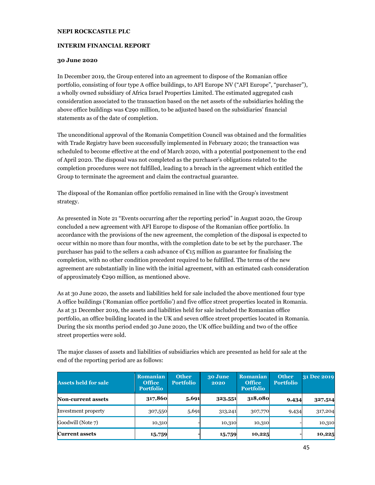### **INTERIM FINANCIAL REPORT**

#### **30 June 2020**

In December 2019, the Group entered into an agreement to dispose of the Romanian office portfolio, consisting of four type A office buildings, to AFI Europe NV ("AFI Europe", "purchaser"), a wholly owned subsidiary of Africa Israel Properties Limited. The estimated aggregated cash consideration associated to the transaction based on the net assets of the subsidiaries holding the above office buildings was  $\mathfrak{C}$ 290 million, to be adjusted based on the subsidiaries' financial statements as of the date of completion.

The unconditional approval of the Romania Competition Council was obtained and the formalities with Trade Registry have been successfully implemented in February 2020; the transaction was scheduled to become effective at the end of March 2020, with a potential postponement to the end of April 2020. The disposal was not completed as the purchaser's obligations related to the completion procedures were not fulfilled, leading to a breach in the agreement which entitled the Group to terminate the agreement and claim the contractual guarantee.

The disposal of the Romanian office portfolio remained in line with the Group's investment strategy.

As presented in Note 21 "Events occurring after the reporting period" in August 2020, the Group concluded a new agreement with AFI Europe to dispose of the Romanian office portfolio. In accordance with the provisions of the new agreement, the completion of the disposal is expected to occur within no more than four months, with the completion date to be set by the purchaser. The purchaser has paid to the sellers a cash advance of  $\epsilon_{15}$  million as guarantee for finalising the completion, with no other condition precedent required to be fulfilled. The terms of the new agreement are substantially in line with the initial agreement, with an estimated cash consideration of approximately  $\epsilon$ 290 million, as mentioned above.

As at 30 June 2020, the assets and liabilities held for sale included the above mentioned four type A office buildings ('Romanian office portfolio') and five office street properties located in Romania. As at 31 December 2019, the assets and liabilities held for sale included the Romanian office portfolio, an office building located in the UK and seven office street properties located in Romania. During the six months period ended 30 June 2020, the UK office building and two of the office street properties were sold.

The major classes of assets and liabilities of subsidiaries which are presented as held for sale at the end of the reporting period are as follows:

| <b>Assets held for sale</b> | <b>Romanian</b><br><b>Office</b><br><b>Portfolio</b> | <b>Other</b><br><b>Portfolio</b> | 30 June<br>2020 | <b>Romanian</b><br><b>Office</b><br><b>Portfolio</b> | <b>Other</b><br><b>Portfolio</b> | 31 Dec 2019 |
|-----------------------------|------------------------------------------------------|----------------------------------|-----------------|------------------------------------------------------|----------------------------------|-------------|
| <b>Non-current assets</b>   | 317,860                                              | 5,691                            | 323,551         | 318,080                                              | 9,434                            | 327,514     |
| Investment property         | 307,550                                              | 5,691                            | 313,241         | 307,770                                              | 9,434                            | 317,204     |
| Goodwill (Note 7)           | 10,310                                               |                                  | 10,310          | 10,310                                               |                                  | 10,310      |
| <b>Current assets</b>       | 15,759                                               |                                  | 15,759          | 10,225                                               |                                  | 10,225      |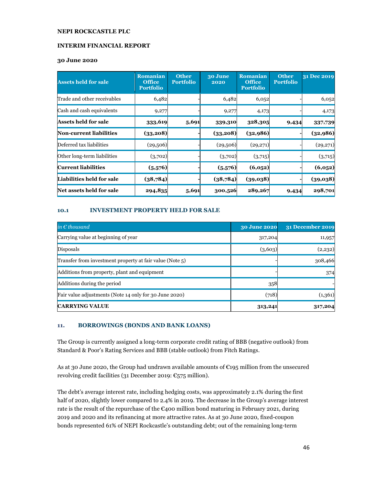### **INTERIM FINANCIAL REPORT**

### **30 June 2020**

| <b>Assets held for sale</b>    | <b>Romanian</b><br><b>Office</b><br><b>Portfolio</b> | <b>Other</b><br><b>Portfolio</b> | 30 June<br>2020 | <b>Romanian</b><br><b>Office</b><br><b>Portfolio</b> | <b>Other</b><br><b>Portfolio</b> | 31 Dec 2019 |
|--------------------------------|------------------------------------------------------|----------------------------------|-----------------|------------------------------------------------------|----------------------------------|-------------|
| Trade and other receivables    | 6,482                                                |                                  | 6,482           | 6,052                                                |                                  | 6,052       |
| Cash and cash equivalents      | 9,277                                                |                                  | 9,277           | 4,173                                                |                                  | 4,173       |
| <b>Assets held for sale</b>    | 333,619                                              | 5,691                            | 339,310         | 328,305                                              | 9,434                            | 337,739     |
| <b>Non-current liabilities</b> | (33,208)                                             |                                  | (33,208)        | (32,986)                                             |                                  | (32,986)    |
| Deferred tax liabilities       | (29,506)                                             |                                  | (29,506)        | (29,271)                                             |                                  | (29,271)    |
| Other long-term liabilities    | (3,702)                                              |                                  | (3,702)         | (3,715)                                              |                                  | (3,715)     |
| <b>Current liabilities</b>     | (5,576)                                              |                                  | (5,576)         | (6,052)                                              |                                  | (6,052)     |
| Liabilities held for sale      | (38,784)                                             |                                  | (38,784)        | (39,038)                                             |                                  | (39,038)    |
| Net assets held for sale       | 294,835                                              | 5,691                            | 300,526         | 289,267                                              | 9,434                            | 298,701     |

### **10.1 INVESTMENT PROPERTY HELD FOR SALE**

| in $\epsilon$ thousand                                   | <b>30 June 2020</b> | <b>31 December 2019</b> |
|----------------------------------------------------------|---------------------|-------------------------|
| Carrying value at beginning of year                      | 317,204             | 11,957                  |
| Disposals                                                | (3,603)             | (2,232)                 |
| Transfer from investment property at fair value (Note 5) |                     | 308,466                 |
| Additions from property, plant and equipment             |                     | 374                     |
| Additions during the period                              | 358                 |                         |
| Fair value adjustments (Note 14 only for 30 June 2020)   | (718)               | (1,361)                 |
| <b>CARRYING VALUE</b>                                    | 313,241             | 317,204                 |

### **11. BORROWINGS (BONDS AND BANK LOANS)**

The Group is currently assigned a long-term corporate credit rating of BBB (negative outlook) from Standard & Poor's Rating Services and BBB (stable outlook) from Fitch Ratings.

As at 30 June 2020, the Group had undrawn available amounts of €195 million from the unsecured revolving credit facilities (31 December 2019: €575 million).

The debt's average interest rate, including hedging costs, was approximately 2.1% during the first half of 2020, slightly lower compared to 2.4% in 2019. The decrease in the Group's average interest rate is the result of the repurchase of the  $\epsilon$ 400 million bond maturing in February 2021, during 2019 and 2020 and its refinancing at more attractive rates. As at 30 June 2020, fixed-coupon bonds represented 61% of NEPI Rockcastle's outstanding debt; out of the remaining long-term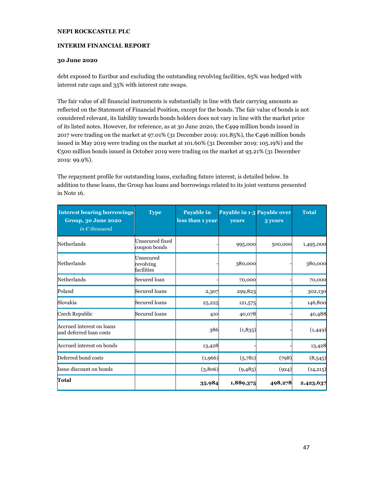### **INTERIM FINANCIAL REPORT**

### **30 June 2020**

debt exposed to Euribor and excluding the outstanding revolving facilities, 65% was hedged with interest rate caps and 35% with interest rate swaps.

The fair value of all financial instruments is substantially in line with their carrying amounts as reflected on the Statement of Financial Position, except for the bonds. The fair value of bonds is not considered relevant, its liability towards bonds holders does not vary in line with the market price of its listed notes. However, for reference, as at 30 June 2020, the €499 million bonds issued in 2017 were trading on the market at 97.01% (31 December 2019: 101.85%), the  $\epsilon$ 496 million bonds issued in May 2019 were trading on the market at 101.60% (31 December 2019: 105.19%) and the €500 million bonds issued in October 2019 were trading on the market at 93.21% (31 December 2019: 99.9%).

The repayment profile for outstanding loans, excluding future interest, is detailed below. In addition to these loans, the Group has loans and borrowings related to its joint ventures presented in Note 16.

| <b>Interest bearing borrowings</b><br>Group, 30 June 2020<br>in $\epsilon$ thousand | Type                                 | Payable in<br>less than 1 year | Payable in 1-5 Payable over<br>years | 5 years | <b>Total</b> |
|-------------------------------------------------------------------------------------|--------------------------------------|--------------------------------|--------------------------------------|---------|--------------|
| Netherlands                                                                         | Unsecured fixed<br>coupon bonds      |                                | 995,000                              | 500,000 | 1,495,000    |
| Netherlands                                                                         | Unsecured<br>revolving<br>facilities |                                | 380,000                              |         | 380,000      |
| Netherlands                                                                         | Secured loan                         |                                | 70,000                               |         | 70,000       |
| Poland                                                                              | <b>Secured loans</b>                 | 2,307                          | 299,823                              |         | 302,130      |
| Slovakia                                                                            | Secured loans                        | 25,225                         | 121,575                              |         | 146,800      |
| Czech Republic                                                                      | Secured loans                        | 410                            | 40,078                               |         | 40,488       |
| Accrued interest on loans<br>and deferred loan costs                                |                                      | 386                            | (1,835)                              |         | (1,449)      |
| Accrued interest on bonds                                                           |                                      | 13,428                         |                                      |         | 13,428       |
| Deferred bond costs                                                                 |                                      | (1,966)                        | (5,781)                              | (798)   | (8,545)      |
| Issue discount on bonds                                                             |                                      | (3,806)                        | (9,485)                              | (924)   | (14, 215)    |
| Total                                                                               |                                      | 35,984                         | 1,889,375                            | 498,278 | 2,423,637    |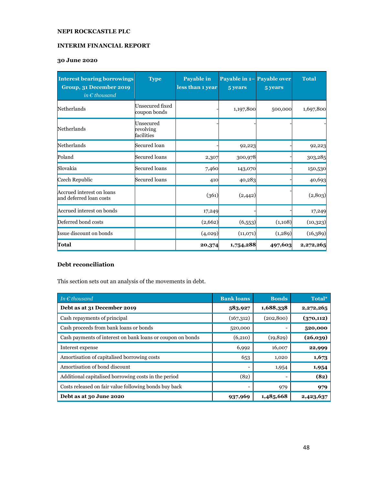### **INTERIM FINANCIAL REPORT**

# **30 June 2020**

| <b>Interest bearing borrowings</b><br>Group, 31 December 2019 | <b>Type</b>                          | Payable in<br>less than 1 year | Payable in 1- Payable over<br>5 years | 5 years | <b>Total</b> |
|---------------------------------------------------------------|--------------------------------------|--------------------------------|---------------------------------------|---------|--------------|
| in $\epsilon$ thousand                                        |                                      |                                |                                       |         |              |
| Netherlands                                                   | Unsecured fixed<br>coupon bonds      |                                | 1,197,800                             | 500,000 | 1,697,800    |
| Netherlands                                                   | Unsecured<br>revolving<br>facilities |                                |                                       |         |              |
| Netherlands                                                   | Secured loan                         |                                | 92,223                                |         | 92,223       |
| Poland                                                        | Secured loans                        | 2,307                          | 300,978                               |         | 303,285      |
| Slovakia                                                      | Secured loans                        | 7,460                          | 143,070                               |         | 150,530      |
| Czech Republic                                                | Secured loans                        | 410                            | 40,283                                |         | 40,693       |
| Accrued interest on loans<br>and deferred loan costs          |                                      | (361)                          | (2,442)                               |         | (2,803)      |
| Accrued interest on bonds                                     |                                      | 17,249                         |                                       |         | 17,249       |
| Deferred bond costs                                           |                                      | (2,662)                        | (6,553)                               | (1,108) | (10, 323)    |
| Issue discount on bonds                                       |                                      | (4,029)                        | (11,071)                              | (1,289) | (16,389)     |
| Total                                                         |                                      | 20,374                         | 1,754,288                             | 497,603 | 2,272,265    |

# **Debt reconciliation**

This section sets out an analysis of the movements in debt.

| In $\epsilon$ thousand                                     | <b>Bank loans</b>        | <b>Bonds</b> | Total*     |
|------------------------------------------------------------|--------------------------|--------------|------------|
| Debt as at 31 December 2019                                | 583,927                  | 1,688,338    | 2,272,265  |
| Cash repayments of principal                               | (167,312)                | (202, 800)   | (370, 112) |
| Cash proceeds from bank loans or bonds                     | 520,000                  |              | 520,000    |
| Cash payments of interest on bank loans or coupon on bonds | (6,210)                  | (19, 829)    | (26,039)   |
| Interest expense                                           | 6,992                    | 16,007       | 22,999     |
| Amortisation of capitalised borrowing costs                | 653                      | 1,020        | 1,673      |
| Amortisation of bond discount                              | $\overline{\phantom{a}}$ | 1,954        | 1,954      |
| Additional capitalised borrowing costs in the period       | (82)                     |              | (82)       |
| Costs released on fair value following bonds buy back      | -                        | 979          | 979        |
| Debt as at 30 June 2020                                    | 937,969                  | 1,485,668    | 2,423,637  |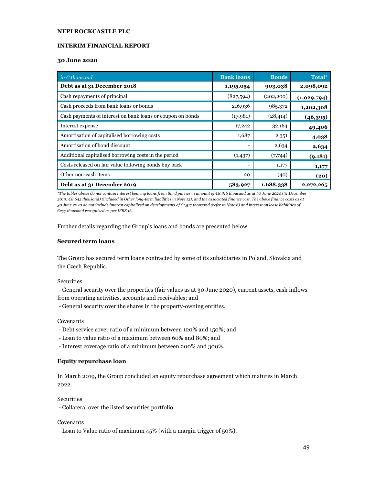#### **INTERIM FINANCIAL REPORT**

#### **30 June 2020**

| in $\epsilon$ thousand                                     | <b>Bank loans</b> | <b>Bonds</b> | Total*      |
|------------------------------------------------------------|-------------------|--------------|-------------|
| Debt as at 31 December 2018                                | 1,195,054         | 903,038      | 2,098,092   |
| Cash repayments of principal                               | (827,594)         | (202, 200)   | (1,029,794) |
| Cash proceeds from bank loans or bonds                     | 216,936           | 985,372      | 1,202,308   |
| Cash payments of interest on bank loans or coupon on bonds | (17, 981)         | (28, 414)    | (46,395)    |
| Interest expense                                           | 17,242            | 32,164       | 49,406      |
| Amortisation of capitalised borrowing costs                | 1,687             | 2,351        | 4,038       |
| Amortisation of bond discount                              | ۰                 | 2,634        | 2,634       |
| Additional capitalised borrowing costs in the period       | (1,437)           | (7,744)      | (9, 181)    |
| Costs released on fair value following bonds buy back      |                   | 1,177        | 1,177       |
| Other non-cash items                                       | 20                | (40)         | (20)        |
| Debt as at 31 December 2019                                | 583,927           | 1,688,338    | 2,272,265   |

*\*The tables above do not contain interest bearing loans from third parties in amount of €8,816 thousand as at 30 June 2020 (31 December 2019: €8,642 thousand) (included in Other long-term liabilities in Note 12), and the associated finance cost. The above finance costs as at 30 June 2020 do not include interest capitalized on developments of €1,517 thousand (refer to Note 6) and interest on lease liabilities of €277 thousand recognised as per IFRS 16.* 

Further details regarding the Group's loans and bonds are presented below.

#### **Secured term loans**

The Group has secured term loans contracted by some of its subsidiaries in Poland, Slovakia and the Czech Republic.

#### **Securities**

 - General security over the properties (fair values as at 30 June 2020), current assets, cash inflows from operating activities, accounts and receivables; and

- General security over the shares in the property-owning entities.

#### Covenants

- Debt service cover ratio of a minimum between 120% and 150%; and
- Loan to value ratio of a maximum between 60% and 80%; and
- Interest coverage ratio of a minimum between 200% and 300%.

### **Equity repurchase loan**

In March 2019, the Group concluded an equity repurchase agreement which matures in March 2022.

**Securities** 

- Collateral over the listed securities portfolio.

#### Covenants

- Loan to Value ratio of maximum 45% (with a margin trigger of 50%).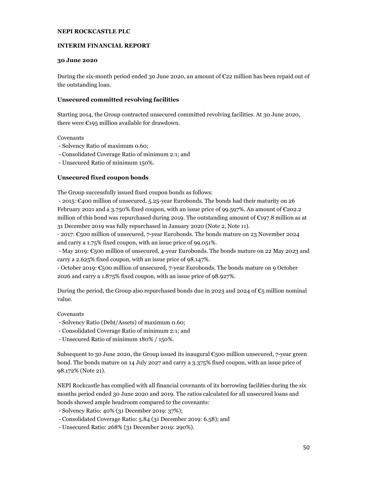### **INTERIM FINANCIAL REPORT**

### **30 June 2020**

During the six-month period ended 30 June 2020, an amount of €22 million has been repaid out of the outstanding loan.

### **Unsecured committed revolving facilities**

Starting 2014, the Group contracted unsecured committed revolving facilities. At 30 June 2020, there were  $\epsilon$ 195 million available for drawdown.

### Covenants

- Solvency Ratio of maximum 0.60;
- Consolidated Coverage Ratio of minimum 2:1; and
- Unsecured Ratio of minimum 150%.

### **Unsecured fixed coupon bonds**

The Group successfully issued fixed coupon bonds as follows:

 - 2015: €400 million of unsecured, 5.25-year Eurobonds. The bonds had their maturity on 26 February 2021 and a 3.750% fixed coupon, with an issue price of 99.597%. An amount of €202.2 million of this bond was repurchased during 2019. The outstanding amount of  $\epsilon$ 197.8 million as at 31 December 2019 was fully repurchased in January 2020 (Note 2, Note 11).

- 2017: €500 million of unsecured, 7-year Eurobonds. The bonds mature on 23 November 2024 and carry a 1.75% fixed coupon, with an issue price of 99.051%.

 - May 2019: €500 million of unsecured, 4-year Eurobonds. The bonds mature on 22 May 2023 and carry a 2.625% fixed coupon, with an issue price of 98.147%.

- October 2019: €500 million of unsecured, 7-year Eurobonds. The bonds mature on 9 October 2026 and carry a 1.875% fixed coupon, with an issue price of 98.927%.

During the period, the Group also repurchased bonds due in 2023 and 2024 of  $\epsilon_5$  million nominal value.

### Covenants

- Solvency Ratio (Debt/Assets) of maximum 0.60;
- Consolidated Coverage Ratio of minimum 2:1; and
- Unsecured Ratio of minimum 180% / 150%.

Subsequent to 30 June 2020, the Group issued its inaugural  $\mathfrak{C}_5$  oo million unsecured, 7-year green bond. The bonds mature on 14 July 2027 and carry a 3.375% fixed coupon, with an issue price of 98.172% (Note 21).

NEPI Rockcastle has complied with all financial covenants of its borrowing facilities during the six months period ended 30 June 2020 and 2019. The ratios calculated for all unsecured loans and bonds showed ample headroom compared to the covenants:

- Solvency Ratio: 40% (31 December 2019: 37%);
- Consolidated Coverage Ratio: 5.84 (31 December 2019: 6.58); and
- Unsecured Ratio: 268% (31 December 2019: 290%).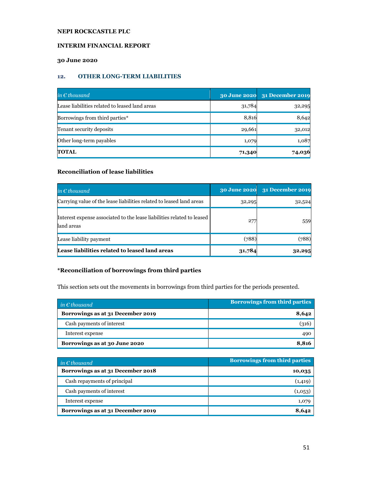# **INTERIM FINANCIAL REPORT**

# **30 June 2020**

### **12. OTHER LONG-TERM LIABILITIES**

| in $\epsilon$ thousand                         | <b>30 June 2020</b> | 31 December 2019 |
|------------------------------------------------|---------------------|------------------|
| Lease liabilities related to leased land areas | 31,784              | 32,295           |
| Borrowings from third parties*                 | 8,816               | 8,642            |
| Tenant security deposits                       | 29,661              | 32,012           |
| Other long-term payables                       | 1,079               | 1,087            |
| <b>TOTAL</b>                                   | 71,340              | 74,036           |

# **Reconciliation of lease liabilities**

| in $\epsilon$ thousand                                                               | <b>30 June 2020</b> | 31 December 2019 |
|--------------------------------------------------------------------------------------|---------------------|------------------|
| Carrying value of the lease liabilities related to leased land areas                 | 32,295              | 32,524           |
| Interest expense associated to the lease liabilities related to leased<br>land areas | 27'                 | 559              |
| Lease liability payment                                                              | (788)               | (788)            |
| Lease liabilities related to leased land areas                                       | 31,784              | 32,295           |

# **\*Reconciliation of borrowings from third parties**

This section sets out the movements in borrowings from third parties for the periods presented.

| $\mathbf{in} \in \mathbb{R}$ thousand | <b>Borrowings from third parties</b> |  |  |
|---------------------------------------|--------------------------------------|--|--|
| Borrowings as at 31 December 2019     | 8,642                                |  |  |
| Cash payments of interest             | (316)                                |  |  |
| Interest expense                      | 490                                  |  |  |
| Borrowings as at 30 June 2020         | 8.816                                |  |  |

| $\mathbf{in} \in \mathbb{R}$ thousand | <b>Borrowings from third parties</b> |
|---------------------------------------|--------------------------------------|
| Borrowings as at 31 December 2018     | 10,035                               |
| Cash repayments of principal          | (1, 419)                             |
| Cash payments of interest             | (1,0.53)                             |
| Interest expense                      | 1,079                                |
| Borrowings as at 31 December 2019     | 8,642                                |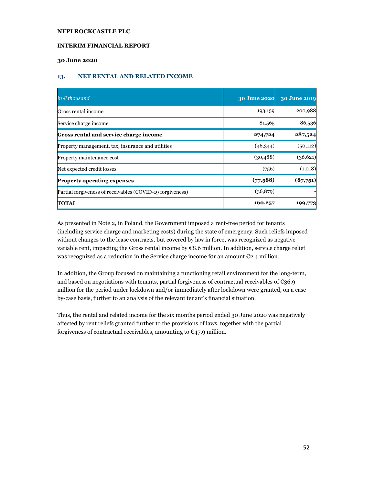### **INTERIM FINANCIAL REPORT**

### **30 June 2020**

### **13. NET RENTAL AND RELATED INCOME**

| in $\epsilon$ thousand                                    | <b>30 June 2020</b> | 30 June 2019 |
|-----------------------------------------------------------|---------------------|--------------|
| Gross rental income                                       | 193,159             | 200,988      |
| Service charge income                                     | 81,565              | 86,536       |
| Gross rental and service charge income                    | 274,724             | 287,524      |
| Property management, tax, insurance and utilities         | (46,344)            | (50, 112)    |
| Property maintenance cost                                 | (30, 488)           | (36,621)     |
| Net expected credit losses                                | (756)               | (1,018)      |
| <b>Property operating expenses</b>                        | (77,588)            | (87,751)     |
| Partial forgiveness of receivables (COVID-19 forgiveness) | (36,879)            |              |
| <b>TOTAL</b>                                              | 160,257             | 199,773      |

As presented in Note 2, in Poland, the Government imposed a rent-free period for tenants (including service charge and marketing costs) during the state of emergency. Such reliefs imposed without changes to the lease contracts, but covered by law in force, was recognized as negative variable rent, impacting the Gross rental income by  $\mathfrak{C}8.6$  million. In addition, service charge relief was recognized as a reduction in the Service charge income for an amount  $\epsilon_{2.4}$  million.

In addition, the Group focused on maintaining a functioning retail environment for the long-term, and based on negotiations with tenants, partial forgiveness of contractual receivables of  $C36.9$ million for the period under lockdown and/or immediately after lockdown were granted, on a caseby-case basis, further to an analysis of the relevant tenant's financial situation.

Thus, the rental and related income for the six months period ended 30 June 2020 was negatively affected by rent reliefs granted further to the provisions of laws, together with the partial forgiveness of contractual receivables, amounting to  $\epsilon$ 47.9 million.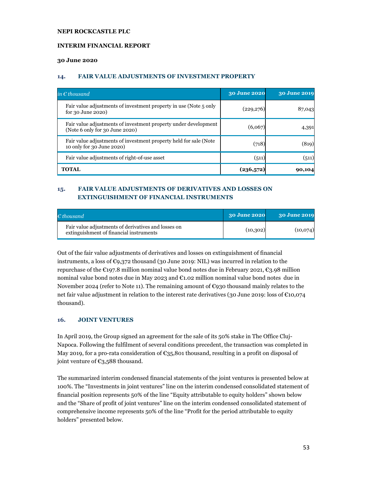### **INTERIM FINANCIAL REPORT**

#### **30 June 2020**

### **14. FAIR VALUE ADJUSTMENTS OF INVESTMENT PROPERTY**

| in $\epsilon$ thousand                                                                            | <b>30 June 2020</b> | <b>30 June 2019</b> |
|---------------------------------------------------------------------------------------------------|---------------------|---------------------|
| Fair value adjustments of investment property in use (Note 5 only<br>for 30 June 2020)            | (229,276)           | 87,043              |
| Fair value adjustments of investment property under development<br>(Note 6 only for 30 June 2020) | (6,067)             | 4,391               |
| Fair value adjustments of investment property held for sale (Note<br>10 only for 30 June 2020)    | (718)               | (819)               |
| Fair value adjustments of right-of-use asset                                                      | (511)               | (511)               |
| <b>TOTAL</b>                                                                                      | (236,572)           | 90,104              |

# **15. FAIR VALUE ADJUSTMENTS OF DERIVATIVES AND LOSSES ON EXTINGUISHMENT OF FINANCIAL INSTRUMENTS**

| $\epsilon$ thousand $\epsilon$                                                                 | <b>30 June 2020</b> | 30 June 2019 |
|------------------------------------------------------------------------------------------------|---------------------|--------------|
| Fair value adjustments of derivatives and losses on<br>extinguishment of financial instruments | (10, 302)           | (10,074)     |

Out of the fair value adjustments of derivatives and losses on extinguishment of financial instruments, a loss of €9,372 thousand (30 June 2019: NIL) was incurred in relation to the repurchase of the  $\epsilon$ 197.8 million nominal value bond notes due in February 2021,  $\epsilon$ 3.98 million nominal value bond notes due in May 2023 and €1.02 million nominal value bond notes due in November 2024 (refer to Note 11). The remaining amount of €930 thousand mainly relates to the net fair value adjustment in relation to the interest rate derivatives (30 June 2019: loss of  $\epsilon$ 10,074 thousand).

# **16. JOINT VENTURES**

In April 2019, the Group signed an agreement for the sale of its 50% stake in The Office Cluj-Napoca. Following the fulfilment of several conditions precedent, the transaction was completed in May 2019, for a pro-rata consideration of  $\epsilon_{35,801}$  thousand, resulting in a profit on disposal of joint venture of €3,588 thousand.

The summarized interim condensed financial statements of the joint ventures is presented below at 100%. The "Investments in joint ventures" line on the interim condensed consolidated statement of financial position represents 50% of the line "Equity attributable to equity holders" shown below and the "Share of profit of joint ventures" line on the interim condensed consolidated statement of comprehensive income represents 50% of the line "Profit for the period attributable to equity holders" presented below.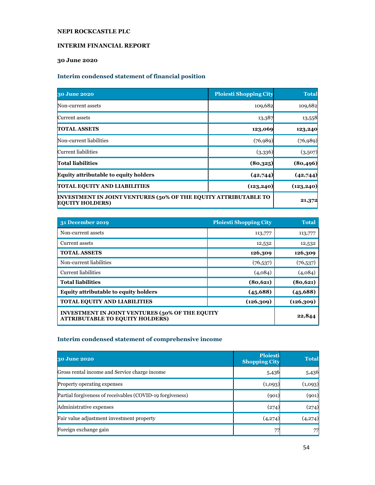### **INTERIM FINANCIAL REPORT**

# **30 June 2020**

# **Interim condensed statement of financial position**

| 30 June 2020                                                                                     | <b>Ploiesti Shopping City</b> | <b>Total</b> |
|--------------------------------------------------------------------------------------------------|-------------------------------|--------------|
| Non-current assets                                                                               | 109,682                       | 109,682      |
| Current assets                                                                                   | 13,387                        | 13,558       |
| <b>TOTAL ASSETS</b>                                                                              | 123,069                       | 123,240      |
| Non-current liabilities                                                                          | (76, 989)                     | (76, 989)    |
| Current liabilities                                                                              | (3,336)                       | (3,507)      |
| <b>Total liabilities</b>                                                                         | (80,325)                      | (80, 496)    |
| <b>Equity attributable to equity holders</b>                                                     | (42,744)                      | (42,744)     |
| TOTAL EQUITY AND LIABILITIES                                                                     | (123, 240)                    |              |
| <b>INVESTMENT IN JOINT VENTURES (50% OF THE EQUITY ATTRIBUTABLE TO</b><br><b>EQUITY HOLDERS)</b> | 21,372                        |              |

| 31 December 2019                                                                                  | <b>Ploiesti Shopping City</b> | <b>Total</b> |
|---------------------------------------------------------------------------------------------------|-------------------------------|--------------|
| Non-current assets                                                                                | 113,777                       | 113,777      |
| Current assets                                                                                    | 12,532                        | 12,532       |
| <b>TOTAL ASSETS</b>                                                                               | 126,309                       | 126,309      |
| Non-current liabilities                                                                           | (76, 537)                     | (76, 537)    |
| <b>Current liabilities</b>                                                                        | (4,084)                       | (4,084)      |
| <b>Total liabilities</b>                                                                          | (80, 621)                     | (80, 621)    |
| <b>Equity attributable to equity holders</b>                                                      | (45, 688)                     | (45,688)     |
| <b>TOTAL EQUITY AND LIABILITIES</b>                                                               | (126, 309)                    | (126, 309)   |
| <b>INVESTMENT IN JOINT VENTURES (50% OF THE EQUITY)</b><br><b>ATTRIBUTABLE TO EQUITY HOLDERS)</b> |                               | 22,844       |

# **Interim condensed statement of comprehensive income**

| 30 June 2020                                              | <b>Ploiesti</b><br><b>Shopping City</b> | <b>Total</b> |
|-----------------------------------------------------------|-----------------------------------------|--------------|
| Gross rental income and Service charge income             | 5,436                                   | 5,436        |
| <b>Property operating expenses</b>                        | (1,093)                                 | (1,093)      |
| Partial forgiveness of receivables (COVID-19 forgiveness) | (901)                                   | (901)        |
| Administrative expenses                                   | (274)                                   | (274)        |
| Fair value adjustment investment property                 | (4,274)                                 | (4,274)      |
| Foreign exchange gain                                     |                                         | 77           |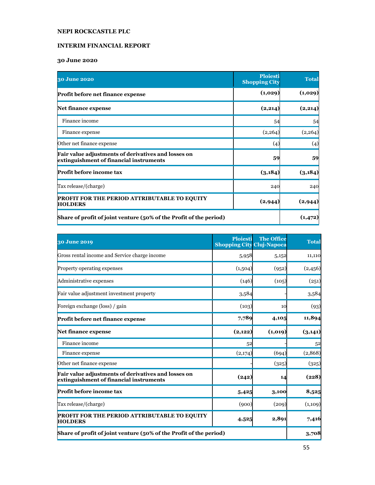# **INTERIM FINANCIAL REPORT**

# **30 June 2020**

| 30 June 2020                                                                                   | <b>Ploiesti</b><br><b>Shopping City</b> | <b>Total</b> |  |
|------------------------------------------------------------------------------------------------|-----------------------------------------|--------------|--|
| Profit before net finance expense                                                              | (1,029)                                 | (1,029)      |  |
| <b>Net finance expense</b>                                                                     | (2, 214)                                | (2,214)      |  |
| Finance income                                                                                 | 54                                      | 54           |  |
| Finance expense                                                                                | (2,264)                                 | (2,264)      |  |
| Other net finance expense                                                                      | (4)                                     | (4)          |  |
| Fair value adjustments of derivatives and losses on<br>extinguishment of financial instruments | 59                                      | 59           |  |
| Profit before income tax                                                                       | (3,184)                                 | (3, 184)     |  |
| Tax release/(charge)                                                                           | 240                                     | 240          |  |
| <b>PROFIT FOR THE PERIOD ATTRIBUTABLE TO EQUITY</b><br>(2, 944)<br><b>HOLDERS</b>              |                                         | (2, 944)     |  |
| Share of profit of joint venture (50% of the Profit of the period)                             |                                         |              |  |

| 30 June 2019                                                                                   | <b>Ploiesti</b><br><b>Shopping City Cluj-Napoca</b> | <b>The Office</b> | <b>Total</b> |
|------------------------------------------------------------------------------------------------|-----------------------------------------------------|-------------------|--------------|
| Gross rental income and Service charge income                                                  | 5,958                                               | 5,152             | 11,110       |
| Property operating expenses                                                                    | (1,504)                                             | (952)             | (2,456)      |
| Administrative expenses                                                                        | (146)                                               | (105)             | (251)        |
| Fair value adjustment investment property                                                      | 3,584                                               |                   | 3,584        |
| Foreign exchange (loss) / gain                                                                 | (103)                                               | 10                | (93)         |
| Profit before net finance expense                                                              | 7,789                                               | 4,105             | 11,894       |
| Net finance expense                                                                            | (2,122)                                             | (1,019)           | (3,141)      |
| Finance income                                                                                 | 52                                                  |                   | 52           |
| Finance expense                                                                                | (2,174)                                             | (694)             | (2,868)      |
| Other net finance expense                                                                      |                                                     | (325)             | (325)        |
| Fair value adjustments of derivatives and losses on<br>extinguishment of financial instruments | (242)                                               | 14                | (228)        |
| Profit before income tax                                                                       | 5,425                                               | 3,100             | 8,525        |
| Tax release/(charge)                                                                           | (900)                                               | (209)             | (1,109)      |
| <b>PROFIT FOR THE PERIOD ATTRIBUTABLE TO EQUITY</b><br><b>HOLDERS</b>                          | 4,525                                               | 2,891             | 7,416        |
| Share of profit of joint venture (50% of the Profit of the period)                             |                                                     |                   | 3,708        |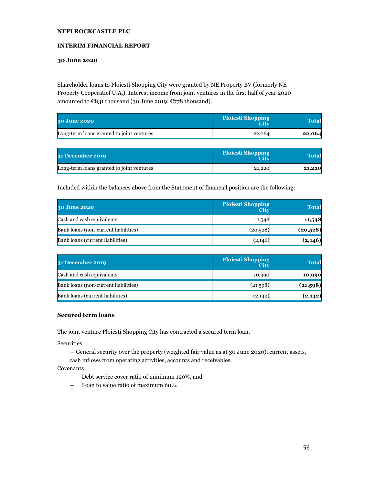### **INTERIM FINANCIAL REPORT**

### **30 June 2020**

Shareholder loans to Ploiesti Shopping City were granted by NE Property BV (formerly NE Property Cooperatief U.A.). Interest income from joint ventures in the first half of year 2020 amounted to €831 thousand (30 June 2019: €778 thousand).

| <b>30 June 2020</b>                       | <b>Ploiesti Shopping</b><br><b>City</b> | Total  |
|-------------------------------------------|-----------------------------------------|--------|
| Long-term loans granted to joint ventures | 22,064                                  | 22,064 |

| <b>31 December 2019</b>                   | <b>Ploiesti Shopping</b><br><b>City</b> | Total  |
|-------------------------------------------|-----------------------------------------|--------|
| Long-term loans granted to joint ventures | 21,220                                  | 21,220 |

Included within the balances above from the Statement of financial position are the following:

| 30 June 2020                         | <b>Ploiesti Shopping</b><br><b>City</b> | <b>Total</b> |
|--------------------------------------|-----------------------------------------|--------------|
| Cash and cash equivalents            | 11,548                                  | 11,548       |
| Bank loans (non-current liabilities) | (20,528)                                | (20, 528)    |
| Bank loans (current liabilities)     | (2,146)                                 | (2,146)      |

| <b>31 December 2019</b>              | <b>Ploiesti Shopping</b><br><b>City</b> | <b>Total</b> |
|--------------------------------------|-----------------------------------------|--------------|
| Cash and cash equivalents            | 10,990                                  | 10,990       |
| Bank loans (non-current liabilities) | (21,598)                                | (21,598)     |
| Bank loans (current liabilities)     | (2,142)                                 | (2,142)      |

### **Secured term loans**

The joint venture Ploiesti Shopping City has contracted a secured term loan.

**Securities** 

— General security over the property (weighted fair value as at 30 June 2020), current assets,

cash inflows from operating activities, accounts and receivables.

Covenants

- Debt service cover ratio of minimum 120%, and
- Loan to value ratio of maximum 60%.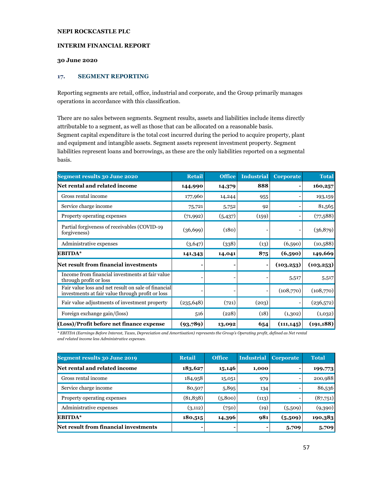#### **INTERIM FINANCIAL REPORT**

### **30 June 2020**

#### **17. SEGMENT REPORTING**

Reporting segments are retail, office, industrial and corporate, and the Group primarily manages operations in accordance with this classification.

There are no sales between segments. Segment results, assets and liabilities include items directly attributable to a segment, as well as those that can be allocated on a reasonable basis. Segment capital expenditure is the total cost incurred during the period to acquire property, plant and equipment and intangible assets. Segment assets represent investment property. Segment liabilities represent loans and borrowings, as these are the only liabilities reported on a segmental basis.

| Segment results 30 June 2020                                                                            | <b>Retail</b> | <b>Office</b> | <b>Industrial</b>        | <b>Corporate</b> | <b>Total</b> |
|---------------------------------------------------------------------------------------------------------|---------------|---------------|--------------------------|------------------|--------------|
| <b>Net rental and related income</b>                                                                    | 144,990       | 14,379        | 888                      |                  | 160,257      |
| Gross rental income                                                                                     | 177,960       | 14,244        | 955                      |                  | 193,159      |
| Service charge income                                                                                   | 75,721        | 5,752         | 92                       |                  | 81,565       |
| Property operating expenses                                                                             | (71,992)      | (5,437)       | (159)                    |                  | (77,588)     |
| Partial forgiveness of receivables (COVID-19)<br>forgiveness)                                           | (36, 699)     | (180)         |                          |                  | (36,879)     |
| Administrative expenses                                                                                 | (3,647)       | (338)         | (13)                     | (6,590)          | (10,588)     |
| <b>EBITDA*</b>                                                                                          | 141,343       | 14,041        | 875                      | (6,590)          | 149,669      |
| <b>Net result from financial investments</b>                                                            |               |               | $\blacksquare$           | (103, 253)       | (103, 253)   |
| Income from financial investments at fair value<br>through profit or loss                               |               |               |                          | 5,517            | 5,517        |
| Fair value loss and net result on sale of financial<br>investments at fair value through profit or loss |               |               | $\overline{\phantom{a}}$ | (108,770)        | (108,770)    |
| Fair value adjustments of investment property                                                           | (235, 648)    | (721)         | (203)                    |                  | (236,572)    |
| Foreign exchange gain/(loss)                                                                            | 516           | (228)         | (18)                     | (1,302)          | (1,032)      |
| (Loss)/Profit before net finance expense                                                                | (93,789)      | 13,092        | 654                      | (111, 145)       | (191, 188)   |

*\* EBITDA (Earnings Before Interest, Taxes, Depreciation and Amortisation) represents the Group's Operating profit, defined as Net rental and related income less Administrative expenses.* 

| <b>Segment results 30 June 2019</b>   | <b>Retail</b> | <b>Office</b> | Industrial | <b>Corporate</b> | <b>Total</b> |
|---------------------------------------|---------------|---------------|------------|------------------|--------------|
| Net rental and related income         | 183,627       | 15,146        | 1,000      |                  | 199,773      |
| Gross rental income                   | 184,958       | 15,051        | 979        |                  | 200,988      |
| Service charge income                 | 80,507        | 5,895         | 134        |                  | 86,536       |
| Property operating expenses           | (81, 838)     | (5,800)       | (113)      |                  | (87,751)     |
| Administrative expenses               | (3,112)       | (750)         | (19)       | (5,509)          | (9,390)      |
| EBITDA*                               | 180,515       | 14,396        | 981        | (5,509)          | 190,383      |
| Net result from financial investments |               |               | -          | 5,709            | 5,709        |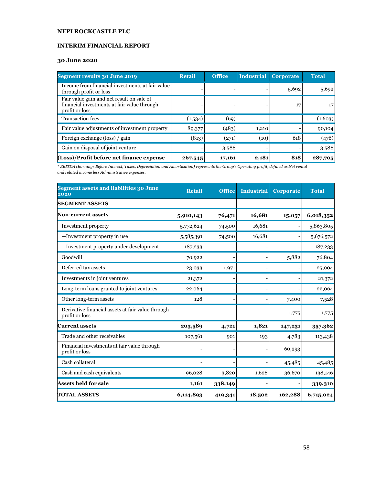# **INTERIM FINANCIAL REPORT**

# **30 June 2020**

| Segment results 30 June 2019                                                                               | <b>Retail</b> | <b>Office</b> | Industrial | <b>Corporate</b> | <b>Total</b>    |
|------------------------------------------------------------------------------------------------------------|---------------|---------------|------------|------------------|-----------------|
| Income from financial investments at fair value<br>through profit or loss                                  |               |               |            | 5,692            | 5,692           |
| Fair value gain and net result on sale of<br>financial investments at fair value through<br>profit or loss |               |               |            | 17               | 17 <sup>1</sup> |
| <b>Transaction fees</b>                                                                                    | (1,534)       | (69)          |            |                  | (1,603)         |
| Fair value adjustments of investment property                                                              | 89,377        | (483)         | 1,210      |                  | 90,104          |
| Foreign exchange (loss) / gain                                                                             | (813)         | (271)         | (10)       | 618              | (476)           |
| Gain on disposal of joint venture                                                                          |               | 3,588         |            |                  | 3,588           |
| (Loss)/Profit before net finance expense                                                                   | 267,545       | 17,161        | 2,181      | 818              | 287,705         |

*\* EBITDA (Earnings Before Interest, Taxes, Depreciation and Amortisation) represents the Group's Operating profit, defined as Net rental and related income less Administrative expenses.*

| <b>Segment assets and liabilities 30 June</b><br>2020               | <b>Retail</b> | <b>Office</b> | <b>Industrial</b> | <b>Corporate</b> | <b>Total</b> |
|---------------------------------------------------------------------|---------------|---------------|-------------------|------------------|--------------|
| <b>SEGMENT ASSETS</b>                                               |               |               |                   |                  |              |
| <b>Non-current assets</b>                                           | 5,910,143     | 76,471        | 16,681            | 15,057           | 6,018,352    |
| Investment property                                                 | 5,772,624     | 74,500        | 16,681            |                  | 5,863,805    |
| -Investment property in use                                         | 5,585,391     | 74,500        | 16,681            |                  | 5,676,572    |
| -Investment property under development                              | 187,233       |               |                   |                  | 187,233      |
| Goodwill                                                            | 70,922        |               |                   | 5,882            | 76,804       |
| Deferred tax assets                                                 | 23,033        | 1,971         |                   |                  | 25,004       |
| Investments in joint ventures                                       | 21,372        |               |                   |                  | 21,372       |
| Long-term loans granted to joint ventures                           | 22,064        |               |                   |                  | 22,064       |
| Other long-term assets                                              | 128           |               |                   | 7,400            | 7,528        |
| Derivative financial assets at fair value through<br>profit or loss |               |               |                   | 1,775            | 1,775        |
| Current assets                                                      | 203,589       | 4,721         | 1,821             | 147,231          | 357,362      |
| Trade and other receivables                                         | 107,561       | 901           | 193               | 4,783            | 113,438      |
| Financial investments at fair value through<br>profit or loss       |               |               |                   | 60,293           |              |
| Cash collateral                                                     |               |               |                   | 45,485           | 45,485       |
| Cash and cash equivalents                                           | 96,028        | 3,820         | 1,628             | 36,670           | 138,146      |
| <b>Assets held for sale</b>                                         | 1,161         | 338,149       |                   |                  | 339,310      |
| <b>TOTAL ASSETS</b>                                                 | 6,114,893     | 419,341       | 18,502            | 162,288          | 6,715,024    |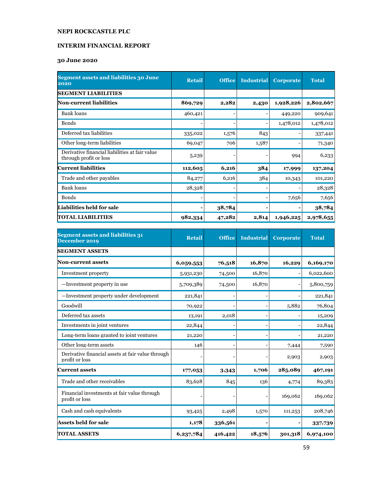# **INTERIM FINANCIAL REPORT**

# **30 June 2020**

| <b>Segment assets and liabilities 30 June</b><br>2020                    | <b>Retail</b> | <b>Office</b> | <b>Industrial</b> | Corporate | <b>Total</b> |
|--------------------------------------------------------------------------|---------------|---------------|-------------------|-----------|--------------|
| <b>SEGMENT LIABILITIES</b>                                               |               |               |                   |           |              |
| Non-current liabilities                                                  | 869,729       | 2,282         | 2,430             | 1,928,226 | 2,802,667    |
| Bank loans                                                               | 460,421       |               |                   | 449,220   | 909,641      |
| <b>Bonds</b>                                                             |               |               | -                 | 1,478,012 | 1,478,012    |
| Deferred tax liabilities                                                 | 335,022       | 1,576         | 843               |           | 337,441      |
| Other long-term liabilities                                              | 69,047        | 706           | 1,587             |           | 71,340       |
| Derivative financial liabilities at fair value<br>through profit or loss | 5,239         |               |                   | 994       | 6,233        |
| <b>Current liabilities</b>                                               | 112,605       | 6,216         | 384               | 17,999    | 137,204      |
| Trade and other payables                                                 | 84,277        | 6,216         | 384               | 10,343    | 101,220      |
| <b>Bank</b> loans                                                        | 28,328        |               |                   |           | 28,328       |
| <b>Bonds</b>                                                             |               |               |                   | 7,656     | 7,656        |
| <b>Liabilities held for sale</b>                                         |               | 38,784        |                   |           | 38,784       |
| <b>TOTAL LIABILITIES</b>                                                 | 982,334       | 47,282        | 2,814             | 1,946,225 | 2,978,655    |

| <b>Segment assets and liabilities 31</b><br>December 2019           | <b>Retail</b> | <b>Office</b> | <b>Industrial</b> | <b>Corporate</b> | <b>Total</b> |
|---------------------------------------------------------------------|---------------|---------------|-------------------|------------------|--------------|
| <b>SEGMENT ASSETS</b>                                               |               |               |                   |                  |              |
| <b>Non-current assets</b>                                           | 6,059,553     | 76,518        | 16,870            | 16,229           | 6,169,170    |
| Investment property                                                 | 5,931,230     | 74,500        | 16,870            |                  | 6,022,600    |
| -Investment property in use                                         | 5,709,389     | 74,500        | 16,870            |                  | 5,800,759    |
| -Investment property under development                              | 221,841       |               |                   |                  | 221,841      |
| Goodwill                                                            | 70,922        |               |                   | 5,882            | 76,804       |
| Deferred tax assets                                                 | 13,191        | 2,018         |                   |                  | 15,209       |
| Investments in joint ventures                                       | 22,844        |               |                   |                  | 22,844       |
| Long-term loans granted to joint ventures                           | 21,220        |               |                   |                  | 21,220       |
| Other long-term assets                                              | 146           |               |                   | 7,444            | 7,590        |
| Derivative financial assets at fair value through<br>profit or loss |               |               |                   | 2,903            | 2,903        |
| <b>Current assets</b>                                               | 177,053       | 3,343         | 1,706             | 285,089          | 467,191      |
| Trade and other receivables                                         | 83,628        | 845           | 136               | 4,774            | 89,383       |
| Financial investments at fair value through<br>profit or loss       |               |               |                   | 169,062          | 169,062      |
| Cash and cash equivalents                                           | 93,425        | 2,498         | 1,570             | 111,253          | 208,746      |
| <b>Assets held for sale</b>                                         | 1,178         | 336,561       |                   |                  | 337,739      |
| <b>TOTAL ASSETS</b>                                                 | 6,237,784     | 416,422       | 18,576            | 301,318          | 6,974,100    |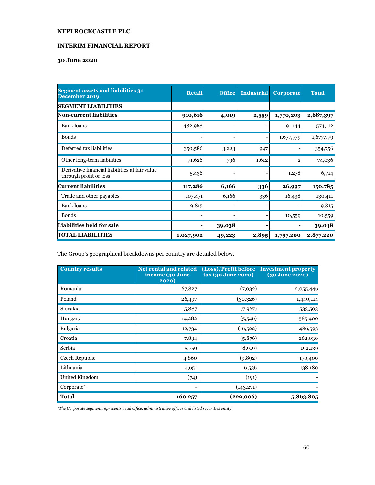### **INTERIM FINANCIAL REPORT**

# **30 June 2020**

| <b>Segment assets and liabilities 31</b><br>December 2019                | <b>Retail</b> | <b>Office</b> | <b>Industrial</b> | <b>Corporate</b> | <b>Total</b> |
|--------------------------------------------------------------------------|---------------|---------------|-------------------|------------------|--------------|
| <b>SEGMENT LIABILITIES</b>                                               |               |               |                   |                  |              |
| Non-current liabilities                                                  | 910,616       | 4,019         | 2,559             | 1,770,203        | 2,687,397    |
| Bank loans                                                               | 482,968       |               |                   | 91,144           | 574,112      |
| <b>Bonds</b>                                                             |               |               | -                 | 1,677,779        | 1,677,779    |
| Deferred tax liabilities                                                 | 350,586       | 3,223         | 947               |                  | 354,756      |
| Other long-term liabilities                                              | 71,626        | 796           | 1,612             | 2                | 74,036       |
| Derivative financial liabilities at fair value<br>through profit or loss | 5,436         |               |                   | 1,278            | 6,714        |
| <b>Current liabilities</b>                                               | 117,286       | 6,166         | 336               | 26,997           | 150,785      |
| Trade and other payables                                                 | 107,471       | 6,166         | 336               | 16,438           | 130,411      |
| Bank loans                                                               | 9,815         |               |                   |                  | 9,815        |
| <b>Bonds</b>                                                             |               |               |                   | 10,559           | 10,559       |
| <b>Liabilities held for sale</b>                                         |               | 39,038        |                   |                  | 39,038       |
| <b>TOTAL LIABILITIES</b>                                                 | 1,027,902     | 49,223        | 2,895             | 1,797,200        | 2,877,220    |

The Group's geographical breakdowns per country are detailed below.

| <b>Country results</b> | <b>Net rental and related</b><br>income (30 June<br>2020) | (Loss)/Profit before<br>tax (30 June 2020) | <b>Investment property</b><br>$(30 \text{ June } 2020)$ |
|------------------------|-----------------------------------------------------------|--------------------------------------------|---------------------------------------------------------|
| Romania                | 67,827                                                    | (7,032)                                    | 2,055,446                                               |
| Poland                 | 26,497                                                    | (30,326)                                   | 1,440,114                                               |
| Slovakia               | 15,887                                                    | (7, 967)                                   | 533,503                                                 |
| Hungary                | 14,282                                                    | (5,546)                                    | 585,400                                                 |
| Bulgaria               | 12,734                                                    | (16,522)                                   | 486,593                                                 |
| Croatia                | 7,834                                                     | (5,876)                                    | 262,030                                                 |
| Serbia                 | 5,759                                                     | (8, 919)                                   | 192,139                                                 |
| Czech Republic         | 4,860                                                     | (9,892)                                    | 170,400                                                 |
| Lithuania              | 4,651                                                     | 6,536                                      | 138,180                                                 |
| United Kingdom         | (74)                                                      | (191)                                      |                                                         |
| Corporate*             | $\overline{\phantom{a}}$                                  | (143,271)                                  |                                                         |
| <b>Total</b>           | 160,257                                                   | (229,006)                                  | 5,863,805                                               |

*\*The Corporate segment represents head office, administrative offices and listed securities entity*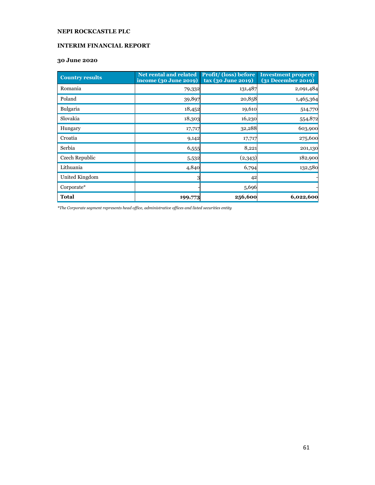# **INTERIM FINANCIAL REPORT**

### **30 June 2020**

| <b>Country results</b> | <b>Net rental and related</b><br>income (30 June 2019) | <b>Profit/</b> (loss) before<br>tax (30 June 2019) | <b>Investment property</b><br>$(31$ December 2019) |
|------------------------|--------------------------------------------------------|----------------------------------------------------|----------------------------------------------------|
| Romania                | 79,332                                                 | 131,487                                            | 2,091,484                                          |
| Poland                 | 39,897                                                 | 20,858                                             | 1,465,364                                          |
| <b>Bulgaria</b>        | 18,452                                                 | 19,610                                             | 514,770                                            |
| Slovakia               | 18,303                                                 | 16,230                                             | 554,872                                            |
| Hungary                | 17,717                                                 | 32,288                                             | 603,900                                            |
| Croatia                | 9,142                                                  | 17,717                                             | 275,600                                            |
| Serbia                 | 6,555                                                  | 8,221                                              | 201,130                                            |
| Czech Republic         | 5,532                                                  | (2,343)                                            | 182,900                                            |
| Lithuania              | 4,840                                                  | 6,794                                              | 132,580                                            |
| United Kingdom         | 3                                                      | 42                                                 |                                                    |
| Corporate*             |                                                        | 5,696                                              |                                                    |
| <b>Total</b>           | 199,773                                                | 256,600                                            | 6,022,600                                          |

*\*The Corporate segment represents head office, administrative offices and listed securities entity*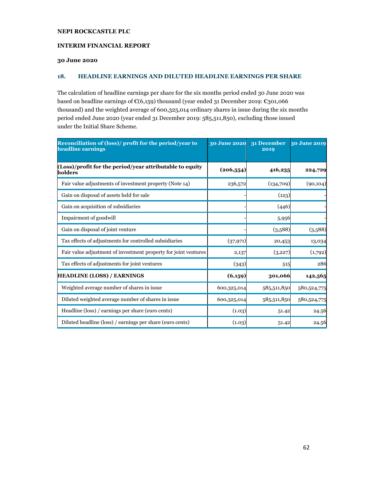### **INTERIM FINANCIAL REPORT**

### **30 June 2020**

### **18. HEADLINE EARNINGS AND DILUTED HEADLINE EARNINGS PER SHARE**

The calculation of headline earnings per share for the six months period ended 30 June 2020 was based on headline earnings of €(6,159) thousand (year ended 31 December 2019: €301,066 thousand) and the weighted average of 600,325,014 ordinary shares in issue during the six months period ended June 2020 (year ended 31 December 2019: 585,511,850), excluding those issued under the Initial Share Scheme.

| Reconciliation of (loss)/profit for the period/year to<br>headline earnings | 30 June 2020 | 31 December<br>2019 | 30 June 2019 |
|-----------------------------------------------------------------------------|--------------|---------------------|--------------|
| (Loss)/profit for the period/year attributable to equity<br>holders         | (206, 554)   | 416,235             | 224,729      |
| Fair value adjustments of investment property (Note 14)                     | 236,572      | (134,709)           | (90, 104)    |
| Gain on disposal of assets held for sale                                    |              | (123)               |              |
| Gain on acquisition of subsidiaries                                         |              | (446)               |              |
| Impairment of goodwill                                                      |              | 5,956               |              |
| Gain on disposal of joint venture                                           |              | (3,588)             | (3,588)      |
| Tax effects of adjustments for controlled subsidiaries                      | (37, 971)    | 20,453              | 13,034       |
| Fair value adjustment of investment property for joint ventures             | 2,137        | (3,227)             | (1,792)      |
| Tax effects of adjustments for joint ventures                               | (343)        | 515                 | 286          |
| <b>HEADLINE (LOSS) / EARNINGS</b>                                           | (6,159)      | 301,066             | 142,565      |
| Weighted average number of shares in issue                                  | 600,325,014  | 585,511,850         | 580,524,775  |
| Diluted weighted average number of shares in issue                          | 600,325,014  | 585,511,850         | 580,524,775  |
| Headline (loss) / earnings per share (euro cents)                           | (1.03)       | 51.42               | 24.56        |
| Diluted headline (loss) / earnings per share (euro cents)                   | (1.03)       | 51.42               | 24.56        |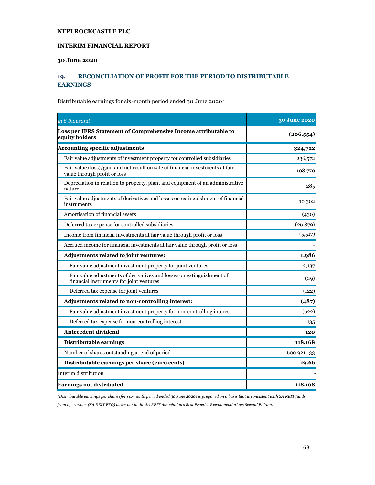### **INTERIM FINANCIAL REPORT**

### **30 June 2020**

# **19. RECONCILIATION OF PROFIT FOR THE PERIOD TO DISTRIBUTABLE EARNINGS**

Distributable earnings for six-month period ended 30 June 2020\*

| in $\epsilon$ thousand                                                                                            | 30 June 2020 |
|-------------------------------------------------------------------------------------------------------------------|--------------|
| Loss per IFRS Statement of Comprehensive Income attributable to<br>equity holders                                 | (206, 554)   |
| <b>Accounting specific adjustments</b>                                                                            | 324,722      |
| Fair value adjustments of investment property for controlled subsidiaries                                         | 236,572      |
| Fair value (loss)/gain and net result on sale of financial investments at fair<br>value through profit or loss    | 108,770      |
| Depreciation in relation to property, plant and equipment of an administrative<br>nature                          | 285          |
| Fair value adjustments of derivatives and losses on extinguishment of financial<br>instruments                    | 10,302       |
| Amortisation of financial assets                                                                                  | (430)        |
| Deferred tax expense for controlled subsidiaries                                                                  | (26,879)     |
| Income from financial investments at fair value through profit or loss                                            | (5,517)      |
| Accrued income for financial investments at fair value through profit or loss                                     |              |
| Adjustments related to joint ventures:                                                                            | 1,986        |
| Fair value adjustment investment property for joint ventures                                                      | 2,137        |
| Fair value adjustments of derivatives and losses on extinguishment of<br>financial instruments for joint ventures | (29)         |
| Deferred tax expense for joint ventures                                                                           | (122)        |
| Adjustments related to non-controlling interest:                                                                  | (487)        |
| Fair value adjustment investment property for non-controlling interest                                            | (622)        |
| Deferred tax expense for non-controlling interest                                                                 | 135          |
| Antecedent dividend                                                                                               | 120          |
| Distributable earnings                                                                                            | 118,168      |
| Number of shares outstanding at end of period                                                                     | 600,921,133  |
| Distributable earnings per share (euro cents)                                                                     | 19.66        |
| Interim distribution                                                                                              |              |
| <b>Earnings not distributed</b>                                                                                   | 118,168      |

*\*Distributable earnings per share (for six-month period ended 30 June 2020) is prepared on a basis that is consistent with SA REIT funds* 

*from operations (SA REIT FFO) as set out in the SA REIT Association's Best Practice Recommendations Second Edition.*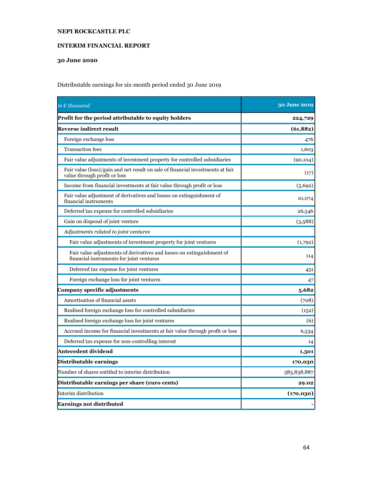# **INTERIM FINANCIAL REPORT**

# **30 June 2020**

Distributable earnings for six-month period ended 30 June 2019

| in $\epsilon$ thousand                                                                                            | <b>30 June 2019</b> |
|-------------------------------------------------------------------------------------------------------------------|---------------------|
| Profit for the period attributable to equity holders                                                              | 224,729             |
| <b>Reverse indirect result</b>                                                                                    | (61, 882)           |
| Foreign exchange loss                                                                                             | 476                 |
| <b>Transaction</b> fees                                                                                           | 1,603               |
| Fair value adjustments of investment property for controlled subsidiaries                                         | (90, 104)           |
| Fair value (loss)/gain and net result on sale of financial investments at fair<br>value through profit or loss    | (17)                |
| Income from financial investments at fair value through profit or loss                                            | (5,692)             |
| Fair value adjustment of derivatives and losses on extinguishment of<br>financial instruments                     | 10,074              |
| Deferred tax expense for controlled subsidiaries                                                                  | 26,546              |
| Gain on disposal of joint venture                                                                                 | (3,588)             |
| Adjustments related to joint ventures                                                                             |                     |
| Fair value adjustments of investment property for joint ventures                                                  | (1,792)             |
| Fair value adjustments of derivatives and losses on extinguishment of<br>financial instruments for joint ventures | 114                 |
| Deferred tax expense for joint ventures                                                                           | 451                 |
| Foreign exchange loss for joint ventures                                                                          | 47                  |
| Company specific adjustments                                                                                      | 5,682               |
| Amortisation of financial assets                                                                                  | (708)               |
| Realised foreign exchange loss for controlled subsidiaries                                                        | (152)               |
| Realised foreign exchange loss for joint ventures                                                                 | (6)                 |
| Accrued income for financial investments at fair value through profit or loss                                     | 6,534               |
| Deferred tax expense for non-controlling interest                                                                 | 14                  |
| Antecedent dividend                                                                                               | 1,501               |
| Distributable earnings                                                                                            | 170,030             |
| Number of shares entitled to interim distribution                                                                 | 585,838,887         |
| Distributable earnings per share (euro cents)                                                                     | 29.02               |
| Interim distribution                                                                                              | (170, 030)          |
| <b>Earnings not distributed</b>                                                                                   |                     |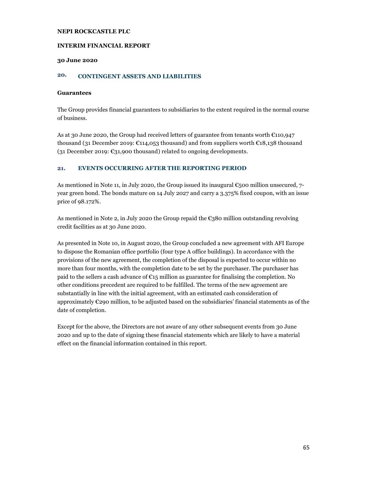#### **INTERIM FINANCIAL REPORT**

#### **30 June 2020**

# **20. CONTINGENT ASSETS AND LIABILITIES**

#### **Guarantees**

The Group provides financial guarantees to subsidiaries to the extent required in the normal course of business.

As at 30 June 2020, the Group had received letters of guarantee from tenants worth €110,947 thousand (31 December 2019: €114,053 thousand) and from suppliers worth €18,138 thousand (31 December 2019: €31,900 thousand) related to ongoing developments.

### **21. EVENTS OCCURRING AFTER THE REPORTING PERIOD**

As mentioned in Note 11, in July 2020, the Group issued its inaugural  $\epsilon$ 500 million unsecured, 7year green bond. The bonds mature on 14 July 2027 and carry a 3.375% fixed coupon, with an issue price of 98.172%.

As mentioned in Note 2, in July 2020 the Group repaid the  $\epsilon$ 380 million outstanding revolving credit facilities as at 30 June 2020.

As presented in Note 10, in August 2020, the Group concluded a new agreement with AFI Europe to dispose the Romanian office portfolio (four type A office buildings). In accordance with the provisions of the new agreement, the completion of the disposal is expected to occur within no more than four months, with the completion date to be set by the purchaser. The purchaser has paid to the sellers a cash advance of  $\epsilon_{15}$  million as guarantee for finalising the completion. No other conditions precedent are required to be fulfilled. The terms of the new agreement are substantially in line with the initial agreement, with an estimated cash consideration of approximately €290 million, to be adjusted based on the subsidiaries' financial statements as of the date of completion.

Except for the above, the Directors are not aware of any other subsequent events from 30 June 2020 and up to the date of signing these financial statements which are likely to have a material effect on the financial information contained in this report.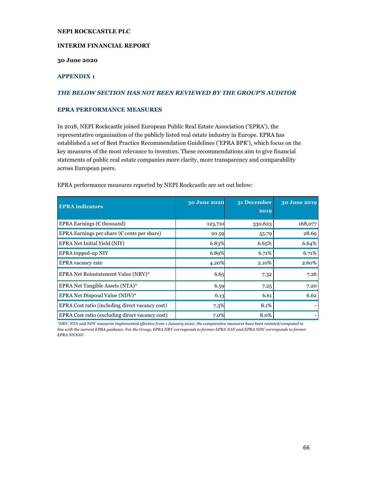#### **INTERIM FINANCIAL REPORT**

#### **30 June 2020**

# **APPENDIX 1**

#### *THE BELOW SECTION HAS NOT BEEN REVIEWED BY THE GROUP'S AUDITOR*

#### **EPRA PERFORMANCE MEASURES**

In 2018, NEPI Rockcastle joined European Public Real Estate Association ('EPRA'), the representative organisation of the publicly listed real estate industry in Europe. EPRA has established a set of Best Practice Recommendation Guidelines ('EPRA BPR'), which focus on the key measures of the most relevance to investors. These recommendations aim to give financial statements of public real estate companies more clarity, more transparency and comparability across European peers.

| <b>EPRA</b> indicators                                | 30 June 2020 | 31 December<br>2019 | 30 June 2019 |
|-------------------------------------------------------|--------------|---------------------|--------------|
| EPRA Earnings ( $E$ thousand)                         | 123,710      | 330,623             | 168,077      |
| EPRA Earnings per share ( $\epsilon$ cents per share) | 20.59        | 55.79               | 28.69        |
| EPRA Net Initial Yield (NIY)                          | 6.83%        | 6.65%               | 6.64%        |
| EPRA topped-up NIY                                    | 6.89%        | 6.71%               | 6.71%        |
| <b>EPRA</b> vacancy rate                              | 4.20%        | 2.10%               | 2.60%        |
| EPRA Net Reinstatement Value (NRV)*                   | 6.65         | 7.32                | 7.26         |
| EPRA Net Tangible Assets (NTA)*                       | 6.59         | 7.25                | 7.20         |
| EPRA Net Disposal Value (NDV)*                        | 6.13         | 6.61                | 6.62         |
| EPRA Cost ratio (including direct vacancy cost)       | 7.3%         | 8.1%                |              |
| EPRA Cost ratio (excluding direct vacancy cost)       | 7.0%         | 8.0%                |              |

EPRA performance measures reported by NEPI Rockcastle are set out below:

*\*NRV, NTA and NDV measures implemented effective from 1 January 2020; the comparative measures have been restated/computed in line with the current EPRA guidance. For the Group, EPRA NRV corresponds to former EPRA NAV and EPRA NDV corresponds to former EPRA NNNAV.*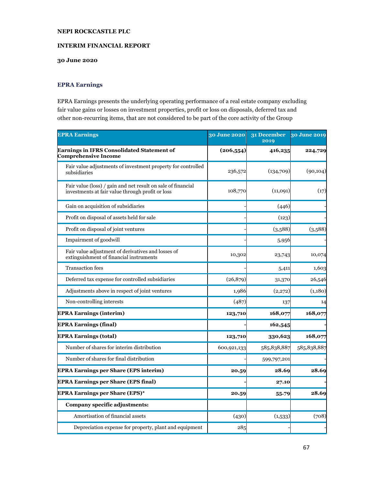### **INTERIM FINANCIAL REPORT**

# **30 June 2020**

# **EPRA Earnings**

EPRA Earnings presents the underlying operating performance of a real estate company excluding fair value gains or losses on investment properties, profit or loss on disposals, deferred tax and other non-recurring items, that are not considered to be part of the core activity of the Group

| <b>EPRA Earnings</b>                                                                                             | 30 June 2020 | 31 December<br>2019 | 30 June 2019 |
|------------------------------------------------------------------------------------------------------------------|--------------|---------------------|--------------|
| Earnings in IFRS Consolidated Statement of<br><b>Comprehensive Income</b>                                        | (206, 554)   | 416,235             | 224,729      |
| Fair value adjustments of investment property for controlled<br>subsidiaries                                     | 236,572      | (134,709)           | (90, 104)    |
| Fair value (loss) / gain and net result on sale of financial<br>investments at fair value through profit or loss | 108,770      | (11,091)            | (17)         |
| Gain on acquisition of subsidiaries                                                                              |              | (446)               |              |
| Profit on disposal of assets held for sale                                                                       |              | (123)               |              |
| Profit on disposal of joint ventures                                                                             |              | (3,588)             | (3,588)      |
| Impairment of goodwill                                                                                           |              | 5,956               |              |
| Fair value adjustment of derivatives and losses of<br>extinguishment of financial instruments                    | 10,302       | 23,743              | 10,074       |
| <b>Transaction</b> fees                                                                                          |              | 5,411               | 1,603        |
| Deferred tax expense for controlled subsidiaries                                                                 | (26, 879)    | 31,370              | 26,546       |
| Adjustments above in respect of joint ventures                                                                   | 1,986        | (2,272)             | (1,180)      |
| Non-controlling interests                                                                                        | (487)        | 137                 | 14           |
| <b>EPRA Earnings (interim)</b>                                                                                   | 123,710      | 168,077             | 168,077      |
| <b>EPRA Earnings (final)</b>                                                                                     |              | 162,545             |              |
| <b>EPRA Earnings (total)</b>                                                                                     | 123,710      | 330,623             | 168,077      |
| Number of shares for interim distribution                                                                        | 600,921,133  | 585,838,887         | 585,838,887  |
| Number of shares for final distribution                                                                          |              | 599,797,201         |              |
| <b>EPRA Earnings per Share (EPS interim)</b>                                                                     | 20.59        | 28.69               | 28.69        |
| <b>EPRA Earnings per Share (EPS final)</b>                                                                       |              | 27.10               |              |
| <b>EPRA Earnings per Share (EPS)*</b>                                                                            | 20.59        | 55.79               | 28.69        |
| Company specific adjustments:                                                                                    |              |                     |              |
| Amortisation of financial assets                                                                                 | (430)        | (1,533)             | (708)        |
| Depreciation expense for property, plant and equipment                                                           | 285          |                     |              |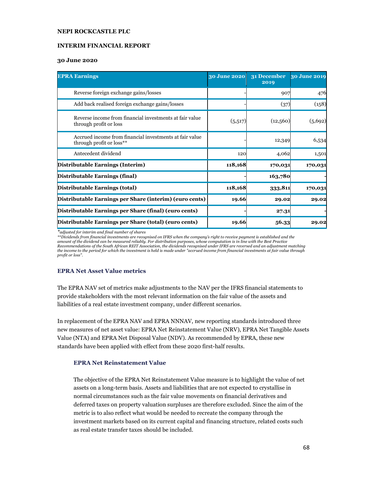#### **INTERIM FINANCIAL REPORT**

#### **30 June 2020**

| <b>EPRA Earnings</b>                                                                | 30 June 2020 | 31 December<br>2019 | 30 June 2019 |
|-------------------------------------------------------------------------------------|--------------|---------------------|--------------|
| Reverse foreign exchange gains/losses                                               |              | 907                 | 476          |
| Add back realised foreign exchange gains/losses                                     |              | (37)                | (158)        |
| Reverse income from financial investments at fair value<br>through profit or loss   | (5,517)      | (12,560)            | (5,692)      |
| Accrued income from financial investments at fair value<br>through profit or loss** |              | 12,349              | 6,534        |
| Antecedent dividend                                                                 | 120          | 4,062               | 1,501        |
| Distributable Earnings (Interim)                                                    | 118,168      | 170,031             | 170,031      |
| Distributable Earnings (final)                                                      |              | 163,780             |              |
| Distributable Earnings (total)                                                      | 118,168      | 333,811             | 170,031      |
| Distributable Earnings per Share (interim) (euro cents)                             | 19.66        | 29.02               | 29.02        |
| Distributable Earnings per Share (final) (euro cents)                               |              | 27.31               |              |
| Distributable Earnings per Share (total) (euro cents)                               | 19.66        | 56.33               | 29.02        |

*\*adjusted for interim and final number of shares* 

*\*\*Dividends from financial investments are recognised on IFRS when the company's right to receive payment is established and the amount of the dividend can be measured reliably. For distribution purposes, whose computation is in line with the Best Practice Recommendations of the South African REIT Association, the dividends recognised under IFRS are reversed and an adjustment matching the income to the period for which the investment is held is made under "accrued income from financial investments at fair value through profit or loss".*

### **EPRA Net Asset Value metrics**

The EPRA NAV set of metrics make adjustments to the NAV per the IFRS financial statements to provide stakeholders with the most relevant information on the fair value of the assets and liabilities of a real estate investment company, under different scenarios.

In replacement of the EPRA NAV and EPRA NNNAV, new reporting standards introduced three new measures of net asset value: EPRA Net Reinstatement Value (NRV), EPRA Net Tangible Assets Value (NTA) and EPRA Net Disposal Value (NDV). As recommended by EPRA, these new standards have been applied with effect from these 2020 first-half results.

### **EPRA Net Reinstatement Value**

The objective of the EPRA Net Reinstatement Value measure is to highlight the value of net assets on a long-term basis. Assets and liabilities that are not expected to crystallise in normal circumstances such as the fair value movements on financial derivatives and deferred taxes on property valuation surpluses are therefore excluded. Since the aim of the metric is to also reflect what would be needed to recreate the company through the investment markets based on its current capital and financing structure, related costs such as real estate transfer taxes should be included.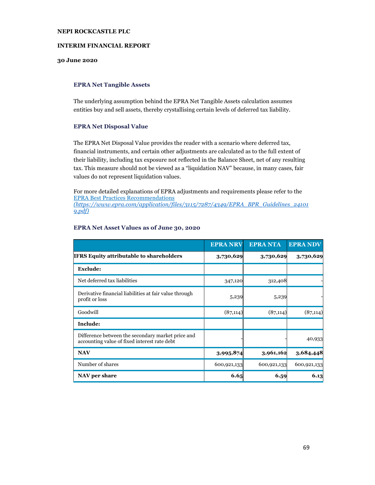#### **INTERIM FINANCIAL REPORT**

### **30 June 2020**

#### **EPRA Net Tangible Assets**

The underlying assumption behind the EPRA Net Tangible Assets calculation assumes entities buy and sell assets, thereby crystallising certain levels of deferred tax liability.

#### **EPRA Net Disposal Value**

The EPRA Net Disposal Value provides the reader with a scenario where deferred tax, financial instruments, and certain other adjustments are calculated as to the full extent of their liability, including tax exposure not reflected in the Balance Sheet, net of any resulting tax. This measure should not be viewed as a "liquidation NAV" because, in many cases, fair values do not represent liquidation values.

For more detailed explanations of EPRA adjustments and requirements please refer to the EPRA Best Practices Recommendations *(https://www.epra.com/application/files/3115/7287/4349/EPRA\_BPR\_Guidelines\_24101 9.pdf)*

|                                                                                                   | <b>EPRA NRV</b> | <b>EPRANTA</b> | <b>EPRA NDV</b> |
|---------------------------------------------------------------------------------------------------|-----------------|----------------|-----------------|
| <b>IFRS Equity attributable to shareholders</b>                                                   | 3,730,629       | 3,730,629      | 3,730,629       |
| <b>Exclude:</b>                                                                                   |                 |                |                 |
| Net deferred tax liabilities                                                                      | 347,120         | 312,408        |                 |
| Derivative financial liabilities at fair value through<br>profit or loss                          | 5,239           | 5,239          |                 |
| Goodwill                                                                                          | (87, 114)       | (87, 114)      | (87, 114)       |
| Include:                                                                                          |                 |                |                 |
| Difference between the secondary market price and<br>accounting value of fixed interest rate debt |                 |                | 40,933          |
| <b>NAV</b>                                                                                        | 3,995,874       | 3,961,162      | 3,684,448       |
| Number of shares                                                                                  | 600,921,133     | 600,921,133    | 600,921,133     |
| NAV per share                                                                                     | 6.65            | 6.59           | 6.13            |

#### **EPRA Net Asset Values as of June 30, 2020**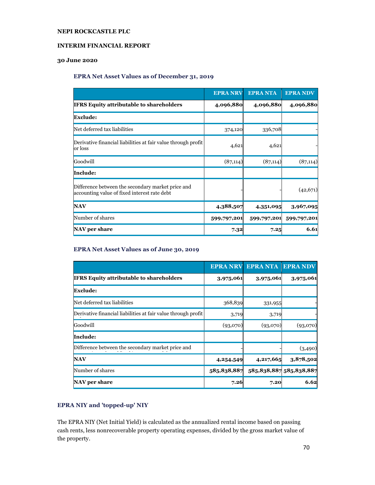### **INTERIM FINANCIAL REPORT**

# **30 June 2020**

#### **EPRA Net Asset Values as of December 31, 2019**

|                                                                                                   | <b>EPRA NRV</b> | <b>EPRANTA</b> | <b>EPRA NDV</b> |
|---------------------------------------------------------------------------------------------------|-----------------|----------------|-----------------|
| <b>IFRS Equity attributable to shareholders</b>                                                   | 4,096,880       | 4,096,880      | 4,096,880       |
| <b>Exclude:</b>                                                                                   |                 |                |                 |
| Net deferred tax liabilities                                                                      | 374,120         | 336,708        |                 |
| Derivative financial liabilities at fair value through profit<br>or loss                          | 4,621           | 4,621          |                 |
| Goodwill                                                                                          | (87, 114)       | (87, 114)      | (87, 114)       |
| Include:                                                                                          |                 |                |                 |
| Difference between the secondary market price and<br>accounting value of fixed interest rate debt |                 |                | (42, 671)       |
| <b>NAV</b>                                                                                        | 4,388,507       | 4,351,095      | 3,967,095       |
| Number of shares                                                                                  | 599,797,201     | 599,797,201    | 599,797,201     |
| <b>NAV</b> per share                                                                              | 7.32            | 7.25           | 6.61            |

# **EPRA Net Asset Values as of June 30, 2019**

|                                                               | <b>EPRA NRV</b> | <b>EPRANTA</b> | <b>EPRA NDV</b>         |
|---------------------------------------------------------------|-----------------|----------------|-------------------------|
| <b>IFRS Equity attributable to shareholders</b>               | 3,975,061       | 3,975,061      | 3,975,061               |
| <b>Exclude:</b>                                               |                 |                |                         |
| Net deferred tax liabilities                                  | 368,839         | 331,955        |                         |
| Derivative financial liabilities at fair value through profit | 3,719           | 3,719          |                         |
| Goodwill                                                      | (93,070)        | (93,070)       | (93,070)                |
| Include:                                                      |                 |                |                         |
| Difference between the secondary market price and             |                 |                | (3,490)                 |
| <b>NAV</b>                                                    | 4,254,549       | 4,217,665      | 3,878,502               |
| Number of shares                                              | 585,838,887     |                | 585,838,887 585,838,887 |
| NAV per share                                                 | 7.26            | 7.20           | 6.62                    |

# **EPRA NIY and 'topped-up' NIY**

The EPRA NIY (Net Initial Yield) is calculated as the annualized rental income based on passing cash rents, less nonrecoverable property operating expenses, divided by the gross market value of the property.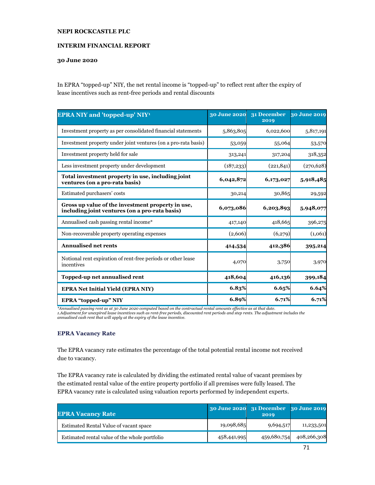### **INTERIM FINANCIAL REPORT**

### **30 June 2020**

In EPRA "topped-up" NIY, the net rental income is "topped-up" to reflect rent after the expiry of lease incentives such as rent-free periods and rental discounts

| <b>EPRA NIY and 'topped-up' NIY<sup>1</sup></b>                                                     | 30 June 2020 | 31 December<br>2019 | 30 June 2019 |
|-----------------------------------------------------------------------------------------------------|--------------|---------------------|--------------|
| Investment property as per consolidated financial statements                                        | 5,863,805    | 6,022,600           | 5,817,191    |
| Investment property under joint ventures (on a pro-rata basis)                                      | 53,059       | 55,064              | 53,570       |
| Investment property held for sale                                                                   | 313,241      | 317,204             | 318,352      |
| Less investment property under development                                                          | (187, 233)   | (221, 841)          | (270, 628)   |
| Total investment property in use, including joint<br>ventures (on a pro-rata basis)                 | 6,042,872    | 6,173,027           | 5,918,485    |
| Estimated purchasers' costs                                                                         | 30,214       | 30,865              | 29,592       |
| Gross up value of the investment property in use,<br>including joint ventures (on a pro-rata basis) | 6,073,086    | 6,203,893           | 5,948,077    |
| Annualised cash passing rental income*                                                              | 417,140      | 418,665             | 396,275      |
| Non-recoverable property operating expenses                                                         | (2,606)      | (6,279)             | (1,061)      |
| <b>Annualised net rents</b>                                                                         | 414,534      | 412,386             | 395,214      |
| Notional rent expiration of rent-free periods or other lease<br>incentives                          | 4,070        | 3,750               | 3,970        |
| Topped-up net annualised rent                                                                       | 418,604      | 416,136             | 399,184      |
| <b>EPRA Net Initial Yield (EPRA NIY)</b>                                                            | 6.83%        | 6.65%               | 6.64%        |
| EPRA "topped-up" NIY                                                                                | 6.89%        | 6.71%               | 6.71%        |

*\*Annualised passing rent as at 30 June 2020 computed based on the contractual rental amounts effective as at that date. 1.Adjustment for unexpired lease incentives such as rent-free periods, discounted rent periods and step rents. The adjustment includes the annualised cash rent that will apply at the expiry of the lease incentive.*

### **EPRA Vacancy Rate**

The EPRA vacancy rate estimates the percentage of the total potential rental income not received due to vacancy.

The EPRA vacancy rate is calculated by dividing the estimated rental value of vacant premises by the estimated rental value of the entire property portfolio if all premises were fully leased. The EPRA vacancy rate is calculated using valuation reports performed by independent experts.

| <b>EPRA Vacancy Rate</b>                      |             | 30 June 2020 31 December 30 June 2019<br>2019 |             |
|-----------------------------------------------|-------------|-----------------------------------------------|-------------|
| Estimated Rental Value of vacant space        | 19,098,685  | 9,694,517                                     | 11,233,501  |
| Estimated rental value of the whole portfolio | 458,441,995 | 459,680,754                                   | 408,266,308 |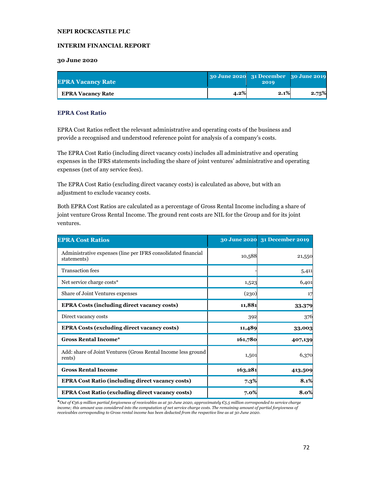### **INTERIM FINANCIAL REPORT**

#### **30 June 2020**

| <b>EPRA Vacancy Rate</b> |         | 30 June 2020 31 December 30 June 2019<br>2019 |       |
|--------------------------|---------|-----------------------------------------------|-------|
| <b>EPRA Vacancy Rate</b> | $4.2\%$ | 2.1%                                          | 2.75% |

#### **EPRA Cost Ratio**

EPRA Cost Ratios reflect the relevant administrative and operating costs of the business and provide a recognised and understood reference point for analysis of a company's costs.

The EPRA Cost Ratio (including direct vacancy costs) includes all administrative and operating expenses in the IFRS statements including the share of joint ventures' administrative and operating expenses (net of any service fees).

The EPRA Cost Ratio (excluding direct vacancy costs) is calculated as above, but with an adjustment to exclude vacancy costs.

Both EPRA Cost Ratios are calculated as a percentage of Gross Rental Income including a share of joint venture Gross Rental Income. The ground rent costs are NIL for the Group and for its joint ventures.

| <b>EPRA Cost Ratios</b>                                                      |         | 30 June 2020 31 December 2019 |
|------------------------------------------------------------------------------|---------|-------------------------------|
| Administrative expenses (line per IFRS consolidated financial<br>statements) | 10,588  | 21,550                        |
| <b>Transaction</b> fees                                                      |         | 5,411                         |
| Net service charge costs*                                                    | 1,523   | 6,401                         |
| Share of Joint Ventures expenses                                             | (230)   | 17                            |
| <b>EPRA Costs (including direct vacancy costs)</b>                           | 11,881  | 33,379                        |
| Direct vacancy costs                                                         | 392     | 376                           |
| <b>EPRA Costs (excluding direct vacancy costs)</b>                           | 11,489  | 33,003                        |
| <b>Gross Rental Income*</b>                                                  | 161,780 | 407,139                       |
| Add: share of Joint Ventures (Gross Rental Income less ground<br>rents)      | 1,501   | 6,370                         |
| <b>Gross Rental Income</b>                                                   | 163,281 | 413,509                       |
| <b>EPRA Cost Ratio (including direct vacancy costs)</b>                      | $7.3\%$ | 8.1%                          |
| <b>EPRA Cost Ratio (excluding direct vacancy costs)</b>                      | 7.0%    | 8.0%                          |

**\****Out of €36.9 million partial forgiveness of receivables as at 30 June 2020, approximately €5.5 million corresponded to service charge income; this amount was considered into the computation of net service charge costs. The remaining amount of partial forgiveness of receivables corresponding to Gross rental income has been deducted from the respective line as at 30 June 2020.*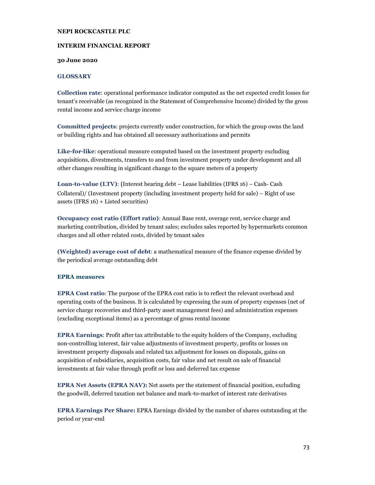## **NEPI ROCKCASTLE PLC**

## **INTERIM FINANCIAL REPORT**

#### **30 June 2020**

## **GLOSSARY**

**Collection rate**: operational performance indicator computed as the net expected credit losses for tenant's receivable (as recognized in the Statement of Comprehensive Income) divided by the gross rental income and service charge income

**Committed projects**: projects currently under construction, for which the group owns the land or building rights and has obtained all necessary authorizations and permits

**Like-for-like**: operational measure computed based on the investment property excluding acquisitions, divestments, transfers to and from investment property under development and all other changes resulting in significant change to the square meters of a property

**Loan-to-value (LTV)**: (Interest bearing debt – Lease liabilities (IFRS 16) – Cash- Cash Collateral)/ (Investment property (including investment property held for sale) – Right of use assets (IFRS 16) + Listed securities)

**Occupancy cost ratio (Effort ratio)**: Annual Base rent, overage rent, service charge and marketing contribution, divided by tenant sales; excludes sales reported by hypermarkets common charges and all other related costs, divided by tenant sales

**(Weighted) average cost of debt**: a mathematical measure of the finance expense divided by the periodical average outstanding debt

### **EPRA measures**

**EPRA Cost ratio**: The purpose of the EPRA cost ratio is to reflect the relevant overhead and operating costs of the business. It is calculated by expressing the sum of property expenses (net of service charge recoveries and third-party asset management fees) and administration expenses (excluding exceptional items) as a percentage of gross rental income

**EPRA Earnings**: Profit after tax attributable to the equity holders of the Company, excluding non-controlling interest, fair value adjustments of investment property, profits or losses on investment property disposals and related tax adjustment for losses on disposals, gains on acquisition of subsidiaries, acquisition costs, fair value and net result on sale of financial investments at fair value through profit or loss and deferred tax expense

**EPRA Net Assets (EPRA NAV):** Net assets per the statement of financial position, excluding the goodwill, deferred taxation net balance and mark-to-market of interest rate derivatives

**EPRA Earnings Per Share:** EPRA Earnings divided by the number of shares outstanding at the period or year-end